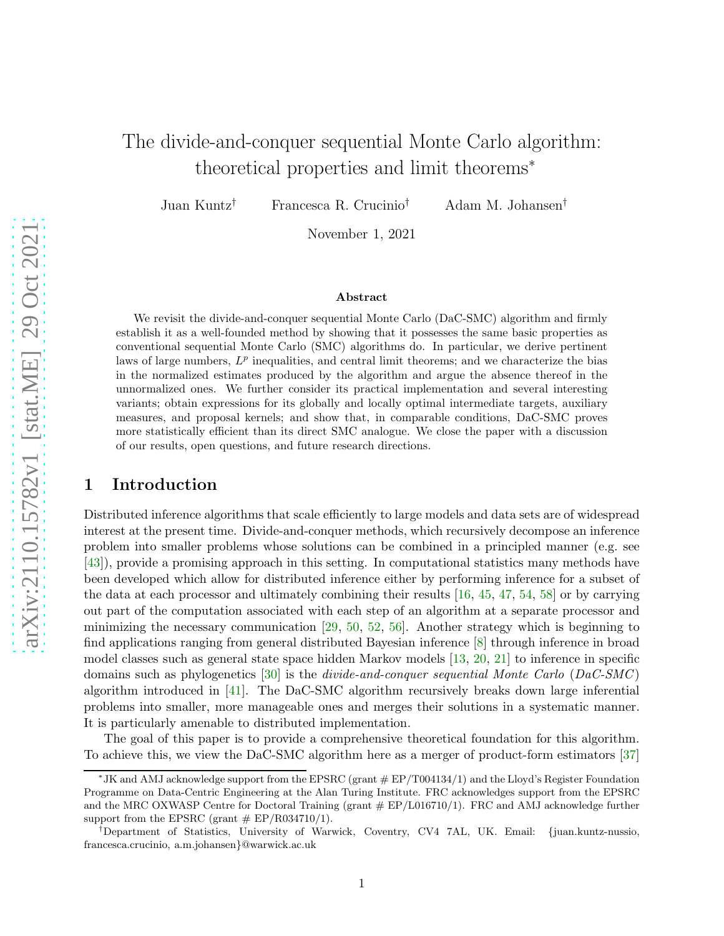# The divide-and-conquer sequential Monte Carlo algorithm: theoretical properties and limit theorems<sup>∗</sup>

Juan Kuntz† Francesca R. Crucinio† Adam M. Johansen†

November 1, 2021

#### Abstract

We revisit the divide-and-conquer sequential Monte Carlo (DaC-SMC) algorithm and firmly establish it as a well-founded method by showing that it possesses the same basic properties as conventional sequential Monte Carlo (SMC) algorithms do. In particular, we derive pertinent laws of large numbers,  $L^p$  inequalities, and central limit theorems; and we characterize the bias in the normalized estimates produced by the algorithm and argue the absence thereof in the unnormalized ones. We further consider its practical implementation and several interesting variants; obtain expressions for its globally and locally optimal intermediate targets, auxiliary measures, and proposal kernels; and show that, in comparable conditions, DaC-SMC proves more statistically efficient than its direct SMC analogue. We close the paper with a discussion of our results, open questions, and future research directions.

### 1 Introduction

Distributed inference algorithms that scale efficiently to large models and data sets are of widespread interest at the present time. Divide-and-conquer methods, which recursively decompose an inference problem into smaller problems whose solutions can be combined in a principled manner (e.g. see [\[43\]](#page-26-0)), provide a promising approach in this setting. In computational statistics many methods have been developed which allow for distributed inference either by performing inference for a subset of the data at each processor and ultimately combining their results [\[16,](#page-24-0) [45,](#page-26-1) [47,](#page-26-2) [54,](#page-26-3) [58\]](#page-26-4) or by carrying out part of the computation associated with each step of an algorithm at a separate processor and minimizing the necessary communication  $[29, 50, 52, 56]$  $[29, 50, 52, 56]$  $[29, 50, 52, 56]$  $[29, 50, 52, 56]$  $[29, 50, 52, 56]$  $[29, 50, 52, 56]$ . Another strategy which is beginning to find applications ranging from general distributed Bayesian inference [\[8\]](#page-24-1) through inference in broad model classes such as general state space hidden Markov models [\[13,](#page-24-2) [20,](#page-24-3) [21\]](#page-24-4) to inference in specific domains such as phylogenetics  $[30]$  is the *divide-and-conquer sequential Monte Carlo* ( $DaC-SMC$ ) algorithm introduced in [\[41\]](#page-25-2). The DaC-SMC algorithm recursively breaks down large inferential problems into smaller, more manageable ones and merges their solutions in a systematic manner. It is particularly amenable to distributed implementation.

The goal of this paper is to provide a comprehensive theoretical foundation for this algorithm. To achieve this, we view the DaC-SMC algorithm here as a merger of product-form estimators [\[37\]](#page-25-3)

<sup>∗</sup> JK and AMJ acknowledge support from the EPSRC (grant # EP/T004134/1) and the Lloyd's Register Foundation Programme on Data-Centric Engineering at the Alan Turing Institute. FRC acknowledges support from the EPSRC and the MRC OXWASP Centre for Doctoral Training (grant  $\#$  EP/L016710/1). FRC and AMJ acknowledge further support from the EPSRC (grant  $# EP/R034710/1$ ).

<sup>†</sup>Department of Statistics, University of Warwick, Coventry, CV4 7AL, UK. Email: {juan.kuntz-nussio, francesca.crucinio, a.m.johansen}@warwick.ac.uk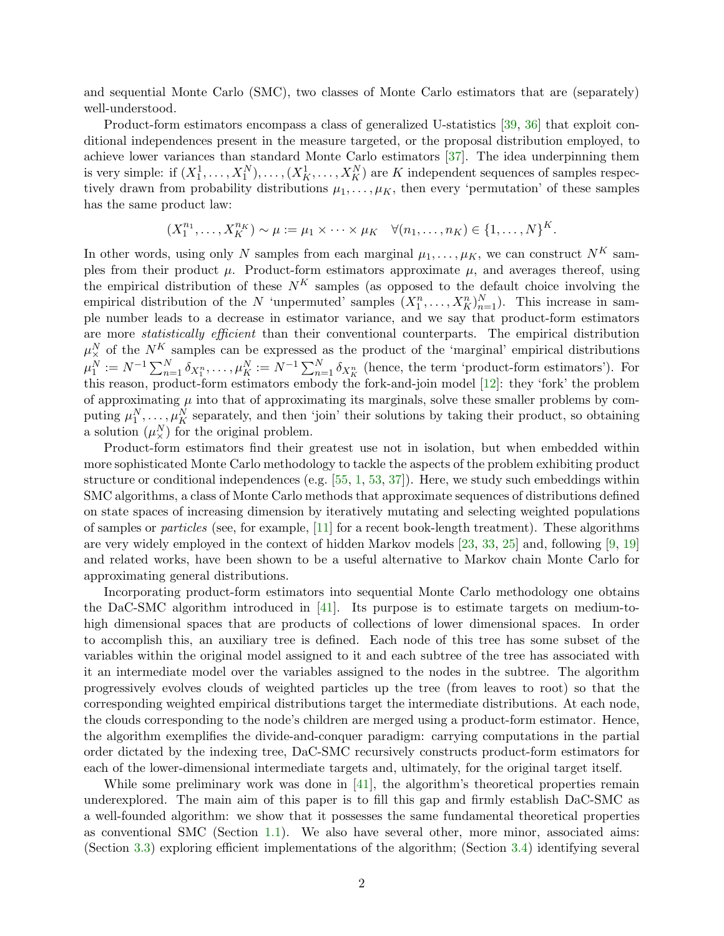and sequential Monte Carlo (SMC), two classes of Monte Carlo estimators that are (separately) well-understood.

Product-form estimators encompass a class of generalized U-statistics [\[39,](#page-25-4) [36\]](#page-25-5) that exploit conditional independences present in the measure targeted, or the proposal distribution employed, to achieve lower variances than standard Monte Carlo estimators [\[37\]](#page-25-3). The idea underpinning them is very simple: if  $(X_1^1, \ldots, X_1^N), \ldots, (X_K^1, \ldots, X_K^N)$  are K independent sequences of samples respectively drawn from probability distributions  $\mu_1, \ldots, \mu_K$ , then every 'permutation' of these samples has the same product law:

$$
(X_1^{n_1},...,X_K^{n_K}) \sim \mu := \mu_1 \times \cdots \times \mu_K \quad \forall (n_1,...,n_K) \in \{1,...,N\}^K.
$$

In other words, using only N samples from each marginal  $\mu_1, \ldots, \mu_K$ , we can construct  $N^K$  samples from their product  $\mu$ . Product-form estimators approximate  $\mu$ , and averages thereof, using the empirical distribution of these  $N^K$  samples (as opposed to the default choice involving the empirical distribution of the N 'unpermuted' samples  $(X_1^n, \ldots, X_K^n)_{n=1}^N$ ). This increase in sample number leads to a decrease in estimator variance, and we say that product-form estimators are more *statistically efficient* than their conventional counterparts. The empirical distribution  $\mu_{\times}^N$  of the  $N^K$  samples can be expressed as the product of the 'marginal' empirical distributions  $\mu_1^N := N^{-1} \sum_{n=1}^N \delta_{X_1^n}, \ldots, \mu_K^N := N^{-1} \sum_{n=1}^N \delta_{X_K^n}$  (hence, the term 'product-form estimators'). For this reason, product-form estimators embody the fork-and-join model [\[12\]](#page-24-5): they 'fork' the problem of approximating  $\mu$  into that of approximating its marginals, solve these smaller problems by computing  $\mu_1^N, \ldots, \mu_K^N$  separately, and then 'join' their solutions by taking their product, so obtaining a solution  $(\mu^N_\times)$  for the original problem.

Product-form estimators find their greatest use not in isolation, but when embedded within more sophisticated Monte Carlo methodology to tackle the aspects of the problem exhibiting product structure or conditional independences (e.g.  $[55, 1, 53, 37]$  $[55, 1, 53, 37]$  $[55, 1, 53, 37]$  $[55, 1, 53, 37]$  $[55, 1, 53, 37]$  $[55, 1, 53, 37]$ ). Here, we study such embeddings within SMC algorithms, a class of Monte Carlo methods that approximate sequences of distributions defined on state spaces of increasing dimension by iteratively mutating and selecting weighted populations of samples or particles (see, for example, [\[11\]](#page-24-6) for a recent book-length treatment). These algorithms are very widely employed in the context of hidden Markov models [\[23,](#page-24-7) [33,](#page-25-6) [25\]](#page-25-7) and, following [\[9,](#page-24-8) [19\]](#page-24-9) and related works, have been shown to be a useful alternative to Markov chain Monte Carlo for approximating general distributions.

Incorporating product-form estimators into sequential Monte Carlo methodology one obtains the DaC-SMC algorithm introduced in [\[41\]](#page-25-2). Its purpose is to estimate targets on medium-tohigh dimensional spaces that are products of collections of lower dimensional spaces. In order to accomplish this, an auxiliary tree is defined. Each node of this tree has some subset of the variables within the original model assigned to it and each subtree of the tree has associated with it an intermediate model over the variables assigned to the nodes in the subtree. The algorithm progressively evolves clouds of weighted particles up the tree (from leaves to root) so that the corresponding weighted empirical distributions target the intermediate distributions. At each node, the clouds corresponding to the node's children are merged using a product-form estimator. Hence, the algorithm exemplifies the divide-and-conquer paradigm: carrying computations in the partial order dictated by the indexing tree, DaC-SMC recursively constructs product-form estimators for each of the lower-dimensional intermediate targets and, ultimately, for the original target itself.

While some preliminary work was done in [\[41\]](#page-25-2), the algorithm's theoretical properties remain underexplored. The main aim of this paper is to fill this gap and firmly establish DaC-SMC as a well-founded algorithm: we show that it possesses the same fundamental theoretical properties as conventional SMC (Section [1.1\)](#page-2-0). We also have several other, more minor, associated aims: (Section [3.3\)](#page-12-0) exploring efficient implementations of the algorithm; (Section [3.4\)](#page-13-0) identifying several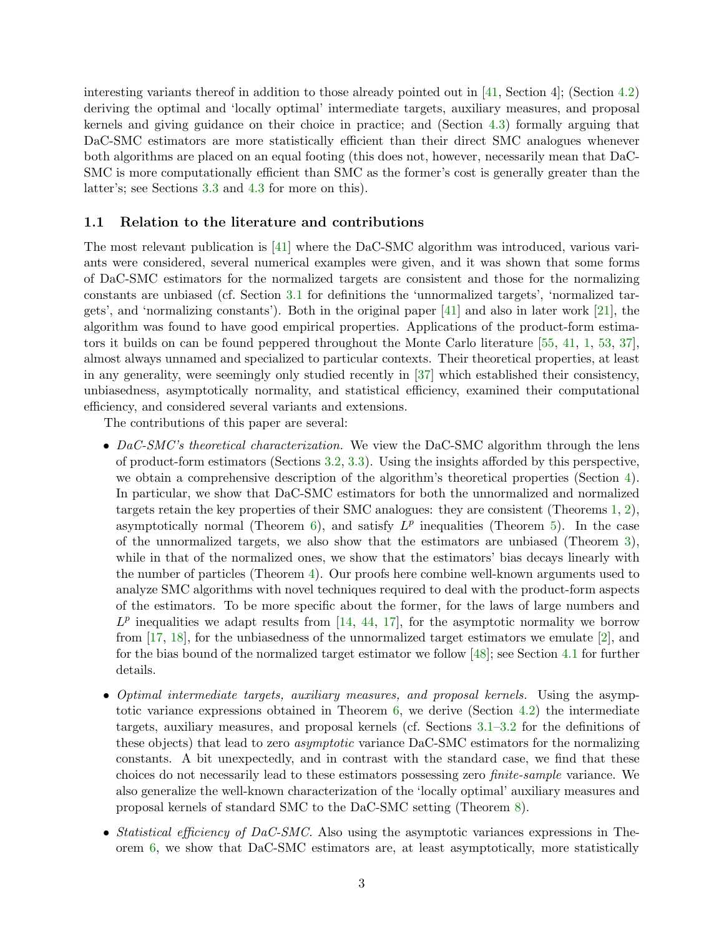interesting variants thereof in addition to those already pointed out in [\[41,](#page-25-2) Section 4]; (Section [4.2\)](#page-19-0) deriving the optimal and 'locally optimal' intermediate targets, auxiliary measures, and proposal kernels and giving guidance on their choice in practice; and (Section [4.3\)](#page-20-0) formally arguing that DaC-SMC estimators are more statistically efficient than their direct SMC analogues whenever both algorithms are placed on an equal footing (this does not, however, necessarily mean that DaC-SMC is more computationally efficient than SMC as the former's cost is generally greater than the latter's; see Sections [3.3](#page-12-0) and [4.3](#page-20-0) for more on this).

#### <span id="page-2-0"></span>1.1 Relation to the literature and contributions

The most relevant publication is [\[41\]](#page-25-2) where the DaC-SMC algorithm was introduced, various variants were considered, several numerical examples were given, and it was shown that some forms of DaC-SMC estimators for the normalized targets are consistent and those for the normalizing constants are unbiased (cf. Section [3.1](#page-7-0) for definitions the 'unnormalized targets', 'normalized targets', and 'normalizing constants'). Both in the original paper [\[41\]](#page-25-2) and also in later work [\[21\]](#page-24-4), the algorithm was found to have good empirical properties. Applications of the product-form estimators it builds on can be found peppered throughout the Monte Carlo literature [\[55,](#page-26-8) [41,](#page-25-2) [1,](#page-23-0) [53,](#page-26-9) [37\]](#page-25-3), almost always unnamed and specialized to particular contexts. Their theoretical properties, at least in any generality, were seemingly only studied recently in [\[37\]](#page-25-3) which established their consistency, unbiasedness, asymptotically normality, and statistical efficiency, examined their computational efficiency, and considered several variants and extensions.

The contributions of this paper are several:

- DaC-SMC's theoretical characterization. We view the DaC-SMC algorithm through the lens of product-form estimators (Sections [3.2,](#page-9-0) [3.3\)](#page-12-0). Using the insights afforded by this perspective, we obtain a comprehensive description of the algorithm's theoretical properties (Section [4\)](#page-15-0). In particular, we show that DaC-SMC estimators for both the unnormalized and normalized targets retain the key properties of their SMC analogues: they are consistent (Theorems [1,](#page-15-1) [2\)](#page-15-2), asymptotically normal (Theorem [6\)](#page-17-0), and satisfy  $L^p$  inequalities (Theorem [5\)](#page-16-0). In the case of the unnormalized targets, we also show that the estimators are unbiased (Theorem [3\)](#page-16-1), while in that of the normalized ones, we show that the estimators' bias decays linearly with the number of particles (Theorem [4\)](#page-16-2). Our proofs here combine well-known arguments used to analyze SMC algorithms with novel techniques required to deal with the product-form aspects of the estimators. To be more specific about the former, for the laws of large numbers and  $L^p$  inequalities we adapt results from [\[14,](#page-24-10) [44,](#page-26-10) [17\]](#page-24-11), for the asymptotic normality we borrow from  $[17, 18]$  $[17, 18]$ , for the unbiasedness of the unnormalized target estimators we emulate  $[2]$ , and for the bias bound of the normalized target estimator we follow [\[48\]](#page-26-11); see Section [4.1](#page-17-1) for further details.
- Optimal intermediate targets, auxiliary measures, and proposal kernels. Using the asymptotic variance expressions obtained in Theorem [6,](#page-17-0) we derive (Section [4.2\)](#page-19-0) the intermediate targets, auxiliary measures, and proposal kernels (cf. Sections [3.1–](#page-7-0)[3.2](#page-9-0) for the definitions of these objects) that lead to zero asymptotic variance DaC-SMC estimators for the normalizing constants. A bit unexpectedly, and in contrast with the standard case, we find that these choices do not necessarily lead to these estimators possessing zero finite-sample variance. We also generalize the well-known characterization of the 'locally optimal' auxiliary measures and proposal kernels of standard SMC to the DaC-SMC setting (Theorem [8\)](#page-20-1).
- Statistical efficiency of DaC-SMC. Also using the asymptotic variances expressions in Theorem [6,](#page-17-0) we show that DaC-SMC estimators are, at least asymptotically, more statistically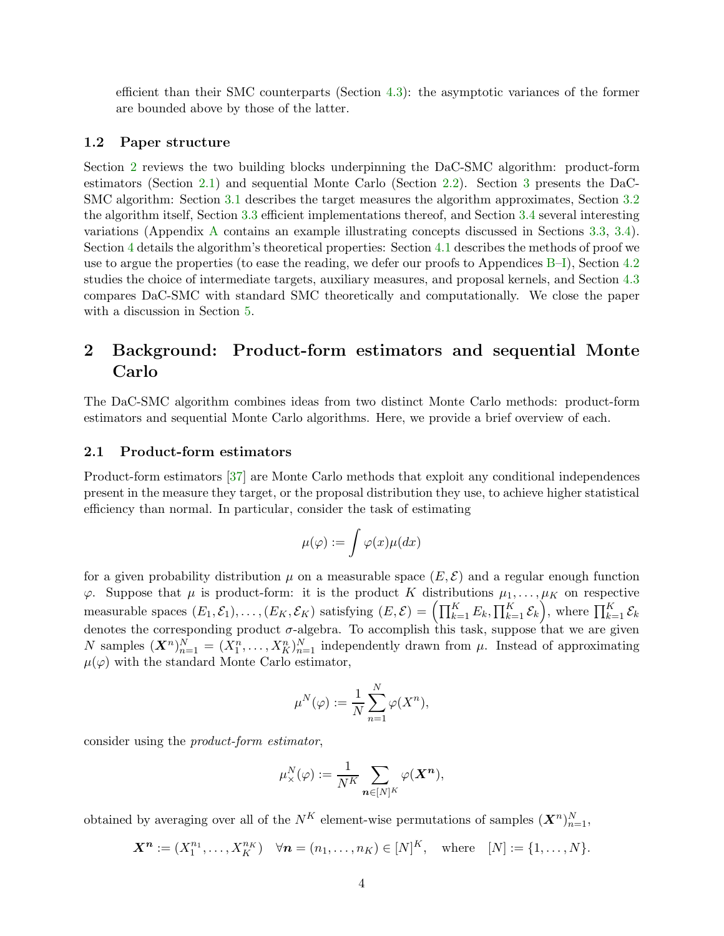efficient than their SMC counterparts (Section [4.3\)](#page-20-0): the asymptotic variances of the former are bounded above by those of the latter.

#### 1.2 Paper structure

Section [2](#page-3-0) reviews the two building blocks underpinning the DaC-SMC algorithm: product-form estimators (Section [2.1\)](#page-3-1) and sequential Monte Carlo (Section [2.2\)](#page-4-0). Section [3](#page-7-1) presents the DaC-SMC algorithm: Section [3.1](#page-7-0) describes the target measures the algorithm approximates, Section [3.2](#page-9-0) the algorithm itself, Section [3.3](#page-12-0) efficient implementations thereof, and Section [3.4](#page-13-0) several interesting variations (Appendix [A](#page-27-0) contains an example illustrating concepts discussed in Sections [3.3,](#page-12-0) [3.4\)](#page-13-0). Section [4](#page-15-0) details the algorithm's theoretical properties: Section [4.1](#page-17-1) describes the methods of proof we use to argue the properties (to ease the reading, we defer our proofs to Appendices [B](#page-29-0)[–I\)](#page-52-0), Section [4.2](#page-19-0) studies the choice of intermediate targets, auxiliary measures, and proposal kernels, and Section [4.3](#page-20-0) compares DaC-SMC with standard SMC theoretically and computationally. We close the paper with a discussion in Section [5.](#page-22-0)

# <span id="page-3-0"></span>2 Background: Product-form estimators and sequential Monte Carlo

The DaC-SMC algorithm combines ideas from two distinct Monte Carlo methods: product-form estimators and sequential Monte Carlo algorithms. Here, we provide a brief overview of each.

#### <span id="page-3-1"></span>2.1 Product-form estimators

Product-form estimators [\[37\]](#page-25-3) are Monte Carlo methods that exploit any conditional independences present in the measure they target, or the proposal distribution they use, to achieve higher statistical efficiency than normal. In particular, consider the task of estimating

$$
\mu(\varphi):=\int \varphi(x)\mu(dx)
$$

for a given probability distribution  $\mu$  on a measurable space  $(E, \mathcal{E})$  and a regular enough function  $\varphi$ . Suppose that  $\mu$  is product-form: it is the product K distributions  $\mu_1, \ldots, \mu_K$  on respective measurable spaces  $(E_1, \mathcal{E}_1), \ldots, (E_K, \mathcal{E}_K)$  satisfying  $(E, \mathcal{E}) = \left(\prod_{k=1}^K E_k, \prod_{k=1}^K \mathcal{E}_k\right)$ , where  $\prod_{k=1}^K \mathcal{E}_k$ denotes the corresponding product  $\sigma$ -algebra. To accomplish this task, suppose that we are given N samples  $(X^n)_{n=1}^N = (X_1^n, \ldots, X_K^n)_{n=1}^N$  independently drawn from  $\mu$ . Instead of approximating  $\mu(\varphi)$  with the standard Monte Carlo estimator,

$$
\mu^N(\varphi) := \frac{1}{N} \sum_{n=1}^N \varphi(X^n),
$$

consider using the product-form estimator,

$$
\mu^N_\times(\varphi) := \frac{1}{N^K} \sum_{\mathbf{n} \in [N]^K} \varphi(\mathbf{X}^{\mathbf{n}}),
$$

obtained by averaging over all of the  $N^K$  element-wise permutations of samples  $(X^n)_{n=1}^N$ ,

 $\mathbf{X}^{\mathbf{n}} := (X_1^{n_1}, \dots, X_K^{n_K}) \quad \forall \mathbf{n} = (n_1, \dots, n_K) \in [N]^K$ , where  $[N] := \{1, \dots, N\}$ .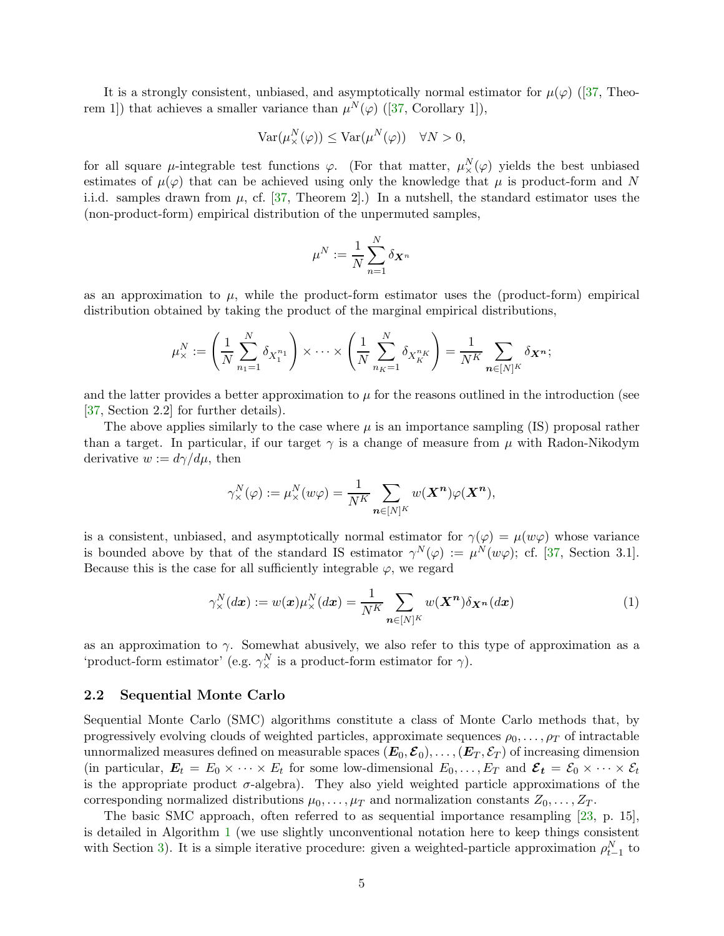Itis a strongly consistent, unbiased, and asymptotically normal estimator for  $\mu(\varphi)$  ([\[37,](#page-25-3) Theo-rem1]) that achieves a smaller variance than  $\mu^N(\varphi)$  ([\[37,](#page-25-3) Corollary 1]),

$$
Var(\mu^N_\times(\varphi)) \le Var(\mu^N(\varphi)) \quad \forall N > 0,
$$

for all square  $\mu$ -integrable test functions  $\varphi$ . (For that matter,  $\mu^N_\times(\varphi)$  yields the best unbiased estimates of  $\mu(\varphi)$  that can be achieved using only the knowledge that  $\mu$  is product-form and N i.i.d. samples drawn from  $\mu$ , cf. [\[37,](#page-25-3) Theorem 2].) In a nutshell, the standard estimator uses the (non-product-form) empirical distribution of the unpermuted samples,

$$
\mu^N:=\frac{1}{N}\sum_{n=1}^N\delta_{\boldsymbol{X}^n}
$$

as an approximation to  $\mu$ , while the product-form estimator uses the (product-form) empirical distribution obtained by taking the product of the marginal empirical distributions,

$$
\mu_{\times}^N := \left(\frac{1}{N} \sum_{n_1=1}^N \delta_{X_1^{n_1}}\right) \times \cdots \times \left(\frac{1}{N} \sum_{n_K=1}^N \delta_{X_K^{n_K}}\right) = \frac{1}{N^K} \sum_{\mathbf{n} \in [N]^K} \delta_{\mathbf{X}^{\mathbf{n}}};
$$

and the latter provides a better approximation to  $\mu$  for the reasons outlined in the introduction (see [\[37,](#page-25-3) Section 2.2] for further details).

The above applies similarly to the case where  $\mu$  is an importance sampling (IS) proposal rather than a target. In particular, if our target  $\gamma$  is a change of measure from  $\mu$  with Radon-Nikodym derivative  $w := d\gamma/d\mu$ , then

$$
\gamma^N_{\times}(\varphi) := \mu^N_{\times}(w\varphi) = \frac{1}{N^K} \sum_{\mathbf{n} \in [N]^K} w(\mathbf{X}^{\mathbf{n}}) \varphi(\mathbf{X}^{\mathbf{n}}),
$$

is a consistent, unbiased, and asymptotically normal estimator for  $\gamma(\varphi) = \mu(w\varphi)$  whose variance is bounded above by that of the standard IS estimator  $\gamma^N(\varphi) := \mu^N(w\varphi)$ ; cf. [\[37,](#page-25-3) Section 3.1]. Because this is the case for all sufficiently integrable  $\varphi$ , we regard

<span id="page-4-1"></span>
$$
\gamma_{\times}^{N}(d\boldsymbol{x}) := w(\boldsymbol{x})\mu_{\times}^{N}(d\boldsymbol{x}) = \frac{1}{N^{K}} \sum_{\boldsymbol{n} \in [N]^{K}} w(\boldsymbol{X}^{\boldsymbol{n}}) \delta_{\boldsymbol{X}^{\boldsymbol{n}}}(d\boldsymbol{x})
$$
\n(1)

as an approximation to  $\gamma$ . Somewhat abusively, we also refer to this type of approximation as a 'product-form estimator' (e.g.  $\gamma_{\times}^N$  is a product-form estimator for  $\gamma$ ).

#### <span id="page-4-0"></span>2.2 Sequential Monte Carlo

Sequential Monte Carlo (SMC) algorithms constitute a class of Monte Carlo methods that, by progressively evolving clouds of weighted particles, approximate sequences  $\rho_0, \ldots, \rho_T$  of intractable unnormalized measures defined on measurable spaces  $(E_0, \mathcal{E}_0), \ldots, (E_T, \mathcal{E}_T)$  of increasing dimension (in particular,  $\mathbf{E}_t = E_0 \times \cdots \times E_t$  for some low-dimensional  $E_0, \ldots, E_T$  and  $\mathcal{E}_t = \mathcal{E}_0 \times \cdots \times \mathcal{E}_t$ is the appropriate product  $\sigma$ -algebra). They also yield weighted particle approximations of the corresponding normalized distributions  $\mu_0, \ldots, \mu_T$  and normalization constants  $Z_0, \ldots, Z_T$ .

The basic SMC approach, often referred to as sequential importance resampling [\[23,](#page-24-7) p. 15], is detailed in Algorithm [1](#page-5-0) (we use slightly unconventional notation here to keep things consistent with Section [3\)](#page-7-1). It is a simple iterative procedure: given a weighted-particle approximation  $\rho_{t-1}^N$  to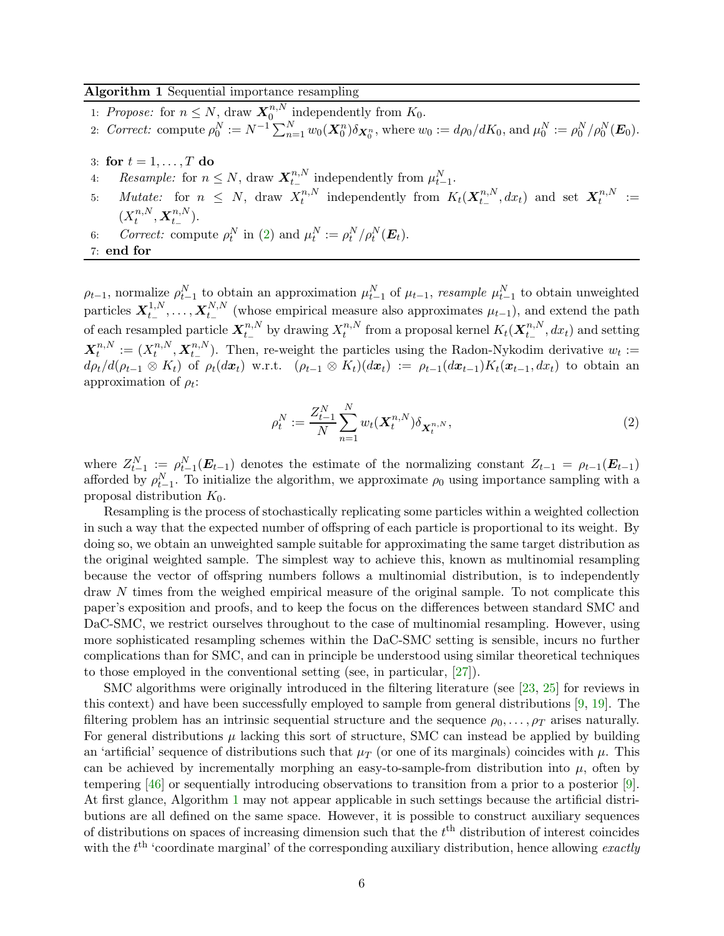#### <span id="page-5-0"></span>Algorithm 1 Sequential importance resampling

- 1: Propose: for  $n \leq N$ , draw  $\mathbf{X}_0^{n,N}$  $\int_0^{n,N}$  independently from  $K_0$ .
- 2: Correct: compute  $\rho_0^N := N^{-1} \sum_{n=1}^N w_0(\mathbf{X}_0^n) \delta_{\mathbf{X}_0^n}$ , where  $w_0 := d\rho_0/dK_0$ , and  $\mu_0^N := \rho_0^N/\rho_0^N(\mathbf{E}_0)$ .
- 3: for  $t = 1, \ldots, T$  do
- 4: Resample: for  $n \leq N$ , draw  $\mathbf{X}_{t-}^{n,N}$  $t_{-}^{n,N}$  independently from  $\mu_{t-1}^{N}$ .
- 5: *Mutate:* for  $n \leq N$ , draw  $X_t^{n,N}$  $t^{n,N}_t$  independently from  $K_t(\boldsymbol{X}_{t-}^{n,N})$  $_{t_{-}}^{n,N},dx_{t})$  and set  $\mathbf{X}_{t}^{n,N}$  $t^{n,N} :=$  $(X_t^{n,N},\mathbf{X}_{t-}^{n,N}).$  $t$ ,  $\mathbf{\Lambda}_{t-}$
- 6: Correct: compute  $\rho_t^N$  in [\(2\)](#page-5-1) and  $\mu_t^N := \rho_t^N / \rho_t^N(E_t)$ .
- 7: end for

 $\rho_{t-1}$ , normalize  $\rho_{t-1}^N$  to obtain an approximation  $\mu_{t-1}^N$  of  $\mu_{t-1}$ , resample  $\mu_{t-1}^N$  to obtain unweighted particles  $X_{t-}^{1,N}$  $t_-^{1,N},\ldots,\boldsymbol{X}_{t_-}^{N,N}$  $t_{-}^{N,N}$  (whose empirical measure also approximates  $\mu_{t-1}$ ), and extend the path of each resampled particle  $\boldsymbol{X}^{n,N}_{t-1}$  $_{t_{-}}^{n,N}$  by drawing  $X_t^{n,N}$  $t^{n,N}_t$  from a proposal kernel  $K_t(\boldsymbol{X}_{t-}^{n,N})$  $t_{t-}^{n,N}, dx_t$ ) and setting  $\boldsymbol{X}^{n,N}_t$  $t^{n,N}_t := (X^{n,N}_t$  $t^{n,N}, \boldsymbol{X}_{t_{-}}^{n,N}$  $t_{-}^{n,N}$ ). Then, re-weight the particles using the Radon-Nykodim derivative  $w_t :=$  $d\rho_t/d(\rho_{t-1}\otimes K_t)$  of  $\rho_t(dx_t)$  w.r.t.  $(\rho_{t-1}\otimes K_t)(dx_t) := \rho_{t-1}(dx_{t-1})K_t(x_{t-1}, dx_t)$  to obtain an approximation of  $\rho_t$ :

<span id="page-5-1"></span>
$$
\rho_t^N := \frac{Z_{t-1}^N}{N} \sum_{n=1}^N w_t(\mathbf{X}_t^{n,N}) \delta_{\mathbf{X}_t^{n,N}},
$$
\n(2)

where  $Z_{t-1}^N := \rho_{t-1}^N(E_{t-1})$  denotes the estimate of the normalizing constant  $Z_{t-1} = \rho_{t-1}(E_{t-1})$ afforded by  $\rho_{t-1}^N$ . To initialize the algorithm, we approximate  $\rho_0$  using importance sampling with a proposal distribution  $K_0$ .

Resampling is the process of stochastically replicating some particles within a weighted collection in such a way that the expected number of offspring of each particle is proportional to its weight. By doing so, we obtain an unweighted sample suitable for approximating the same target distribution as the original weighted sample. The simplest way to achieve this, known as multinomial resampling because the vector of offspring numbers follows a multinomial distribution, is to independently draw N times from the weighed empirical measure of the original sample. To not complicate this paper's exposition and proofs, and to keep the focus on the differences between standard SMC and DaC-SMC, we restrict ourselves throughout to the case of multinomial resampling. However, using more sophisticated resampling schemes within the DaC-SMC setting is sensible, incurs no further complications than for SMC, and can in principle be understood using similar theoretical techniques to those employed in the conventional setting (see, in particular, [\[27\]](#page-25-8)).

SMC algorithms were originally introduced in the filtering literature (see [\[23,](#page-24-7) [25\]](#page-25-7) for reviews in this context) and have been successfully employed to sample from general distributions [\[9,](#page-24-8) [19\]](#page-24-9). The filtering problem has an intrinsic sequential structure and the sequence  $\rho_0, \ldots, \rho_T$  arises naturally. For general distributions  $\mu$  lacking this sort of structure, SMC can instead be applied by building an 'artificial' sequence of distributions such that  $\mu_T$  (or one of its marginals) coincides with  $\mu$ . This can be achieved by incrementally morphing an easy-to-sample-from distribution into  $\mu$ , often by tempering [\[46\]](#page-26-12) or sequentially introducing observations to transition from a prior to a posterior [\[9\]](#page-24-8). At first glance, Algorithm [1](#page-5-0) may not appear applicable in such settings because the artificial distributions are all defined on the same space. However, it is possible to construct auxiliary sequences of distributions on spaces of increasing dimension such that the  $t<sup>th</sup>$  distribution of interest coincides with the  $t<sup>th</sup>$  'coordinate marginal' of the corresponding auxiliary distribution, hence allowing *exactly*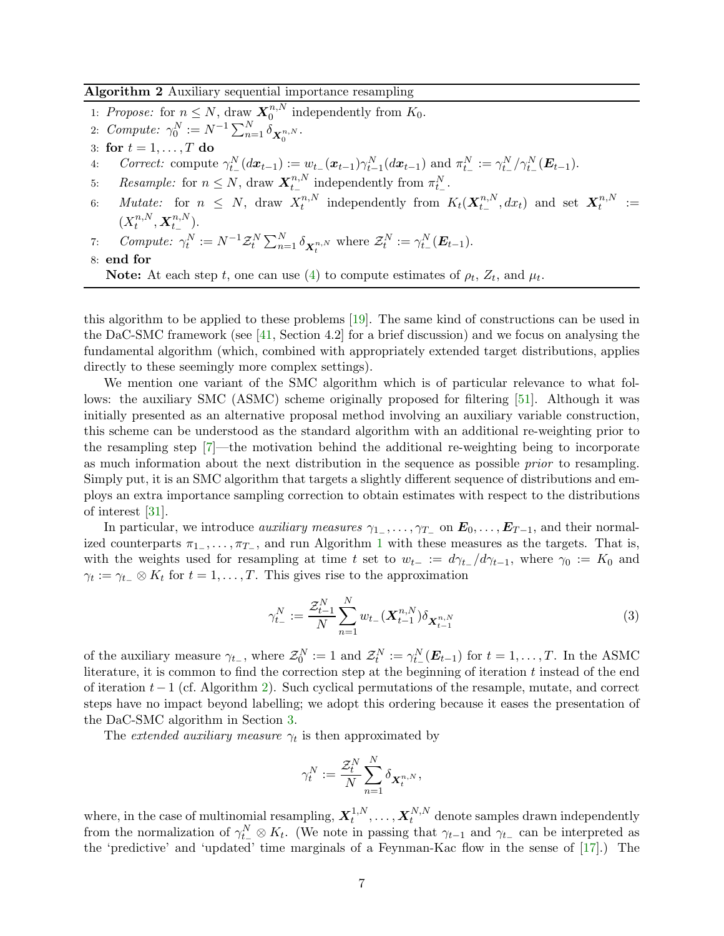#### <span id="page-6-0"></span>Algorithm 2 Auxiliary sequential importance resampling

- 1: Propose: for  $n \leq N$ , draw  $\mathbf{X}_0^{n,N}$  $\binom{n}{0}$  independently from  $K_0$ .
- 2:  $Compute: \ \gamma_0^N := N^{-1} \sum_{n=1}^N \delta_{\mathbf{X}_0^{n,N}}.$
- 3: for  $t = 1, \ldots, T$  do
- 4: Correct: compute  $\gamma_{t-}^{N}(d\bm{x}_{t-1}) := w_{t-}(\bm{x}_{t-1})\gamma_{t-1}^{N}(d\bm{x}_{t-1})$  and  $\pi_{t-}^{N} := \gamma_{t-}^{N}/\gamma_{t-}^{N}(\bm{E}_{t-1})$ .
- 5: Resample: for  $n \leq N$ , draw  $\mathbf{X}_{t_{-}}^{n,N}$  $_{t-}^{n,N}$  independently from  $\pi_{t-}^N$ .
- 6: *Mutate:* for  $n \leq N$ , draw  $X_t^{n,N}$  $t^{n,N}_t$  independently from  $K_t(\boldsymbol{X}_{t-}^{n,N})$  $_{t_{-}}^{n,N},dx_{t})$  and set  $\mathbf{X}_{t}^{n,N}$  $t^{n,N} :=$  $(X_t^{n,N})$  $_{t}^{n,N},\boldsymbol{X}_{t_{-}}^{n,N}$  $\binom{n, N}{t-}$ .

7: Compute: 
$$
\gamma_t^N := N^{-1} \mathcal{Z}_t^N \sum_{n=1}^N \delta_{\mathbf{X}_t^{n,N}}
$$
 where  $\mathcal{Z}_t^N := \gamma_{t-}^N(\mathbf{E}_{t-1})$ .

8: end for

this algorithm to be applied to these problems [\[19\]](#page-24-9). The same kind of constructions can be used in the DaC-SMC framework (see [\[41,](#page-25-2) Section 4.2] for a brief discussion) and we focus on analysing the fundamental algorithm (which, combined with appropriately extended target distributions, applies directly to these seemingly more complex settings).

We mention one variant of the SMC algorithm which is of particular relevance to what follows: the auxiliary SMC (ASMC) scheme originally proposed for filtering [\[51\]](#page-26-13). Although it was initially presented as an alternative proposal method involving an auxiliary variable construction, this scheme can be understood as the standard algorithm with an additional re-weighting prior to the resampling step [\[7\]](#page-24-13)—the motivation behind the additional re-weighting being to incorporate as much information about the next distribution in the sequence as possible prior to resampling. Simply put, it is an SMC algorithm that targets a slightly different sequence of distributions and employs an extra importance sampling correction to obtain estimates with respect to the distributions of interest [\[31\]](#page-25-9).

In particular, we introduce *auxiliary measures*  $\gamma_{1-}, \ldots, \gamma_{T-}$  on  $E_0, \ldots, E_{T-1}$ , and their normalized counterparts  $\pi_{1-}, \ldots, \pi_{T-}$  $\pi_{1-}, \ldots, \pi_{T-}$  $\pi_{1-}, \ldots, \pi_{T-}$ , and run Algorithm 1 with these measures as the targets. That is, with the weights used for resampling at time t set to  $w_{t-} := d\gamma_{t-}/d\gamma_{t-1}$ , where  $\gamma_0 := K_0$  and  $\gamma_t := \gamma_{t-} \otimes K_t$  for  $t = 1, \ldots, T$ . This gives rise to the approximation

$$
\gamma_{t-}^{N} := \frac{\mathcal{Z}_{t-1}^{N}}{N} \sum_{n=1}^{N} w_{t-} (\mathbf{X}_{t-1}^{n,N}) \delta_{\mathbf{X}_{t-1}^{n,N}}
$$
(3)

of the auxiliary measure  $\gamma_{t-}$ , where  $\mathcal{Z}_0^N := 1$  and  $\mathcal{Z}_t^N := \gamma_{t-}^N(\boldsymbol{E}_{t-1})$  for  $t = 1, ..., T$ . In the ASMC literature, it is common to find the correction step at the beginning of iteration  $t$  instead of the end of iteration t−1 (cf. Algorithm [2\)](#page-6-0). Such cyclical permutations of the resample, mutate, and correct steps have no impact beyond labelling; we adopt this ordering because it eases the presentation of the DaC-SMC algorithm in Section [3.](#page-7-1)

The *extended auxiliary measure*  $\gamma_t$  is then approximated by

<span id="page-6-1"></span>
$$
\gamma^N_t := \frac{\mathcal{Z}^N_t}{N} \sum_{n=1}^N \delta_{\boldsymbol{X}^{n,N}_t},
$$

where, in the case of multinomial resampling,  $\boldsymbol{X}_t^{1,N}$  $\mathbf{X}_t^{1,N},\ldots,\mathbf{X}_t^{N,N}$  denote samples drawn independently from the normalization of  $\gamma_{t-}^N \otimes K_t$ . (We note in passing that  $\gamma_{t-1}$  and  $\gamma_{t-}$  can be interpreted as the 'predictive' and 'updated' time marginals of a Feynman-Kac flow in the sense of [\[17\]](#page-24-11).) The

**Note:** At each step t, one can use [\(4\)](#page-7-2) to compute estimates of  $\rho_t$ ,  $Z_t$ , and  $\mu_t$ .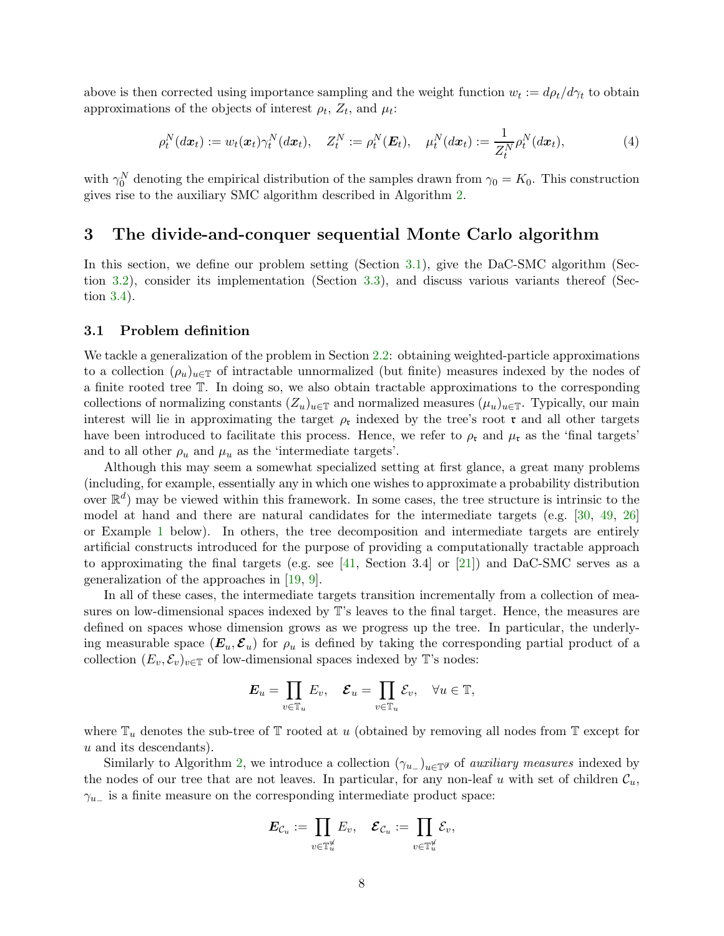above is then corrected using importance sampling and the weight function  $w_t := d\rho_t/d\gamma_t$  to obtain approximations of the objects of interest  $\rho_t$ ,  $Z_t$ , and  $\mu_t$ :

<span id="page-7-2"></span>
$$
\rho_t^N(dx_t) := w_t(\boldsymbol{x}_t) \gamma_t^N(dx_t), \quad Z_t^N := \rho_t^N(\boldsymbol{E}_t), \quad \mu_t^N(dx_t) := \frac{1}{Z_t^N} \rho_t^N(dx_t), \tag{4}
$$

with  $\gamma_0^N$  denoting the empirical distribution of the samples drawn from  $\gamma_0 = K_0$ . This construction gives rise to the auxiliary SMC algorithm described in Algorithm [2.](#page-6-0)

### <span id="page-7-1"></span>3 The divide-and-conquer sequential Monte Carlo algorithm

In this section, we define our problem setting (Section [3.1\)](#page-7-0), give the DaC-SMC algorithm (Section [3.2\)](#page-9-0), consider its implementation (Section [3.3\)](#page-12-0), and discuss various variants thereof (Section [3.4\)](#page-13-0).

#### <span id="page-7-0"></span>3.1 Problem definition

We tackle a generalization of the problem in Section [2.2:](#page-4-0) obtaining weighted-particle approximations to a collection  $(\rho_u)_{u \in \mathbb{T}}$  of intractable unnormalized (but finite) measures indexed by the nodes of a finite rooted tree T. In doing so, we also obtain tractable approximations to the corresponding collections of normalizing constants  $(Z_u)_{u \in \mathbb{T}}$  and normalized measures  $(\mu_u)_{u \in \mathbb{T}}$ . Typically, our main interest will lie in approximating the target  $\rho_{\rm t}$  indexed by the tree's root  $\rm t$  and all other targets have been introduced to facilitate this process. Hence, we refer to  $\rho_{\rm t}$  and  $\mu_{\rm t}$  as the 'final targets' and to all other  $\rho_u$  and  $\mu_u$  as the 'intermediate targets'.

Although this may seem a somewhat specialized setting at first glance, a great many problems (including, for example, essentially any in which one wishes to approximate a probability distribution over  $\mathbb{R}^d$ ) may be viewed within this framework. In some cases, the tree structure is intrinsic to the model at hand and there are natural candidates for the intermediate targets (e.g. [\[30,](#page-25-1) [49,](#page-26-14) [26\]](#page-25-10) or Example [1](#page-8-0) below). In others, the tree decomposition and intermediate targets are entirely artificial constructs introduced for the purpose of providing a computationally tractable approach to approximating the final targets (e.g. see [\[41,](#page-25-2) Section 3.4] or [\[21\]](#page-24-4)) and DaC-SMC serves as a generalization of the approaches in [\[19,](#page-24-9) [9\]](#page-24-8).

In all of these cases, the intermediate targets transition incrementally from a collection of measures on low-dimensional spaces indexed by T's leaves to the final target. Hence, the measures are defined on spaces whose dimension grows as we progress up the tree. In particular, the underlying measurable space  $(E_u, \mathcal{E}_u)$  for  $\rho_u$  is defined by taking the corresponding partial product of a collection  $(E_v, \mathcal{E}_v)_{v \in \mathbb{T}}$  of low-dimensional spaces indexed by T's nodes:

$$
\boldsymbol{E}_u = \prod_{v \in \mathbb{T}_u} E_v, \quad \boldsymbol{\mathcal{E}}_u = \prod_{v \in \mathbb{T}_u} \mathcal{E}_v, \quad \forall u \in \mathbb{T},
$$

where  $\mathbb{T}_u$  denotes the sub-tree of  $\mathbb{T}$  rooted at u (obtained by removing all nodes from  $\mathbb{T}$  except for u and its descendants).

Similarly to Algorithm [2,](#page-6-0) we introduce a collection  $(\gamma_{u-})_{u \in \mathbb{T}^g}$  of *auxiliary measures* indexed by the nodes of our tree that are not leaves. In particular, for any non-leaf u with set of children  $\mathcal{C}_u$ ,  $\gamma_{u-}$  is a finite measure on the corresponding intermediate product space:

$$
\displaystyle \boldsymbol{E}_{\mathcal{C}_u} := \prod_{v \in \mathbb{T}_u^{\mathscr{U}}} E_v, \quad \boldsymbol{\mathcal{E}}_{\mathcal{C}_u} := \prod_{v \in \mathbb{T}_u^{\mathscr{U}}} \mathcal{E}_v,
$$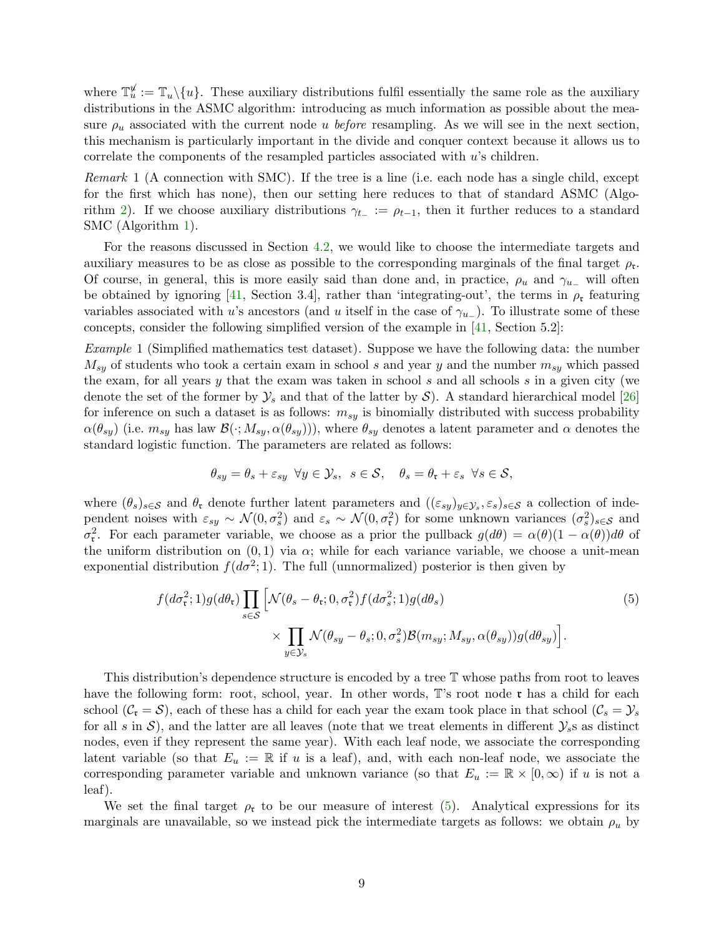where  $\mathbb{T}_u^{\mathcal{U}} := \mathbb{T}_u \setminus \{u\}$ . These auxiliary distributions fulfil essentially the same role as the auxiliary distributions in the ASMC algorithm: introducing as much information as possible about the measure  $\rho_u$  associated with the current node u before resampling. As we will see in the next section, this mechanism is particularly important in the divide and conquer context because it allows us to correlate the components of the resampled particles associated with  $u$ 's children.

<span id="page-8-2"></span>Remark 1 (A connection with SMC). If the tree is a line (i.e. each node has a single child, except for the first which has none), then our setting here reduces to that of standard ASMC (Algo-rithm [2\)](#page-6-0). If we choose auxiliary distributions  $\gamma_{t-} := \rho_{t-1}$ , then it further reduces to a standard SMC (Algorithm [1\)](#page-5-0).

For the reasons discussed in Section [4.2,](#page-19-0) we would like to choose the intermediate targets and auxiliary measures to be as close as possible to the corresponding marginals of the final target  $\rho_{\mathfrak{r}}$ . Of course, in general, this is more easily said than done and, in practice,  $\rho_u$  and  $\gamma_{u-}$  will often be obtained by ignoring [\[41,](#page-25-2) Section 3.4], rather than 'integrating-out', the terms in  $\rho_{r}$  featuring variables associated with u's ancestors (and u itself in the case of  $\gamma_{u-}$ ). To illustrate some of these concepts, consider the following simplified version of the example in [\[41,](#page-25-2) Section 5.2]:

<span id="page-8-0"></span>Example 1 (Simplified mathematics test dataset). Suppose we have the following data: the number  $M_{sy}$  of students who took a certain exam in school s and year y and the number  $m_{sy}$  which passed the exam, for all years y that the exam was taken in school s and all schools s in a given city (we denote the set of the former by  $\mathcal{Y}_s$  and that of the latter by  $\mathcal{S}$ ). A standard hierarchical model [\[26\]](#page-25-10) for inference on such a dataset is as follows:  $m_{sy}$  is binomially distributed with success probability  $\alpha(\theta_{sy})$  (i.e.  $m_{sy}$  has law  $\mathcal{B}(\cdot; M_{sy}, \alpha(\theta_{sy})))$ , where  $\theta_{sy}$  denotes a latent parameter and  $\alpha$  denotes the standard logistic function. The parameters are related as follows:

<span id="page-8-1"></span>
$$
\theta_{sy} = \theta_s + \varepsilon_{sy} \ \forall y \in \mathcal{Y}_s, \ s \in \mathcal{S}, \ \ \theta_s = \theta_{\mathfrak{r}} + \varepsilon_s \ \forall s \in \mathcal{S},
$$

where  $(\theta_s)_{s\in\mathcal{S}}$  and  $\theta_t$  denote further latent parameters and  $((\varepsilon_{sy})_{y\in\mathcal{Y}_s},\varepsilon_s)_{s\in\mathcal{S}}$  a collection of independent noises with  $\varepsilon_{sy} \sim \mathcal{N}(0, \sigma_s^2)$  and  $\varepsilon_s \sim \mathcal{N}(0, \sigma_t^2)$  for some unknown variances  $(\sigma_s^2)_{s \in \mathcal{S}}$  and  $\sigma_{\mathfrak{r}}^2$ . For each parameter variable, we choose as a prior the pullback  $g(d\theta) = \alpha(\theta)(1 - \alpha(\theta))d\theta$  of the uniform distribution on  $(0, 1)$  via  $\alpha$ ; while for each variance variable, we choose a unit-mean exponential distribution  $f(d\sigma^2; 1)$ . The full (unnormalized) posterior is then given by

$$
f(d\sigma_{\mathfrak{r}}^2; 1)g(d\theta_{\mathfrak{r}}) \prod_{s \in \mathcal{S}} \left[ \mathcal{N}(\theta_s - \theta_{\mathfrak{r}}; 0, \sigma_{\mathfrak{r}}^2) f(d\sigma_s^2; 1) g(d\theta_s) \times \prod_{y \in \mathcal{Y}_s} \mathcal{N}(\theta_{sy} - \theta_s; 0, \sigma_s^2) \mathcal{B}(m_{sy}; M_{sy}, \alpha(\theta_{sy})) g(d\theta_{sy}) \right].
$$
\n(5)

This distribution's dependence structure is encoded by a tree T whose paths from root to leaves have the following form: root, school, year. In other words,  $\mathbb{T}$ 's root node  $\mathfrak{r}$  has a child for each school  $(C_{\mathfrak{r}} = S)$ , each of these has a child for each year the exam took place in that school  $(C_s = \mathcal{Y}_s)$ for all s in  $S$ ), and the latter are all leaves (note that we treat elements in different  $\mathcal{Y}_s$ s as distinct nodes, even if they represent the same year). With each leaf node, we associate the corresponding latent variable (so that  $E_u := \mathbb{R}$  if u is a leaf), and, with each non-leaf node, we associate the corresponding parameter variable and unknown variance (so that  $E_u := \mathbb{R} \times [0,\infty)$  if u is not a leaf).

We set the final target  $\rho_r$  to be our measure of interest [\(5\)](#page-8-1). Analytical expressions for its marginals are unavailable, so we instead pick the intermediate targets as follows: we obtain  $\rho_u$  by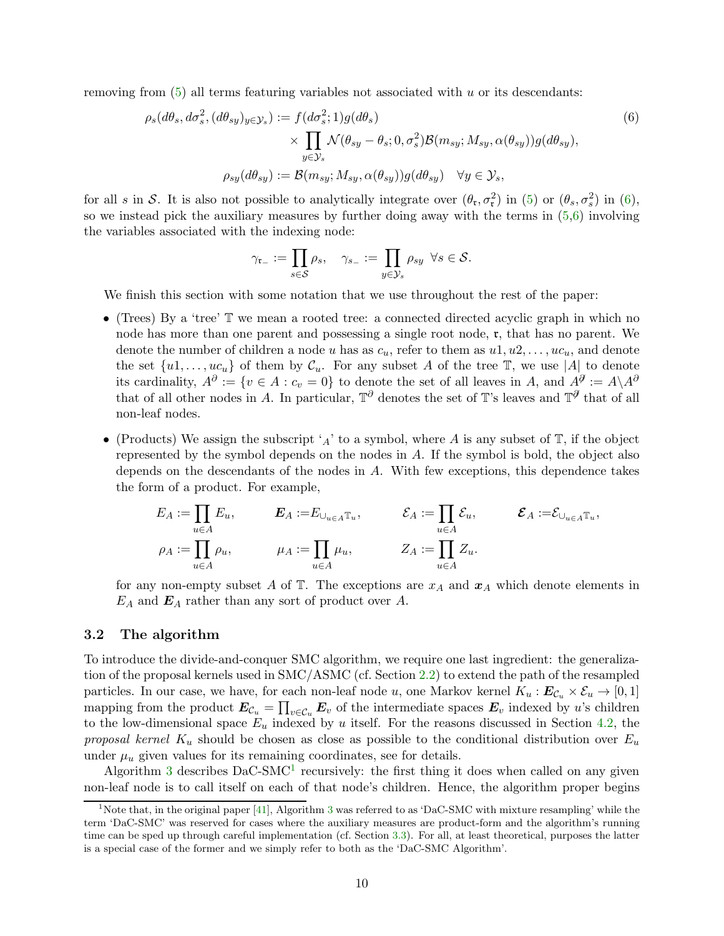removing from  $(5)$  all terms featuring variables not associated with u or its descendants:

$$
\rho_s(d\theta_s, d\sigma_s^2, (d\theta_{sy})_{y \in \mathcal{Y}_s}) := f(d\sigma_s^2; 1)g(d\theta_s)
$$
  
 
$$
\times \prod_{y \in \mathcal{Y}_s} \mathcal{N}(\theta_{sy} - \theta_s; 0, \sigma_s^2) \mathcal{B}(m_{sy}; M_{sy}, \alpha(\theta_{sy}))g(d\theta_{sy}),
$$
  
\n
$$
\rho_{sy}(d\theta_{sy}) := \mathcal{B}(m_{sy}; M_{sy}, \alpha(\theta_{sy}))g(d\theta_{sy}) \quad \forall y \in \mathcal{Y}_s,
$$
\n(6)

for all s in S. It is also not possible to analytically integrate over  $(\theta_{\rm r}, \sigma_{\rm r}^2)$  in  $(5)$  or  $(\theta_{\rm s}, \sigma_{\rm s}^2)$  in  $(6)$ , so we instead pick the auxiliary measures by further doing away with the terms in  $(5,6)$  $(5,6)$  involving the variables associated with the indexing node:

<span id="page-9-1"></span>
$$
\gamma_{\mathfrak{r}_-} := \prod_{s \in \mathcal{S}} \rho_s, \quad \gamma_{s_-} := \prod_{y \in \mathcal{Y}_s} \rho_{sy} \ \forall s \in \mathcal{S}.
$$

We finish this section with some notation that we use throughout the rest of the paper:

- (Trees) By a 'tree' T we mean a rooted tree: a connected directed acyclic graph in which no node has more than one parent and possessing a single root node, r, that has no parent. We denote the number of children a node u has as  $c_u$ , refer to them as  $u_1, u_2, \ldots, u_{\alpha}$ , and denote the set  $\{u_1, \ldots, u_{\mathcal{C}_u}\}\$  of them by  $\mathcal{C}_u$ . For any subset A of the tree  $\mathbb{T}$ , we use |A| to denote its cardinality,  $A^{\partial} := \{v \in A : c_v = 0\}$  to denote the set of all leaves in A, and  $A^{\partial} := A \setminus A^{\partial}$ that of all other nodes in A. In particular,  $\mathbb{T}^{\partial}$  denotes the set of T's leaves and  $\mathbb{T}^{\partial}$  that of all non-leaf nodes.
- (Products) We assign the subscript 'A' to a symbol, where A is any subset of  $\mathbb{T}$ , if the object represented by the symbol depends on the nodes in A. If the symbol is bold, the object also depends on the descendants of the nodes in A. With few exceptions, this dependence takes the form of a product. For example,

$$
E_A := \prod_{u \in A} E_u, \qquad E_A := E_{\cup_{u \in A} \mathbb{T}_u}, \qquad \mathcal{E}_A := \prod_{u \in A} \mathcal{E}_u, \qquad \mathcal{E}_A := \mathcal{E}_{\cup_{u \in A} \mathbb{T}_u},
$$
  

$$
\rho_A := \prod_{u \in A} \rho_u, \qquad \mu_A := \prod_{u \in A} \mu_u, \qquad Z_A := \prod_{u \in A} Z_u.
$$

for any non-empty subset A of  $\mathbb T$ . The exceptions are  $x_A$  and  $x_A$  which denote elements in  $E_A$  and  $E_A$  rather than any sort of product over A.

#### <span id="page-9-0"></span>3.2 The algorithm

To introduce the divide-and-conquer SMC algorithm, we require one last ingredient: the generalization of the proposal kernels used in SMC/ASMC (cf. Section [2.2\)](#page-4-0) to extend the path of the resampled particles. In our case, we have, for each non-leaf node u, one Markov kernel  $K_u : E_{\mathcal{C}_u} \times \mathcal{E}_u \to [0,1]$ mapping from the product  $E_{\mathcal{C}_u} = \prod_{v \in \mathcal{C}_u} E_v$  of the intermediate spaces  $E_v$  indexed by u's children to the low-dimensional space  $E_u$  indexed by u itself. For the reasons discussed in Section [4.2,](#page-19-0) the proposal kernel  $K_u$  should be chosen as close as possible to the conditional distribution over  $E_u$ under  $\mu_u$  given values for its remaining coordinates, see for details.

Algorithm [3](#page-10-0) describes  $DaC-SMC<sup>1</sup>$  $DaC-SMC<sup>1</sup>$  $DaC-SMC<sup>1</sup>$  recursively: the first thing it does when called on any given non-leaf node is to call itself on each of that node's children. Hence, the algorithm proper begins

<span id="page-9-2"></span><sup>&</sup>lt;sup>1</sup>Note that, in the original paper [\[41\]](#page-25-2), Algorithm [3](#page-10-0) was referred to as 'DaC-SMC with mixture resampling' while the term 'DaC-SMC' was reserved for cases where the auxiliary measures are product-form and the algorithm's running time can be sped up through careful implementation (cf. Section [3.3\)](#page-12-0). For all, at least theoretical, purposes the latter is a special case of the former and we simply refer to both as the 'DaC-SMC Algorithm'.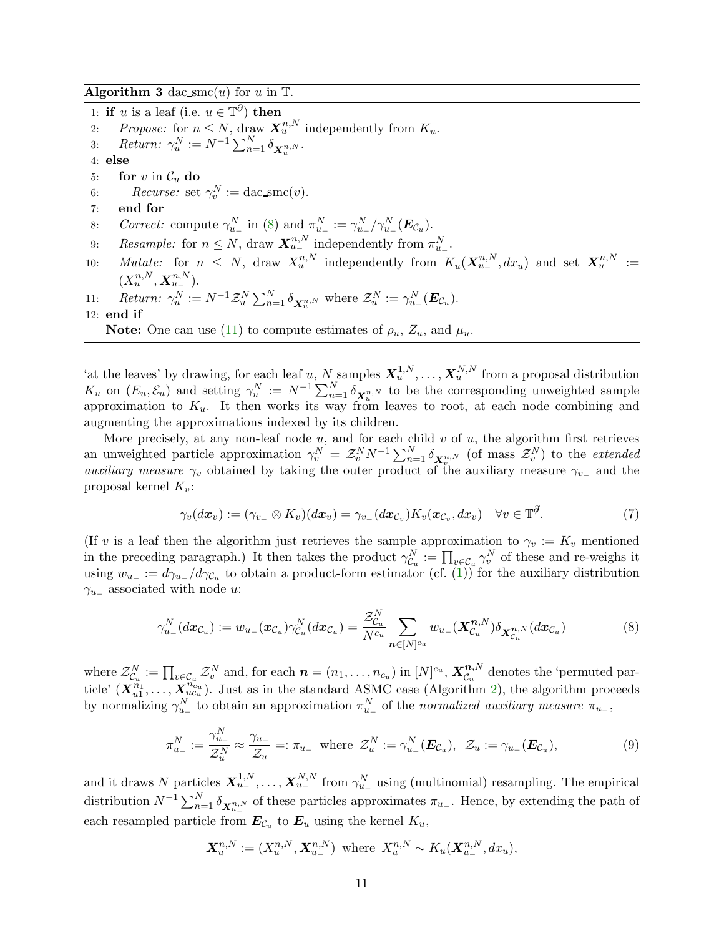<span id="page-10-0"></span>Algorithm 3 dac smc(u) for u in  $\mathbb{T}$ .

1: **if** u is a leaf (i.e.  $u \in \mathbb{T}^{\partial}$ ) then 2: Propose: for  $n \leq N$ , draw  $\mathbf{X}_u^{n,N}$  independently from  $K_u$ . 3: Return:  $\gamma_u^N := N^{-1} \sum_{n=1}^N \delta_{\mathbf{X}_u^{n,N}}$ . 4: else 5: **for** v in  $C_u$  **do**<br>6: *Recurse:* set 6: Recurse: set  $\gamma_v^N := \text{dac\_smc}(v)$ . 7: end for 8: Correct: compute  $\gamma_{u-}^N$  in [\(8\)](#page-10-1) and  $\pi_{u-}^N := \gamma_{u-}^N/\gamma_{u-}^N(\boldsymbol{E}_{\mathcal{C}_u})$ . 9: Resample: for  $n \leq N$ , draw  $\mathbf{X}_{u-}^{n,N}$  independently from  $\pi_{u-}^N$ . 10: Mutate: for  $n \leq N$ , draw  $X_u^{n,N}$  independently from  $K_u(\mathbf{X}_{u-}^{n,N},dx_u)$  and set  $\mathbf{X}_u^{n,N} :=$  $(X_u^{n,N}, \mathbf{X}_{u_-}^{n,N}).$ 11:  $Return: \gamma_u^N := N^{-1} \mathcal{Z}_u^N \sum_{n=1}^N \delta_{\mathbf{X}_u^{n,N}}$  where  $\mathcal{Z}_u^N := \gamma_{u-}^N(\mathbf{E}_{\mathcal{C}_u})$ . 12: end if **Note:** One can use [\(11\)](#page-11-0) to compute estimates of  $\rho_u$ ,  $Z_u$ , and  $\mu_u$ .

'at the leaves' by drawing, for each leaf u, N samples  $X_u^{1,N}, \ldots, X_u^{N,N}$  from a proposal distribution  $K_u$  on  $(E_u, \mathcal{E}_u)$  and setting  $\gamma_u^N := N^{-1} \sum_{n=1}^N \delta_{\mathbf{X}_u^{n,N}}$  to be the corresponding unweighted sample approximation to  $K_u$ . It then works its way from leaves to root, at each node combining and augmenting the approximations indexed by its children.

More precisely, at any non-leaf node  $u$ , and for each child  $v$  of  $u$ , the algorithm first retrieves an unweighted particle approximation  $\gamma_v^N = \mathcal{Z}_v^N N^{-1} \sum_{n=1}^N \delta_{\mathbf{X}_v^{n,N}}$  (of mass  $\mathcal{Z}_v^N$ ) to the *extended auxiliary measure*  $\gamma_v$  obtained by taking the outer product of the auxiliary measure  $\gamma_{v-}$  and the proposal kernel  $K_v$ :

$$
\gamma_v(dx_v) := (\gamma_{v_-} \otimes K_v)(dx_v) = \gamma_{v_-}(dx_{\mathcal{C}_v})K_v(x_{\mathcal{C}_v}, dx_v) \quad \forall v \in \mathbb{T}^{\mathcal{J}}.
$$
 (7)

(If v is a leaf then the algorithm just retrieves the sample approximation to  $\gamma_v := K_v$  mentioned in the preceding paragraph.) It then takes the product  $\gamma_{\mathcal{C}_u}^N := \prod_{v \in \mathcal{C}_u} \gamma_v^N$  of these and re-weighs it using  $w_{u-} := d\gamma_{u-}/d\gamma_{\mathcal{C}_u}$  to obtain a product-form estimator (cf. [\(1\)](#page-4-1)) for the auxiliary distribution  $\gamma_{u-}$  associated with node u:

<span id="page-10-1"></span>
$$
\gamma_{u_{-}}^{N}(dx_{\mathcal{C}_{u}}) := w_{u_{-}}(x_{\mathcal{C}_{u}})\gamma_{\mathcal{C}_{u}}^{N}(dx_{\mathcal{C}_{u}}) = \frac{\mathcal{Z}_{\mathcal{C}_{u}}^{N}}{N^{\mathcal{C}_{u}}}\sum_{n\in[N]^{\mathcal{C}_{u}}}w_{u_{-}}(\mathbf{X}_{\mathcal{C}_{u}}^{n,N})\delta_{\mathbf{X}_{\mathcal{C}_{u}}^{n,N}}(dx_{\mathcal{C}_{u}})
$$
(8)

where  $\mathcal{Z}_{\mathcal{C}_u}^N := \prod_{v \in \mathcal{C}_u} \mathcal{Z}_v^N$  and, for each  $\boldsymbol{n} = (n_1, \ldots, n_{c_u})$  in  $[N]^{c_u}$ ,  $\boldsymbol{X}_{\mathcal{C}_u}^{\boldsymbol{n},N}$  $c_{u}^{n,v}$  denotes the 'permuted particle'  $(X_{u1}^{n_1},...,X_{ucu}^{n_c})$ . Just as in the standard ASMC case (Algorithm [2\)](#page-6-0), the algorithm proceeds by normalizing  $\gamma_{u-}^N$  to obtain an approximation  $\pi_{u-}^N$  of the normalized auxiliary measure  $\pi_{u-}$ ,

<span id="page-10-2"></span>
$$
\pi_{u_-}^N := \frac{\gamma_{u_-}^N}{\mathcal{Z}_u^N} \approx \frac{\gamma_{u_-}}{\mathcal{Z}_u} =: \pi_{u_-} \text{ where } \mathcal{Z}_u^N := \gamma_{u_-}^N(\boldsymbol{E}_{\mathcal{C}_u}), \ \mathcal{Z}_u := \gamma_{u_-}(\boldsymbol{E}_{\mathcal{C}_u}), \tag{9}
$$

and it draws N particles  $X_{u_-}^{1,N}, \ldots, X_{u_-}^{N,N}$  from  $\gamma_{u_-}^N$  using (multinomial) resampling. The empirical distribution  $N^{-1} \sum_{n=1}^{N} \delta_{\mathbf{X}_{u-}^{n,N}}$  of these particles approximates  $\pi_{u-}$ . Hence, by extending the path of each resampled particle from  $E_{\mathcal{C}_u}$  to  $E_u$  using the kernel  $K_u$ ,

$$
\mathbf{X}_{u}^{n,N} := (X_{u}^{n,N}, \mathbf{X}_{u_{-}}^{n,N}) \text{ where } X_{u}^{n,N} \sim K_{u}(\mathbf{X}_{u_{-}}^{n,N}, dx_{u}),
$$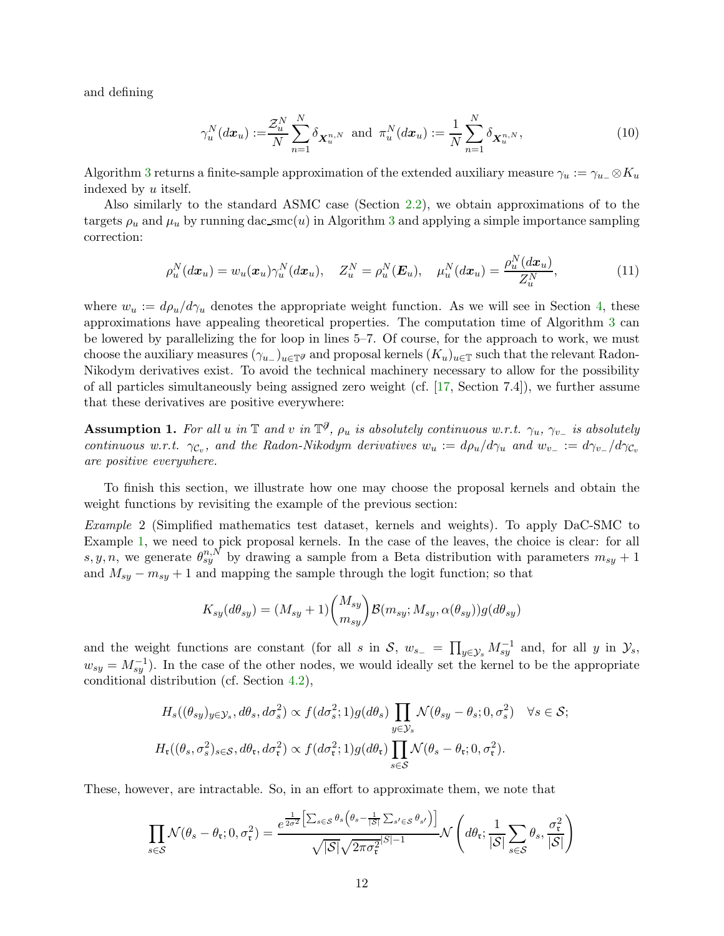and defining

<span id="page-11-2"></span><span id="page-11-0"></span>
$$
\gamma_u^N(dx_u) := \frac{\mathcal{Z}_u^N}{N} \sum_{n=1}^N \delta_{\mathbf{X}_u^{n,N}} \text{ and } \pi_u^N(dx_u) := \frac{1}{N} \sum_{n=1}^N \delta_{\mathbf{X}_u^{n,N}},
$$
(10)

Algorithm [3](#page-10-0) returns a finite-sample approximation of the extended auxiliary measure  $\gamma_u := \gamma_{u-} \otimes K_u$ indexed by u itself.

Also similarly to the standard ASMC case (Section [2.2\)](#page-4-0), we obtain approximations of to the targets  $\rho_u$  and  $\mu_u$  by running dac\_smc(u) in Algorithm [3](#page-10-0) and applying a simple importance sampling correction:

$$
\rho_u^N(dx_u) = w_u(\boldsymbol{x}_u) \gamma_u^N(dx_u), \quad Z_u^N = \rho_u^N(\boldsymbol{E}_u), \quad \mu_u^N(dx_u) = \frac{\rho_u^N(dx_u)}{Z_u^N}, \tag{11}
$$

where  $w_u := d\rho_u/d\gamma_u$  denotes the appropriate weight function. As we will see in Section [4,](#page-15-0) these approximations have appealing theoretical properties. The computation time of Algorithm [3](#page-10-0) can be lowered by parallelizing the for loop in lines 5–7. Of course, for the approach to work, we must choose the auxiliary measures  $(\gamma_{u-})_{u\in\mathbb{T}^g}$  and proposal kernels  $(K_u)_{u\in\mathbb{T}}$  such that the relevant Radon-Nikodym derivatives exist. To avoid the technical machinery necessary to allow for the possibility of all particles simultaneously being assigned zero weight (cf. [\[17,](#page-24-11) Section 7.4]), we further assume that these derivatives are positive everywhere:

<span id="page-11-1"></span>**Assumption 1.** For all u in  $\mathbb{T}$  and v in  $\mathbb{T}^{\partial}$ ,  $\rho_u$  is absolutely continuous w.r.t.  $\gamma_u$ ,  $\gamma_{v_-}$  is absolutely continuous w.r.t.  $\gamma_{\mathcal{C}_v}$ , and the Radon-Nikodym derivatives  $w_u := d\rho_u/d\gamma_u$  and  $w_{v-} := d\gamma_{v-}/d\gamma_{\mathcal{C}_v}$ are positive everywhere.

To finish this section, we illustrate how one may choose the proposal kernels and obtain the weight functions by revisiting the example of the previous section:

Example 2 (Simplified mathematics test dataset, kernels and weights). To apply DaC-SMC to Example [1,](#page-8-0) we need to pick proposal kernels. In the case of the leaves, the choice is clear: for all s, y, n, we generate  $\theta_{sy}^{n,N}$  by drawing a sample from a Beta distribution with parameters  $m_{sy} + 1$ and  $M_{sy} - m_{sy} + 1$  and mapping the sample through the logit function; so that

$$
K_{sy}(d\theta_{sy}) = (M_{sy} + 1) \binom{M_{sy}}{m_{sy}} \mathcal{B}(m_{sy}; M_{sy}, \alpha(\theta_{sy})) g(d\theta_{sy})
$$

and the weight functions are constant (for all s in S,  $w_{s-} = \prod_{y \in \mathcal{Y}_s} M_{sy}^{-1}$  and, for all y in  $\mathcal{Y}_s$ ,  $w_{sy} = M_{sy}^{-1}$ ). In the case of the other nodes, we would ideally set the kernel to be the appropriate conditional distribution (cf. Section [4.2\)](#page-19-0),

$$
H_s((\theta_{sy})_{y \in \mathcal{Y}_s}, d\theta_s, d\sigma_s^2) \propto f(d\sigma_s^2; 1)g(d\theta_s) \prod_{y \in \mathcal{Y}_s} \mathcal{N}(\theta_{sy} - \theta_s; 0, \sigma_s^2) \quad \forall s \in \mathcal{S};
$$
  

$$
H_t((\theta_s, \sigma_s^2)_{s \in \mathcal{S}}, d\theta_t, d\sigma_t^2) \propto f(d\sigma_t^2; 1)g(d\theta_t) \prod_{s \in \mathcal{S}} \mathcal{N}(\theta_s - \theta_t; 0, \sigma_t^2).
$$

These, however, are intractable. So, in an effort to approximate them, we note that

$$
\prod_{s \in S} \mathcal{N}(\theta_s - \theta_\mathfrak{r}; 0, \sigma_\mathfrak{r}^2) = \frac{e^{\frac{1}{2\sigma^2} \left[ \sum_{s \in S} \theta_s \left( \theta_s - \frac{1}{|S|} \sum_{s' \in S} \theta_{s'} \right) \right]}}{\sqrt{|S|} \sqrt{2\pi \sigma_\mathfrak{r}^{2}|S| - 1}} \mathcal{N}\left(d\theta_\mathfrak{r}; \frac{1}{|S|} \sum_{s \in S} \theta_s, \frac{\sigma_\mathfrak{r}^2}{|S|}\right)
$$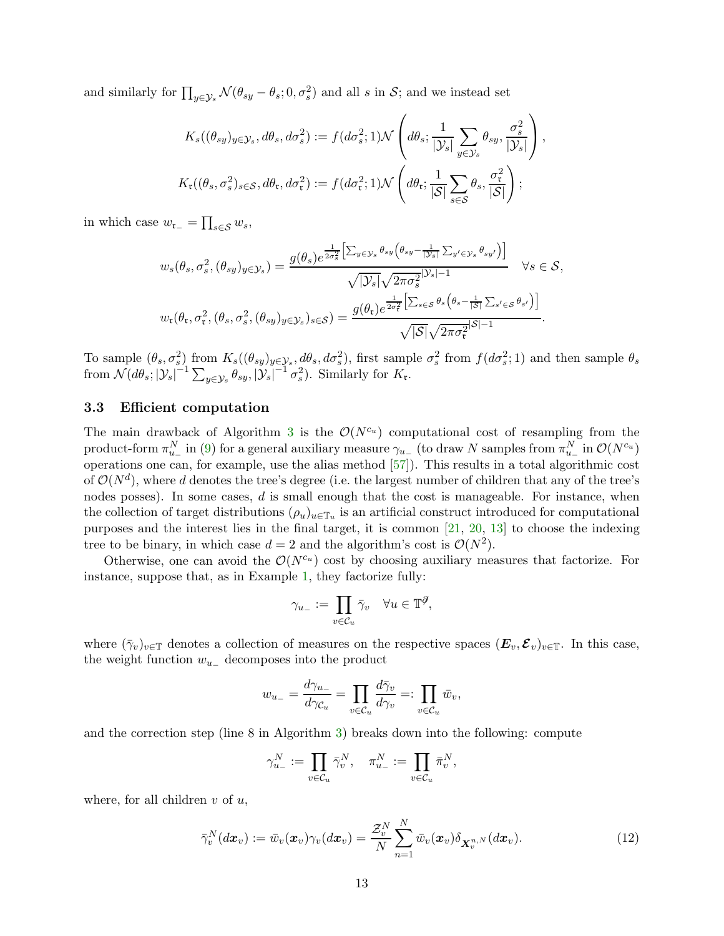and similarly for  $\prod_{y\in\mathcal{Y}_s}\mathcal{N}(\theta_{sy}-\theta_s;0,\sigma_s^2)$  and all s in  $\mathcal{S}$ ; and we instead set

$$
K_s((\theta_{sy})_{y\in\mathcal{Y}_s}, d\theta_s, d\sigma_s^2) := f(d\sigma_s^2; 1)\mathcal{N}\left(d\theta_s; \frac{1}{|\mathcal{Y}_s|} \sum_{y\in\mathcal{Y}_s} \theta_{sy}, \frac{\sigma_s^2}{|\mathcal{Y}_s|}\right),
$$
  

$$
K_t((\theta_s, \sigma_s^2)_{s\in\mathcal{S}}, d\theta_t, d\sigma_t^2) := f(d\sigma_t^2; 1)\mathcal{N}\left(d\theta_t; \frac{1}{|\mathcal{S}|} \sum_{s\in\mathcal{S}} \theta_s, \frac{\sigma_t^2}{|\mathcal{S}|}\right);
$$

in which case  $w_{\mathfrak{r}_-} = \prod_{s \in \mathcal{S}} w_s$ ,

$$
w_s(\theta_s, \sigma_s^2, (\theta_{sy})_{y \in \mathcal{Y}_s}) = \frac{g(\theta_s)e^{\frac{1}{2\sigma_s^2} \left[\sum_{y \in \mathcal{Y}_s} \theta_{sy} \left(\theta_{sy} - \frac{1}{|\mathcal{Y}_s|} \sum_{y' \in \mathcal{Y}_s} \theta_{sy'}\right)\right]}}{\sqrt{|\mathcal{Y}_s|} \sqrt{2\pi \sigma_s^{2}^{|\mathcal{Y}_s|-1}}} \quad \forall s \in \mathcal{S},
$$
  

$$
w_r(\theta_r, \sigma_r^2, (\theta_s, \sigma_s^2, (\theta_{sy})_{y \in \mathcal{Y}_s})_{s \in \mathcal{S}}) = \frac{g(\theta_r)e^{\frac{1}{2\sigma_r^2} \left[\sum_{s \in \mathcal{S}} \theta_s \left(\theta_s - \frac{1}{|\mathcal{S}|} \sum_{s' \in \mathcal{S}} \theta_{s'}\right)\right]}}{\sqrt{|\mathcal{S}|} \sqrt{2\pi \sigma_r^{2}^{|\mathcal{S}|-1}}}.
$$

To sample  $(\theta_s, \sigma_s^2)$  from  $K_s((\theta_{sy})_{y \in \mathcal{Y}_s}, d\theta_s, d\sigma_s^2)$ , first sample  $\sigma_s^2$  from  $f(d\sigma_s^2; 1)$  and then sample  $\theta_s$ from  $\mathcal{N}(d\theta_s; |\mathcal{Y}_s|^{-1} \sum_{y \in \mathcal{Y}_s} \theta_{sy}, |\mathcal{Y}_s|^{-1} \sigma_s^2)$ . Similarly for  $K_t$ .

#### <span id="page-12-0"></span>3.3 Efficient computation

The main drawback of Algorithm [3](#page-10-0) is the  $\mathcal{O}(N^{c_u})$  computational cost of resampling from the product-form  $\pi_{u_-}^N$  in [\(9\)](#page-10-2) for a general auxiliary measure  $\gamma_{u_-}$  (to draw N samples from  $\pi_{u_-}^N$  in  $\mathcal{O}(N^{c_u})$ operations one can, for example, use the alias method [\[57\]](#page-26-15)). This results in a total algorithmic cost of  $\mathcal{O}(N^d)$ , where d denotes the tree's degree (i.e. the largest number of children that any of the tree's nodes posses). In some cases,  $d$  is small enough that the cost is manageable. For instance, when the collection of target distributions  $(\rho_u)_{u \in \mathbb{T}_u}$  is an artificial construct introduced for computational purposes and the interest lies in the final target, it is common [\[21,](#page-24-4) [20,](#page-24-3) [13\]](#page-24-2) to choose the indexing tree to be binary, in which case  $d = 2$  and the algorithm's cost is  $\mathcal{O}(N^2)$ .

Otherwise, one can avoid the  $\mathcal{O}(N^{c_u})$  cost by choosing auxiliary measures that factorize. For instance, suppose that, as in Example [1,](#page-8-0) they factorize fully:

$$
\gamma_{u_-}:=\prod_{v\in\mathcal{C}_u}\bar{\gamma}_v\quad\forall u\in\mathbb{T}^\partial,
$$

where  $(\bar{\gamma}_v)_{v\in\mathbb{T}}$  denotes a collection of measures on the respective spaces  $(E_v, \mathcal{E}_v)_{v\in\mathbb{T}}$ . In this case, the weight function  $w_{u-}$  decomposes into the product

$$
w_{u_{-}} = \frac{d\gamma_{u_{-}}}{d\gamma_{\mathcal{C}_u}} = \prod_{v \in \mathcal{C}_u} \frac{d\bar{\gamma}_v}{d\gamma_v} =: \prod_{v \in \mathcal{C}_u} \bar{w}_v,
$$

and the correction step (line 8 in Algorithm [3\)](#page-10-0) breaks down into the following: compute

$$
\gamma_{u_-}^N := \prod_{v \in \mathcal{C}_u} \bar{\gamma}_v^N, \quad \pi_{u_-}^N := \prod_{v \in \mathcal{C}_u} \bar{\pi}_v^N,
$$

where, for all children  $v$  of  $u$ ,

<span id="page-12-1"></span>
$$
\bar{\gamma}_v^N(dx_v) := \bar{w}_v(x_v)\gamma_v(dx_v) = \frac{\mathcal{Z}_v^N}{N} \sum_{n=1}^N \bar{w}_v(x_v)\delta_{\mathbf{X}_v^{n,N}}(dx_v).
$$
\n(12)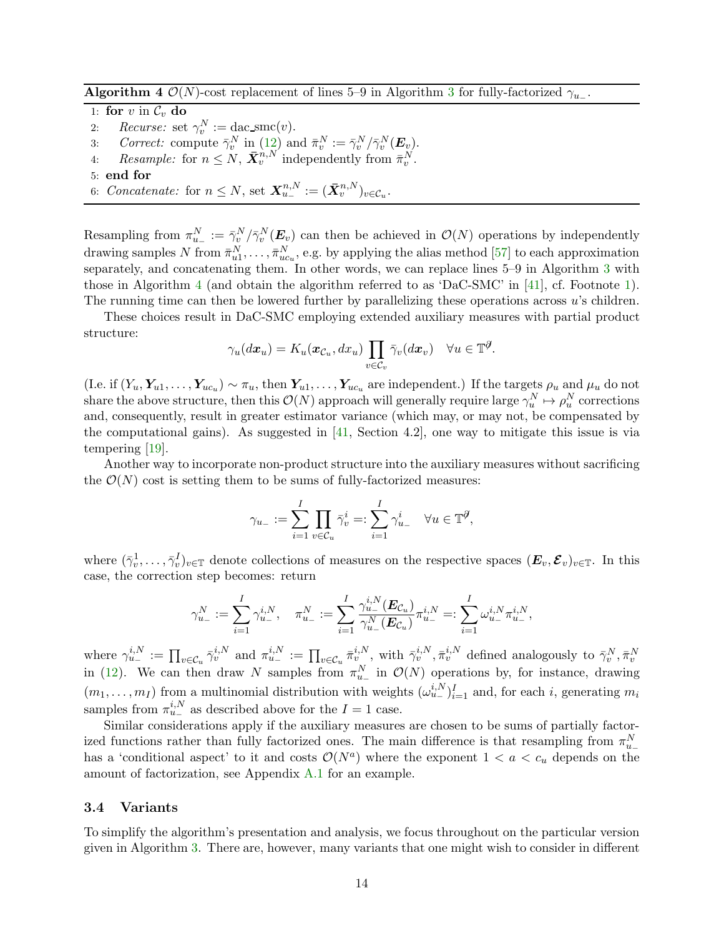<span id="page-13-1"></span>Algorithm 4  $\mathcal{O}(N)$ -cost replacement of lines 5–9 in Algorithm [3](#page-10-0) for fully-factorized  $\gamma_{u-}$ .

1: for v in  $\mathcal{C}_v$  do 2: Recurse: set  $\gamma_v^N := \text{dac\_smc}(v)$ .

- v 3: Correct: compute  $\bar{\gamma}_v^N$  in  $(12)$  and  $\bar{\pi}_v^N := \bar{\gamma}_v^N / \bar{\gamma}_v^N(E_v)$ .
- 4: Resample: for  $n \leq N$ ,  $\bar{\mathbf{X}}_v^{n,N}$  independently from  $\bar{\pi}_v^N$ .
- 5: end for
- 6: Concatenate: for  $n \leq N$ , set  $\mathbf{X}_{u-}^{n,N} := (\bar{\mathbf{X}}_v^{n,N})_{v \in \mathcal{C}_u}$ .

Resampling from  $\pi_{u_-}^N := \bar{\gamma}_v^N / \bar{\gamma}_v^N(E_v)$  can then be achieved in  $\mathcal{O}(N)$  operations by independently drawing samples N from  $\bar{\pi}_{u1}^N, \ldots, \bar{\pi}_{uc_u}^N$ , e.g. by applying the alias method [\[57\]](#page-26-15) to each approximation separately, and concatenating them. In other words, we can replace lines 5–9 in Algorithm [3](#page-10-0) with those in Algorithm [4](#page-13-1) (and obtain the algorithm referred to as 'DaC-SMC' in [\[41\]](#page-25-2), cf. Footnote [1\)](#page-9-2). The running time can then be lowered further by parallelizing these operations across u's children.

These choices result in DaC-SMC employing extended auxiliary measures with partial product structure:

$$
\gamma_u(dx_u) = K_u(\boldsymbol{x}_{\mathcal{C}_u}, dx_u) \prod_{v \in \mathcal{C}_v} \bar{\gamma}_v(dx_v) \quad \forall u \in \mathbb{T}^{\mathcal{J}}.
$$

(I.e. if  $(Y_u, Y_{u1}, \ldots, Y_{uc_u}) \sim \pi_u$ , then  $Y_{u1}, \ldots, Y_{uc_u}$  are independent.) If the targets  $\rho_u$  and  $\mu_u$  do not share the above structure, then this  $\mathcal{O}(N)$  approach will generally require large  $\gamma_u^N \mapsto \rho_u^N$  corrections and, consequently, result in greater estimator variance (which may, or may not, be compensated by the computational gains). As suggested in [\[41,](#page-25-2) Section 4.2], one way to mitigate this issue is via tempering [\[19\]](#page-24-9).

Another way to incorporate non-product structure into the auxiliary measures without sacrificing the  $\mathcal{O}(N)$  cost is setting them to be sums of fully-factorized measures:

$$
\gamma_{u_-} := \sum_{i=1}^I \prod_{v \in \mathcal{C}_u} \bar{\gamma}_v^i =: \sum_{i=1}^I \gamma_{u_-}^i \quad \forall u \in \mathbb{T}^\mathcal{J},
$$

where  $(\bar{\gamma}_v^1,\ldots,\bar{\gamma}_v^I)_{v\in\mathbb{T}}$  denote collections of measures on the respective spaces  $(\bm{E}_v,\bm{\mathcal{E}}_v)_{v\in\mathbb{T}}$ . In this case, the correction step becomes: return

$$
\gamma_{u_{-}}^{N}:=\sum_{i=1}^{I}\gamma_{u_{-}}^{i,N},\quad \pi_{u_{-}}^{N}:=\sum_{i=1}^{I}\frac{\gamma_{u_{-}}^{i,N}(\boldsymbol{E}_{\mathcal{C}_{u}})}{\gamma_{u_{-}}^{N}(\boldsymbol{E}_{\mathcal{C}_{u}})}\pi_{u_{-}}^{i,N}=:\sum_{i=1}^{I}\omega_{u_{-}}^{i,N}\pi_{u_{-}}^{i,N},
$$

where  $\gamma_{u-}^{i,N} := \prod_{v \in \mathcal{C}_u} \bar{\gamma}_v^{i,N}$  and  $\pi_{u-}^{i,N} := \prod_{v \in \mathcal{C}_u} \bar{\pi}_v^{i,N}$ , with  $\bar{\gamma}_v^{i,N} \bar{\pi}_v^{i,N}$  defined analogously to  $\bar{\gamma}_v^N, \bar{\pi}_v^N$ in [\(12\)](#page-12-1). We can then draw N samples from  $\pi_{u_{-}}^{N}$  in  $\mathcal{O}(N)$  operations by, for instance, drawing  $(m_1, \ldots, m_I)$  from a multinomial distribution with weights  $(\omega_{u-}^{i,N})_{i=1}^I$  and, for each i, generating  $m_i$ samples from  $\pi_{u_{-}}^{i,N}$  as described above for the  $I = 1$  case.

Similar considerations apply if the auxiliary measures are chosen to be sums of partially factorized functions rather than fully factorized ones. The main difference is that resampling from  $\pi_{u_{-}}^{N}$ has a 'conditional aspect' to it and costs  $\mathcal{O}(N^a)$  where the exponent  $1 < a < c_u$  depends on the amount of factorization, see Appendix [A.1](#page-27-1) for an example.

#### <span id="page-13-0"></span>3.4 Variants

To simplify the algorithm's presentation and analysis, we focus throughout on the particular version given in Algorithm [3.](#page-10-0) There are, however, many variants that one might wish to consider in different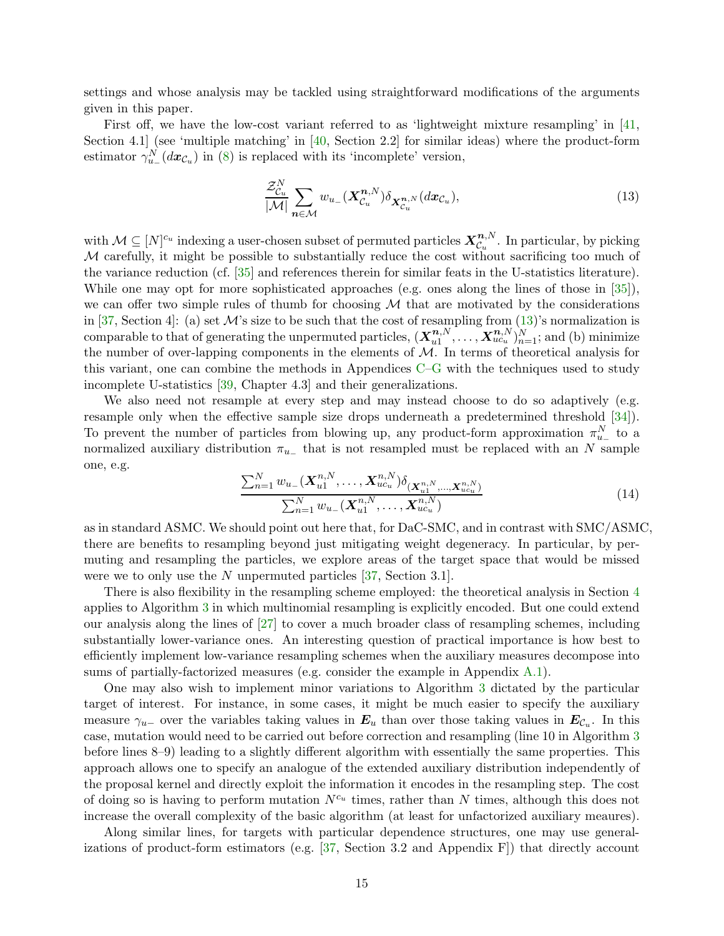settings and whose analysis may be tackled using straightforward modifications of the arguments given in this paper.

First off, we have the low-cost variant referred to as 'lightweight mixture resampling' in [\[41,](#page-25-2) Section 4.1 (see 'multiple matching' in  $[40, \text{Section } 2.2]$  for similar ideas) where the product-form estimator  $\gamma_{u_{-}}^{N}(dx_{\mathcal{C}_u})$  in [\(8\)](#page-10-1) is replaced with its 'incomplete' version,

<span id="page-14-0"></span>
$$
\frac{\mathcal{Z}_{\mathcal{C}_u}^N}{|\mathcal{M}|} \sum_{\mathbf{n} \in \mathcal{M}} w_{u-} (\mathbf{X}_{\mathcal{C}_u}^{\mathbf{n},N}) \delta_{\mathbf{X}_{\mathcal{C}_u}^{\mathbf{n},N}} (d\mathbf{x}_{\mathcal{C}_u}),
$$
\n(13)

with  $\mathcal{M} \subseteq [N]^{c_u}$  indexing a user-chosen subset of permuted particles  $\mathbf{X}_{c_u}^{\mathbf{n},N}$  $\mathcal{C}_u^{n,N}$ . In particular, by picking  $M$  carefully, it might be possible to substantially reduce the cost without sacrificing too much of the variance reduction (cf. [\[35\]](#page-25-12) and references therein for similar feats in the U-statistics literature). While one may opt for more sophisticated approaches (e.g. ones along the lines of those in  $[35]$ ), we can offer two simple rules of thumb for choosing  $M$  that are motivated by the considerations in [\[37,](#page-25-3) Section 4]: (a) set M's size to be such that the cost of resampling from  $(13)$ 's normalization is comparable to that of generating the unpermuted particles,  $(X_{u1}^{n,N})$  $\overbrace{u_1^{n,N}},\ldots,\overbrace{X_{uc_u}^{n,N}}_{n=1}^{N,N};$  and (b) minimize the number of over-lapping components in the elements of  $M$ . In terms of theoretical analysis for this variant, one can combine the methods in Appendices [C–](#page-30-0)[G](#page-43-0) with the techniques used to study incomplete U-statistics [\[39,](#page-25-4) Chapter 4.3] and their generalizations.

We also need not resample at every step and may instead choose to do so adaptively (e.g. resample only when the effective sample size drops underneath a predetermined threshold [\[34\]](#page-25-13)). To prevent the number of particles from blowing up, any product-form approximation  $\pi_{u_-}^N$  to a normalized auxiliary distribution  $\pi_{u_{-}}$  that is not resampled must be replaced with an N sample one, e.g.

$$
\frac{\sum_{n=1}^{N} w_{u-}(\mathbf{X}_{u1}^{n,N},\ldots,\mathbf{X}_{ucu}^{n,N})\delta_{(\mathbf{X}_{u1}^{n,N},\ldots,\mathbf{X}_{ucu}^{n,N})}}{\sum_{n=1}^{N} w_{u-}(\mathbf{X}_{u1}^{n,N},\ldots,\mathbf{X}_{ucu}^{n,N})}
$$
(14)

as in standard ASMC. We should point out here that, for DaC-SMC, and in contrast with SMC/ASMC, there are benefits to resampling beyond just mitigating weight degeneracy. In particular, by permuting and resampling the particles, we explore areas of the target space that would be missed were we to only use the N unpermuted particles  $[37, Section 3.1]$ .

There is also flexibility in the resampling scheme employed: the theoretical analysis in Section [4](#page-15-0) applies to Algorithm [3](#page-10-0) in which multinomial resampling is explicitly encoded. But one could extend our analysis along the lines of [\[27\]](#page-25-8) to cover a much broader class of resampling schemes, including substantially lower-variance ones. An interesting question of practical importance is how best to efficiently implement low-variance resampling schemes when the auxiliary measures decompose into sums of partially-factorized measures (e.g. consider the example in Appendix [A.1\)](#page-27-1).

One may also wish to implement minor variations to Algorithm [3](#page-10-0) dictated by the particular target of interest. For instance, in some cases, it might be much easier to specify the auxiliary measure  $\gamma_{u-}$  over the variables taking values in  $E_u$  than over those taking values in  $E_{\mathcal{C}_u}$ . In this case, mutation would need to be carried out before correction and resampling (line 10 in Algorithm [3](#page-10-0) before lines 8–9) leading to a slightly different algorithm with essentially the same properties. This approach allows one to specify an analogue of the extended auxiliary distribution independently of the proposal kernel and directly exploit the information it encodes in the resampling step. The cost of doing so is having to perform mutation  $N^{c_u}$  times, rather than N times, although this does not increase the overall complexity of the basic algorithm (at least for unfactorized auxiliary meaures).

Along similar lines, for targets with particular dependence structures, one may use generalizations of product-form estimators (e.g. [\[37,](#page-25-3) Section 3.2 and Appendix F]) that directly account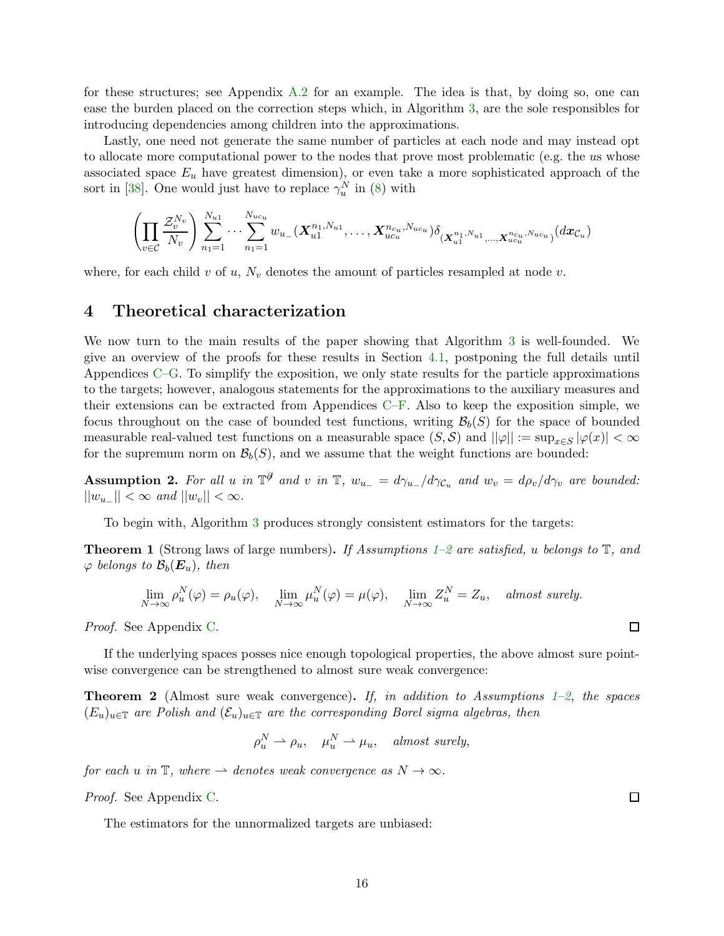for these structures; see Appendix [A.2](#page-28-0) for an example. The idea is that, by doing so, one can ease the burden placed on the correction steps which, in Algorithm [3,](#page-10-0) are the sole responsibles for introducing dependencies among children into the approximations.

Lastly, one need not generate the same number of particles at each node and may instead opt to allocate more computational power to the nodes that prove most problematic (e.g. the us whose associated space  $E_u$  have greatest dimension), or even take a more sophisticated approach of the sort in [\[38\]](#page-25-14). One would just have to replace  $\gamma_u^N$  in [\(8\)](#page-10-1) with

$$
\left(\prod_{v\in\mathcal{C}}\frac{\mathcal{Z}_{v}^{N_{v}}}{N_{v}}\right)\sum_{n_{1}=1}^{N_{u1}}\cdots\sum_{n_{1}=1}^{N_{uc_{u}}}w_{u_{-}}(\boldsymbol{X}_{u1}^{n_{1},N_{u1}},\ldots,\boldsymbol{X}_{uc_{u}}^{n_{cu},N_{uc_{u}}})\delta_{(\boldsymbol{X}_{u1}^{n_{1},N_{u1}},\ldots,\boldsymbol{X}_{uc_{u}}^{n_{cu},N_{uc_{u}}})}(d\boldsymbol{x}_{\mathcal{C}_{u}})
$$

<span id="page-15-0"></span>where, for each child v of u,  $N_v$  denotes the amount of particles resampled at node v.

### 4 Theoretical characterization

We now turn to the main results of the paper showing that Algorithm [3](#page-10-0) is well-founded. We give an overview of the proofs for these results in Section [4.1,](#page-17-1) postponing the full details until Appendices [C–](#page-30-0)[G.](#page-43-0) To simplify the exposition, we only state results for the particle approximations to the targets; however, analogous statements for the approximations to the auxiliary measures and their extensions can be extracted from Appendices [C](#page-30-0)[–F.](#page-40-0) Also to keep the exposition simple, we focus throughout on the case of bounded test functions, writing  $\mathcal{B}_b(S)$  for the space of bounded measurable real-valued test functions on a measurable space  $(S, S)$  and  $||\varphi|| := \sup_{x \in S} |\varphi(x)| < \infty$ for the supremum norm on  $\mathcal{B}_b(S)$ , and we assume that the weight functions are bounded:

<span id="page-15-3"></span>**Assumption 2.** For all u in  $\mathbb{T}^{\partial}$  and v in  $\mathbb{T}$ ,  $w_{u-} = d\gamma_{u-}/d\gamma_{\mathcal{C}_u}$  and  $w_v = d\rho_v/d\gamma_v$  are bounded:  $||w_{u-}|| < \infty$  and  $||w_v|| < \infty$ .

To begin with, Algorithm [3](#page-10-0) produces strongly consistent estimators for the targets:

<span id="page-15-1"></span>**Theorem [1](#page-11-1)** (Strong laws of large numbers). If Assumptions 1[–2](#page-15-3) are satisfied, u belongs to  $\mathbb{T}$ , and  $\varphi$  belongs to  $\mathcal{B}_b(\boldsymbol{E}_u)$ , then

$$
\lim_{N \to \infty} \rho_u^N(\varphi) = \rho_u(\varphi), \quad \lim_{N \to \infty} \mu_u^N(\varphi) = \mu(\varphi), \quad \lim_{N \to \infty} Z_u^N = Z_u, \quad almost \ surely.
$$

Proof. See Appendix [C.](#page-30-0)

If the underlying spaces posses nice enough topological properties, the above almost sure pointwise convergence can be strengthened to almost sure weak convergence:

<span id="page-15-2"></span>**Theorem 2** (Almost sure weak convergence). If, in addition to Assumptions [1–](#page-11-1)[2,](#page-15-3) the spaces  $(E_u)_{u \in \mathbb{T}}$  are Polish and  $(\mathcal{E}_u)_{u \in \mathbb{T}}$  are the corresponding Borel sigma algebras, then

$$
\rho_u^N \rightharpoonup \rho_u, \quad \mu_u^N \rightharpoonup \mu_u, \quad almost \ surely,
$$

for each u in  $\mathbb{T}$ , where  $\rightarrow$  denotes weak convergence as  $N \rightarrow \infty$ .

Proof. See Appendix [C.](#page-30-0)

The estimators for the unnormalized targets are unbiased:

 $\Box$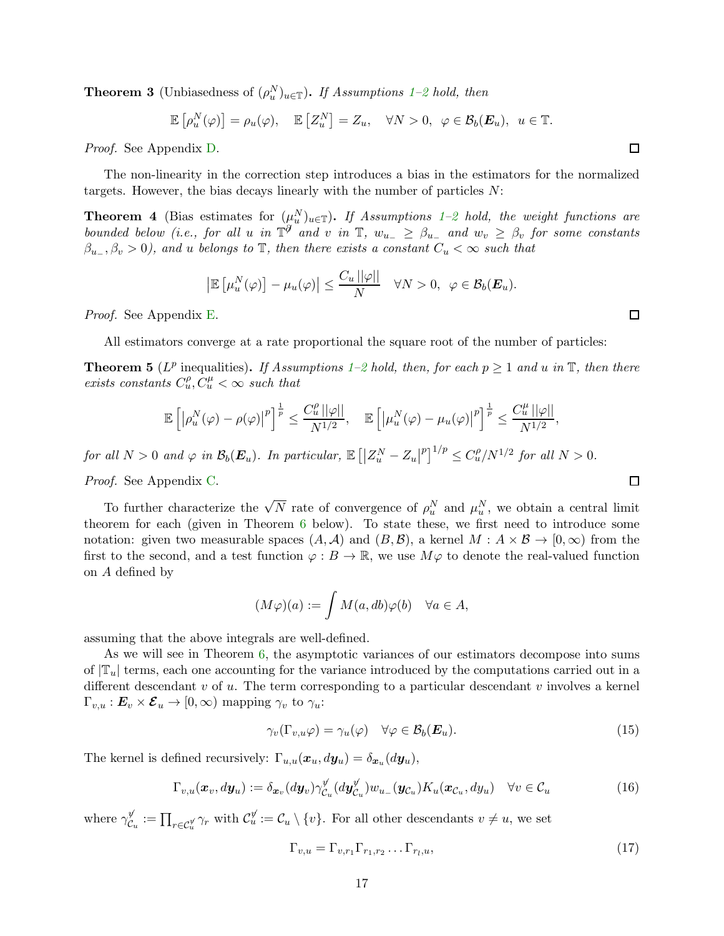<span id="page-16-1"></span>**Theorem 3** (Unbiasedness of  $(\rho_u^N)_{u \in \mathbb{T}}$ ). If Assumptions [1](#page-11-1)[–2](#page-15-3) hold, then

$$
\mathbb{E}\left[\rho_u^N(\varphi)\right] = \rho_u(\varphi), \quad \mathbb{E}\left[Z_u^N\right] = Z_u, \quad \forall N > 0, \ \varphi \in \mathcal{B}_b(\boldsymbol{E}_u), \ u \in \mathbb{T}.
$$

Proof. See Appendix [D.](#page-35-0)

The non-linearity in the correction step introduces a bias in the estimators for the normalized targets. However, the bias decays linearly with the number of particles N:

<span id="page-16-2"></span>**Theorem 4** (Bias estimates for  $(\mu_u^N)_{u \in \mathbb{T}}$ ). If Assumptions [1–](#page-11-1)[2](#page-15-3) hold, the weight functions are bounded below (i.e., for all u in  $\mathbb{T}^{\mathcal{J}}$  and v in  $\mathbb{T}$ ,  $w_{u-} \geq \beta_{u-}$  and  $w_v \geq \beta_v$  for some constants  $\beta_{u_-}, \beta_v > 0$ , and u belongs to  $\mathbb T$ , then there exists a constant  $C_u < \infty$  such that

$$
\left|\mathbb{E}\left[\mu_u^N(\varphi)\right]-\mu_u(\varphi)\right|\leq \frac{C_u\left|\left|\varphi\right|\right|}{N} \quad \forall N>0, \ \varphi\in \mathcal{B}_b(\boldsymbol{E}_u).
$$

Proof. See Appendix [E.](#page-36-0)

All estimators converge at a rate proportional the square root of the number of particles:

<span id="page-16-0"></span>**Theorem 5** ( $L^p$  inequalities). If Assumptions [1–](#page-11-1)[2](#page-15-3) hold, then, for each  $p \ge 1$  and u in  $\mathbb{T}$ , then there exists constants  $C_u^{\rho}, C_u^{\mu} < \infty$  such that

$$
\mathbb{E}\left[\left|\rho_u^N(\varphi)-\rho(\varphi)\right|^p\right]^{\frac{1}{p}} \leq \frac{C_u^{\rho}\left|\left|\varphi\right|\right|}{N^{1/2}}, \quad \mathbb{E}\left[\left|\mu_u^N(\varphi)-\mu_u(\varphi)\right|^p\right]^{\frac{1}{p}} \leq \frac{C_u^{\mu}\left|\left|\varphi\right|\right|}{N^{1/2}},
$$

for all  $N > 0$  and  $\varphi$  in  $\mathcal{B}_b(\mathbf{E}_u)$ . In particular,  $\mathbb{E}\left[ \left| Z_u^N - Z_u \right| \right]$  $\int_{0}^{p} \int_{0}^{1/p} \leq C_{u}^{\rho}/N^{1/2}$  for all  $N > 0$ .

Proof. See Appendix [C.](#page-30-0)

To further characterize the  $\sqrt{N}$  rate of convergence of  $\rho_u^N$  and  $\mu_u^N$ , we obtain a central limit theorem for each (given in Theorem [6](#page-17-0) below). To state these, we first need to introduce some notation: given two measurable spaces  $(A, \mathcal{A})$  and  $(B, \mathcal{B})$ , a kernel  $M : A \times \mathcal{B} \to [0, \infty)$  from the first to the second, and a test function  $\varphi : B \to \mathbb{R}$ , we use  $M\varphi$  to denote the real-valued function on A defined by

$$
(M\varphi)(a) := \int M(a, db)\varphi(b) \quad \forall a \in A,
$$

assuming that the above integrals are well-defined.

As we will see in Theorem [6,](#page-17-0) the asymptotic variances of our estimators decompose into sums of  $|\mathbb{T}_u|$  terms, each one accounting for the variance introduced by the computations carried out in a different descendant  $v$  of  $u$ . The term corresponding to a particular descendant  $v$  involves a kernel  $\Gamma_{v,u} : E_v \times \mathcal{E}_u \to [0,\infty)$  mapping  $\gamma_v$  to  $\gamma_u$ .

$$
\gamma_v(\Gamma_{v,u}\varphi) = \gamma_u(\varphi) \quad \forall \varphi \in \mathcal{B}_b(E_u). \tag{15}
$$

The kernel is defined recursively:  $\Gamma_{u,u}(\boldsymbol{x}_u, d\boldsymbol{y}_u) = \delta_{\boldsymbol{x}_u}(d\boldsymbol{y}_u)$ ,

<span id="page-16-5"></span>
$$
\Gamma_{v,u}(\boldsymbol{x}_v, d\boldsymbol{y}_u) := \delta_{\boldsymbol{x}_v}(d\boldsymbol{y}_v) \gamma_{\mathcal{C}_u}^{\psi}(d\boldsymbol{y}_{\mathcal{C}_u}^{\psi}) w_{u-}(\boldsymbol{y}_{\mathcal{C}_u}) K_u(\boldsymbol{x}_{\mathcal{C}_u}, d\boldsymbol{y}_u) \quad \forall v \in \mathcal{C}_u
$$
\n(16)

where  $\gamma_{\mathcal{C}}^y$  $\mathcal{C}_u^{\psi} := \prod_{r \in \mathcal{C}_u^{\psi}} \gamma_r$  with  $\mathcal{C}_u^{\psi} := \mathcal{C}_u \setminus \{v\}$ . For all other descendants  $v \neq u$ , we set

<span id="page-16-4"></span><span id="page-16-3"></span>
$$
\Gamma_{v,u} = \Gamma_{v,r_1} \Gamma_{r_1,r_2} \dots \Gamma_{r_l,u},\tag{17}
$$

 $\Box$ 

 $\Box$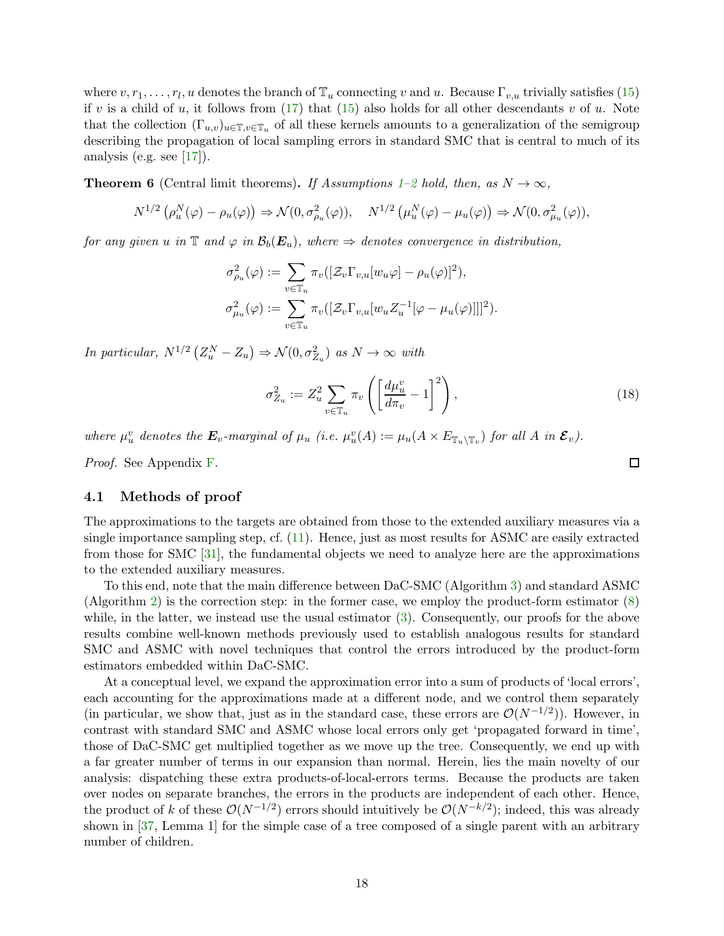where  $v, r_1, \ldots, r_l, u$  denotes the branch of  $\mathbb{T}_u$  connecting v and u. Because  $\Gamma_{v,u}$  trivially satisfies [\(15\)](#page-16-3) if v is a child of u, it follows from  $(17)$  that  $(15)$  also holds for all other descendants v of u. Note that the collection  $(\Gamma_{u,v})_{u\in\mathbb{T},v\in\mathbb{T}_u}$  of all these kernels amounts to a generalization of the semigroup describing the propagation of local sampling errors in standard SMC that is central to much of its analysis (e.g. see  $[17]$ ).

<span id="page-17-0"></span>**Theorem 6** (Central limit theorems). If Assumptions [1](#page-11-1)[–2](#page-15-3) hold, then, as  $N \to \infty$ .

$$
N^{1/2} \left( \rho_u^N(\varphi) - \rho_u(\varphi) \right) \Rightarrow \mathcal{N}(0, \sigma_{\rho_u}^2(\varphi)), \quad N^{1/2} \left( \mu_u^N(\varphi) - \mu_u(\varphi) \right) \Rightarrow \mathcal{N}(0, \sigma_{\mu_u}^2(\varphi)),
$$

for any given u in  $\mathbb{T}$  and  $\varphi$  in  $\mathcal{B}_b(E_u)$ , where  $\Rightarrow$  denotes convergence in distribution,

$$
\sigma_{\rho_u}^2(\varphi) := \sum_{v \in \mathbb{T}_u} \pi_v([\mathcal{Z}_v \Gamma_{v,u}[w_u \varphi] - \rho_u(\varphi)]^2),
$$
  

$$
\sigma_{\mu_u}^2(\varphi) := \sum_{v \in \mathbb{T}_u} \pi_v([\mathcal{Z}_v \Gamma_{v,u}[w_u Z_u^{-1}[\varphi - \mu_u(\varphi)]]]^2).
$$

In particular,  $N^{1/2} (Z_u^N - Z_u) \Rightarrow \mathcal{N}(0, \sigma_{Z_u}^2)$  as  $N \to \infty$  with

<span id="page-17-2"></span>
$$
\sigma_{Z_u}^2 := Z_u^2 \sum_{v \in \mathbb{T}_u} \pi_v \left( \left[ \frac{d\mu_u^v}{d\pi_v} - 1 \right]^2 \right),\tag{18}
$$

where  $\mu_u^v$  denotes the  $\mathbf{E}_v$ -marginal of  $\mu_u$  (i.e.  $\mu_u^v(A) := \mu_u(A \times E_{\mathbb{T}_u \setminus \mathbb{T}_v})$  for all A in  $\mathcal{E}_v$ ).

Proof. See Appendix [F.](#page-40-0)

#### <span id="page-17-1"></span>4.1 Methods of proof

The approximations to the targets are obtained from those to the extended auxiliary measures via a single importance sampling step, cf. [\(11\)](#page-11-0). Hence, just as most results for ASMC are easily extracted from those for SMC [\[31\]](#page-25-9), the fundamental objects we need to analyze here are the approximations to the extended auxiliary measures.

To this end, note that the main difference between DaC-SMC (Algorithm [3\)](#page-10-0) and standard ASMC (Algorithm [2\)](#page-6-0) is the correction step: in the former case, we employ the product-form estimator [\(8\)](#page-10-1) while, in the latter, we instead use the usual estimator [\(3\)](#page-6-1). Consequently, our proofs for the above results combine well-known methods previously used to establish analogous results for standard SMC and ASMC with novel techniques that control the errors introduced by the product-form estimators embedded within DaC-SMC.

At a conceptual level, we expand the approximation error into a sum of products of 'local errors', each accounting for the approximations made at a different node, and we control them separately (in particular, we show that, just as in the standard case, these errors are  $\mathcal{O}(N^{-1/2})$ ). However, in contrast with standard SMC and ASMC whose local errors only get 'propagated forward in time', those of DaC-SMC get multiplied together as we move up the tree. Consequently, we end up with a far greater number of terms in our expansion than normal. Herein, lies the main novelty of our analysis: dispatching these extra products-of-local-errors terms. Because the products are taken over nodes on separate branches, the errors in the products are independent of each other. Hence, the product of k of these  $\mathcal{O}(N^{-1/2})$  errors should intuitively be  $\mathcal{O}(N^{-k/2})$ ; indeed, this was already shown in [\[37,](#page-25-3) Lemma 1] for the simple case of a tree composed of a single parent with an arbitrary number of children.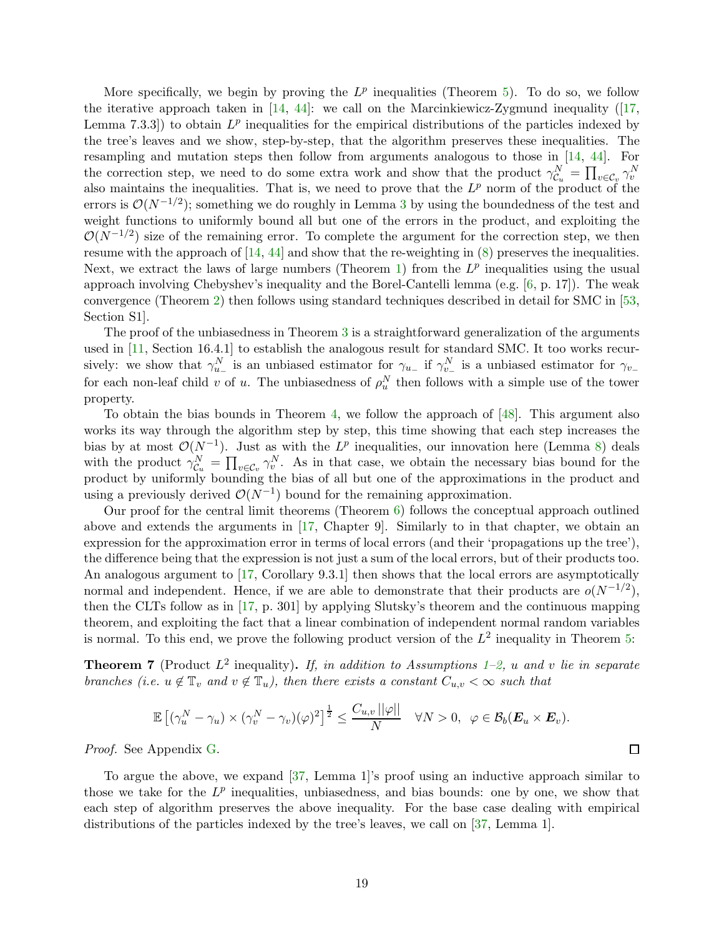More specifically, we begin by proving the  $L^p$  inequalities (Theorem [5\)](#page-16-0). To do so, we follow theiterative approach taken in  $[14, 44]$  $[14, 44]$ : we call on the Marcinkiewicz-Zygmund inequality ( $[17, 17]$  $[17, 17]$ ) Lemma 7.3.3) to obtain  $L^p$  inequalities for the empirical distributions of the particles indexed by the tree's leaves and we show, step-by-step, that the algorithm preserves these inequalities. The resampling and mutation steps then follow from arguments analogous to those in [\[14,](#page-24-10) [44\]](#page-26-10). For the correction step, we need to do some extra work and show that the product  $\gamma_{\mathcal{C}_u}^N = \prod_{v \in \mathcal{C}_v} \gamma_v^N$ also maintains the inequalities. That is, we need to prove that the  $L^p$  norm of the product of the errors is  $\mathcal{O}(N^{-1/2})$ ; something we do roughly in Lemma [3](#page-31-0) by using the boundedness of the test and weight functions to uniformly bound all but one of the errors in the product, and exploiting the  $\mathcal{O}(N^{-1/2})$  size of the remaining error. To complete the argument for the correction step, we then resume with the approach of  $[14, 44]$  $[14, 44]$  and show that the re-weighting in  $(8)$  preserves the inequalities. Next, we extract the laws of large numbers (Theorem [1\)](#page-15-1) from the  $L^p$  inequalities using the usual approach involving Chebyshev's inequality and the Borel-Cantelli lemma (e.g. [\[6,](#page-23-2) p. 17]). The weak convergence (Theorem [2\)](#page-15-2) then follows using standard techniques described in detail for SMC in [\[53,](#page-26-9) Section S1].

The proof of the unbiasedness in Theorem [3](#page-16-1) is a straightforward generalization of the arguments used in [\[11,](#page-24-6) Section 16.4.1] to establish the analogous result for standard SMC. It too works recursively: we show that  $\gamma_{u_-}^N$  is an unbiased estimator for  $\gamma_{u_-}$  if  $\gamma_{v_-}^N$  is a unbiased estimator for  $\gamma_{v_-}$ for each non-leaf child v of u. The unbiasedness of  $\rho_u^N$  then follows with a simple use of the tower property.

To obtain the bias bounds in Theorem [4,](#page-16-2) we follow the approach of [\[48\]](#page-26-11). This argument also works its way through the algorithm step by step, this time showing that each step increases the bias by at most  $\mathcal{O}(N^{-1})$ . Just as with the  $L^p$  inequalities, our innovation here (Lemma [8\)](#page-37-0) deals with the product  $\gamma_{\mathcal{C}_u}^N = \prod_{v \in \mathcal{C}_v} \gamma_v^N$ . As in that case, we obtain the necessary bias bound for the product by uniformly bounding the bias of all but one of the approximations in the product and using a previously derived  $\mathcal{O}(N^{-1})$  bound for the remaining approximation.

Our proof for the central limit theorems (Theorem [6\)](#page-17-0) follows the conceptual approach outlined above and extends the arguments in [\[17,](#page-24-11) Chapter 9]. Similarly to in that chapter, we obtain an expression for the approximation error in terms of local errors (and their 'propagations up the tree'), the difference being that the expression is not just a sum of the local errors, but of their products too. An analogous argument to [\[17,](#page-24-11) Corollary 9.3.1] then shows that the local errors are asymptotically normal and independent. Hence, if we are able to demonstrate that their products are  $o(N^{-1/2})$ , then the CLTs follow as in [\[17,](#page-24-11) p. 301] by applying Slutsky's theorem and the continuous mapping theorem, and exploiting the fact that a linear combination of independent normal random variables is normal. To this end, we prove the following product version of the  $L^2$  inequality in Theorem [5:](#page-16-0)

<span id="page-18-0"></span>**Theorem 7** (Product  $L^2$  inequality). If, in addition to Assumptions [1](#page-11-1)[–2,](#page-15-3) u and v lie in separate branches (i.e.  $u \notin \mathbb{T}_v$  and  $v \notin \mathbb{T}_u$ ), then there exists a constant  $C_{u,v} < \infty$  such that

$$
\mathbb{E}\left[(\gamma^N_u-\gamma_u)\times(\gamma^N_v-\gamma_v)(\varphi)^2\right]^{\frac{1}{2}}\leq \frac{C_{u,v}\,||\varphi||}{N}\quad \forall N>0,\;\; \varphi\in \mathcal{B}_b(\boldsymbol{E}_u\times\boldsymbol{E}_v).
$$

 $\Box$ 

Proof. See Appendix [G.](#page-43-0)

To argue the above, we expand [\[37,](#page-25-3) Lemma 1]'s proof using an inductive approach similar to those we take for the  $L^p$  inequalities, unbiasedness, and bias bounds: one by one, we show that each step of algorithm preserves the above inequality. For the base case dealing with empirical distributions of the particles indexed by the tree's leaves, we call on [\[37,](#page-25-3) Lemma 1].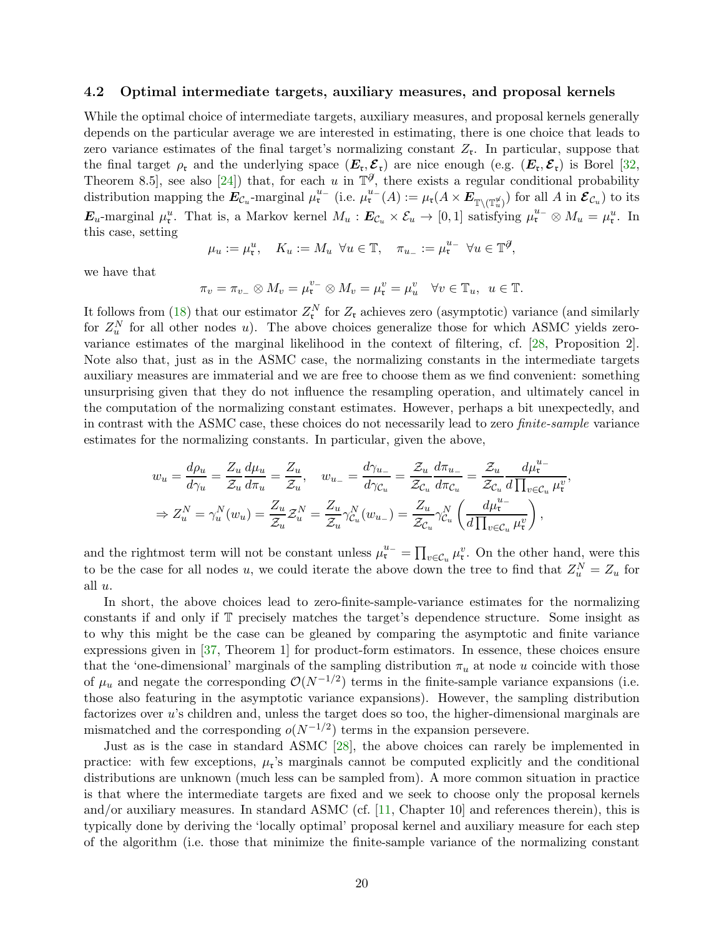#### <span id="page-19-0"></span>4.2 Optimal intermediate targets, auxiliary measures, and proposal kernels

While the optimal choice of intermediate targets, auxiliary measures, and proposal kernels generally depends on the particular average we are interested in estimating, there is one choice that leads to zero variance estimates of the final target's normalizing constant  $Z_{\mathfrak{r}}$ . In particular, suppose that the final target  $\rho_{\rm r}$  and the underlying space  $(E_{\rm r}, \mathcal{E}_{\rm r})$  are nice enough (e.g.  $(E_{\rm r}, \mathcal{E}_{\rm r})$  is Borel [\[32,](#page-25-15) Theorem 8.5, see also [\[24\]](#page-24-14)) that, for each u in  $\mathbb{T}^{\mathcal{J}}$ , there exists a regular conditional probability distribution mapping the  $\mathbf{E}_{\mathcal{C}_u}$ -marginal  $\mu_\mathfrak{r}^{u_-}$  (i.e.  $\mu_\mathfrak{r}^{u_-}(A) := \mu_\mathfrak{r}(A \times \mathbf{E}_{\mathbb{T}\setminus (\mathbb{T}_u^u)})$  for all A in  $\mathbf{E}_{\mathcal{C}_u}$ ) to its  $\mathbf{E}_u$ -marginal  $\mu_{\mathfrak{r}}^u$ . That is, a Markov kernel  $M_u$ :  $\mathbf{E}_{\mathcal{C}_u} \times \mathcal{E}_u \to [0,1]$  satisfying  $\mu_{\mathfrak{r}}^{u_-} \otimes M_u = \mu_{\mathfrak{r}}^u$ . In this case, setting

$$
\mu_u := \mu_{\mathfrak{r}}^u, \quad K_u := M_u \ \forall u \in \mathbb{T}, \quad \pi_{u_-} := \mu_{\mathfrak{r}}^{u_-} \ \forall u \in \mathbb{T}^{\mathcal{J}},
$$

we have that

$$
\pi_v = \pi_{v_-} \otimes M_v = \mu_{\mathfrak{r}}^{v_-} \otimes M_v = \mu_{\mathfrak{r}}^v = \mu_u^v \quad \forall v \in \mathbb{T}_u, \ u \in \mathbb{T}.
$$

It follows from [\(18\)](#page-17-2) that our estimator  $Z_{\mathfrak{r}}^N$  for  $Z_{\mathfrak{r}}$  achieves zero (asymptotic) variance (and similarly for  $Z_u^N$  for all other nodes u). The above choices generalize those for which ASMC yields zerovariance estimates of the marginal likelihood in the context of filtering, cf. [\[28,](#page-25-16) Proposition 2]. Note also that, just as in the ASMC case, the normalizing constants in the intermediate targets auxiliary measures are immaterial and we are free to choose them as we find convenient: something unsurprising given that they do not influence the resampling operation, and ultimately cancel in the computation of the normalizing constant estimates. However, perhaps a bit unexpectedly, and in contrast with the ASMC case, these choices do not necessarily lead to zero finite-sample variance estimates for the normalizing constants. In particular, given the above,

$$
w_u = \frac{d\rho_u}{d\gamma_u} = \frac{Z_u}{\mathcal{Z}_u} \frac{d\mu_u}{d\pi_u} = \frac{Z_u}{\mathcal{Z}_u}, \quad w_{u-} = \frac{d\gamma_{u-}}{d\gamma_{\mathcal{C}_u}} = \frac{\mathcal{Z}_u}{\mathcal{Z}_{\mathcal{C}_u}} \frac{d\pi_{u-}}{d\pi_{\mathcal{C}_u}} = \frac{\mathcal{Z}_u}{\mathcal{Z}_{\mathcal{C}_u}} \frac{d\mu_v^{u-}}{d\prod_{v \in \mathcal{C}_u} \mu_v^v},
$$
  
\n
$$
\Rightarrow Z_u^N = \gamma_u^N(w_u) = \frac{Z_u}{\mathcal{Z}_u} \mathcal{Z}_u^N = \frac{Z_u}{\mathcal{Z}_u} \gamma_{\mathcal{C}_u}^N(w_{u-}) = \frac{Z_u}{\mathcal{Z}_{\mathcal{C}_u}} \gamma_{\mathcal{C}_u}^N \left(\frac{d\mu_v^{u-}}{d\prod_{v \in \mathcal{C}_u} \mu_v^v}\right),
$$

and the rightmost term will not be constant unless  $\mu_{\mathfrak{r}}^{u-} = \prod_{v \in C_u} \mu_{\mathfrak{r}}^v$ . On the other hand, were this to be the case for all nodes u, we could iterate the above down the tree to find that  $Z_u^N = Z_u$  for all u.

In short, the above choices lead to zero-finite-sample-variance estimates for the normalizing constants if and only if T precisely matches the target's dependence structure. Some insight as to why this might be the case can be gleaned by comparing the asymptotic and finite variance expressions given in [\[37,](#page-25-3) Theorem 1] for product-form estimators. In essence, these choices ensure that the 'one-dimensional' marginals of the sampling distribution  $\pi_u$  at node u coincide with those of  $\mu_u$  and negate the corresponding  $\mathcal{O}(N^{-1/2})$  terms in the finite-sample variance expansions (i.e. those also featuring in the asymptotic variance expansions). However, the sampling distribution factorizes over u's children and, unless the target does so too, the higher-dimensional marginals are mismatched and the corresponding  $o(N^{-1/2})$  terms in the expansion persevere.

Just as is the case in standard ASMC [\[28\]](#page-25-16), the above choices can rarely be implemented in practice: with few exceptions,  $\mu_{\mathfrak{r}}$ 's marginals cannot be computed explicitly and the conditional distributions are unknown (much less can be sampled from). A more common situation in practice is that where the intermediate targets are fixed and we seek to choose only the proposal kernels and/or auxiliary measures. In standard ASMC (cf. [\[11,](#page-24-6) Chapter 10] and references therein), this is typically done by deriving the 'locally optimal' proposal kernel and auxiliary measure for each step of the algorithm (i.e. those that minimize the finite-sample variance of the normalizing constant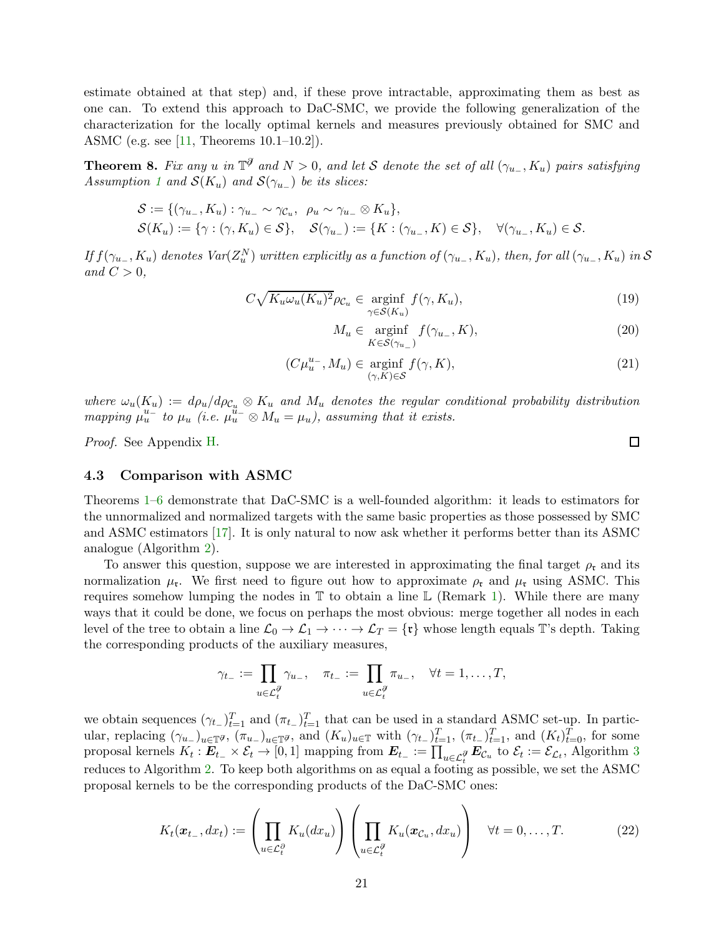estimate obtained at that step) and, if these prove intractable, approximating them as best as one can. To extend this approach to DaC-SMC, we provide the following generalization of the characterization for the locally optimal kernels and measures previously obtained for SMC and ASMC (e.g. see [\[11,](#page-24-6) Theorems 10.1–10.2]).

<span id="page-20-1"></span>**Theorem 8.** Fix any u in  $\mathbb{T}^{\mathcal{J}}$  and  $N > 0$ , and let S denote the set of all  $(\gamma_{u_{-}}, K_u)$  pairs satisfying Assumption [1](#page-11-1) and  $\mathcal{S}(K_u)$  and  $\mathcal{S}(\gamma_{u-})$  be its slices:

$$
S := \{ (\gamma_{u_-}, K_u) : \gamma_{u_-} \sim \gamma_{\mathcal{C}_u}, \ \rho_u \sim \gamma_{u_-} \otimes K_u \},
$$
  

$$
S(K_u) := \{ \gamma : (\gamma, K_u) \in S \}, \quad S(\gamma_{u_-}) := \{ K : (\gamma_{u_-}, K) \in S \}, \quad \forall (\gamma_{u_-}, K_u) \in S.
$$

If  $f(\gamma_{u_-}, K_u)$  denotes  $Var(Z_u^N)$  written explicitly as a function of  $(\gamma_{u_-}, K_u)$ , then, for all  $(\gamma_{u_-}, K_u)$  in  ${\cal S}$ and  $C > 0$ ,

$$
C\sqrt{K_u\omega_u(K_u)^2}\rho_{\mathcal{C}_u} \in \underset{\gamma \in \mathcal{S}(K_u)}{\text{arginf}} f(\gamma, K_u),\tag{19}
$$

<span id="page-20-5"></span><span id="page-20-4"></span><span id="page-20-3"></span>
$$
M_u \in \underset{K \in \mathcal{S}(\gamma_{u_-})}{\text{arginf}} f(\gamma_{u_-}, K), \tag{20}
$$

$$
(C\mu_u^{u_-}, M_u) \in \underset{(\gamma, K) \in \mathcal{S}}{\text{arginf}} f(\gamma, K), \tag{21}
$$

where  $\omega_u(K_u) := d\rho_u/d\rho_{\mathcal{C}_u} \otimes K_u$  and  $M_u$  denotes the regular conditional probability distribution mapping  $\mu_u^{u^-}$  to  $\mu_u$  (i.e.  $\mu_u^{u^-} \otimes M_u = \mu_u$ ), assuming that it exists.

Proof. See Appendix [H.](#page-49-0)

#### <span id="page-20-0"></span>4.3 Comparison with ASMC

Theorems [1](#page-15-1)[–6](#page-17-0) demonstrate that DaC-SMC is a well-founded algorithm: it leads to estimators for the unnormalized and normalized targets with the same basic properties as those possessed by SMC and ASMC estimators [\[17\]](#page-24-11). It is only natural to now ask whether it performs better than its ASMC analogue (Algorithm [2\)](#page-6-0).

To answer this question, suppose we are interested in approximating the final target  $\rho_{r}$  and its normalization  $\mu_{\rm r}$ . We first need to figure out how to approximate  $\rho_{\rm r}$  and  $\mu_{\rm r}$  using ASMC. This requires somehow lumping the nodes in  $\mathbb T$  to obtain a line  $\mathbb L$  (Remark [1\)](#page-8-2). While there are many ways that it could be done, we focus on perhaps the most obvious: merge together all nodes in each level of the tree to obtain a line  $\mathcal{L}_0 \to \mathcal{L}_1 \to \cdots \to \mathcal{L}_T = \{\mathfrak{r}\}\$  whose length equals T's depth. Taking the corresponding products of the auxiliary measures,

$$
\gamma_{t-} := \prod_{u \in \mathcal{L}_t^{\partial}} \gamma_{u-}, \quad \pi_{t-} := \prod_{u \in \mathcal{L}_t^{\partial}} \pi_{u-}, \quad \forall t = 1, \dots, T,
$$

we obtain sequences  $(\gamma_{t-})_{t=1}^T$  and  $(\pi_{t-})_{t=1}^T$  that can be used in a standard ASMC set-up. In particular, replacing  $(\gamma_{u-})_{u \in \mathbb{T}}\sigma$ ,  $(\pi_{u-})_{u \in \mathbb{T}}\sigma$ , and  $(K_u)_{u \in \mathbb{T}}$  with  $(\gamma_{t-})_{t=1}^T$ ,  $(\pi_{t-})_{t=1}^T$ , and  $(K_t)_{t=0}^T$ , for some proposal kernels  $K_t: E_{t-} \times \mathcal{E}_t \to [0,1]$  mapping from  $E_{t-} := \prod_{u \in \mathcal{L}_t^{\partial}} E_{\mathcal{C}_u}$  to  $\mathcal{E}_t := \mathcal{E}_{\mathcal{L}_t}$ , Algorithm [3](#page-10-0) reduces to Algorithm [2.](#page-6-0) To keep both algorithms on as equal a footing as possible, we set the ASMC proposal kernels to be the corresponding products of the DaC-SMC ones:

<span id="page-20-2"></span>
$$
K_t(\boldsymbol{x}_{t-}, dx_t) := \left(\prod_{u \in \mathcal{L}_t^{\partial}} K_u(dx_u)\right) \left(\prod_{u \in \mathcal{L}_t^{\partial}} K_u(\boldsymbol{x}_{\mathcal{C}_u}, dx_u)\right) \quad \forall t = 0, \dots, T. \tag{22}
$$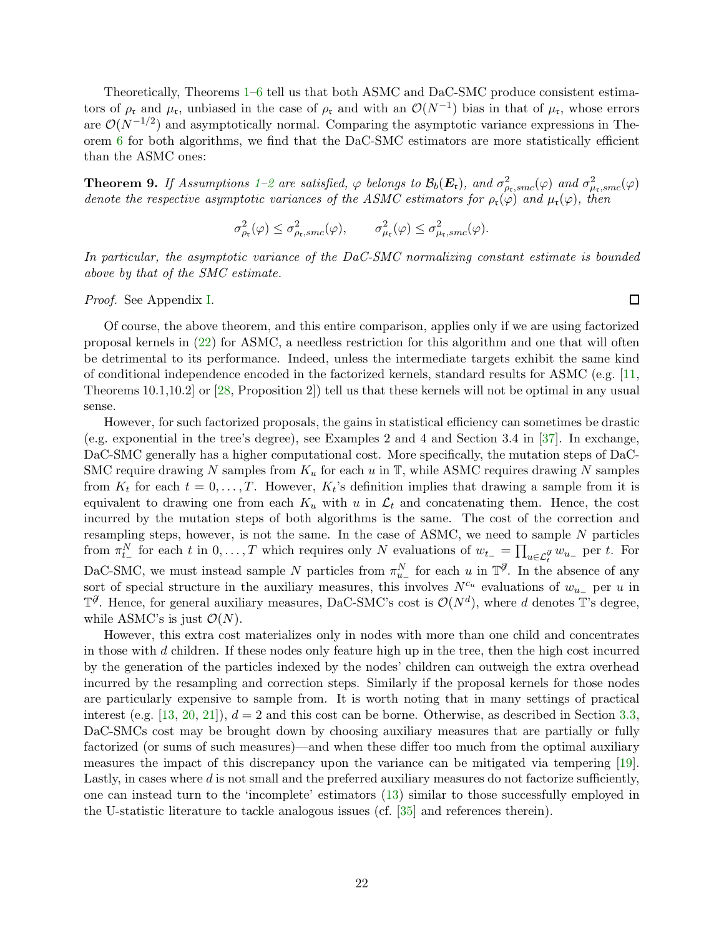Theoretically, Theorems [1](#page-15-1)[–6](#page-17-0) tell us that both ASMC and DaC-SMC produce consistent estimators of  $\rho_{\rm t}$  and  $\mu_{\rm t}$ , unbiased in the case of  $\rho_{\rm t}$  and with an  $\mathcal{O}(N^{-1})$  bias in that of  $\mu_{\rm t}$ , whose errors are  $\mathcal{O}(N^{-1/2})$  and asymptotically normal. Comparing the asymptotic variance expressions in Theorem [6](#page-17-0) for both algorithms, we find that the DaC-SMC estimators are more statistically efficient than the ASMC ones:

<span id="page-21-0"></span>**Theorem 9.** If Assumptions [1–](#page-11-1)[2](#page-15-3) are satisfied,  $\varphi$  belongs to  $\mathcal{B}_b(\mathbf{E}_\mathfrak{r})$ , and  $\sigma_{\rho_\mathfrak{r},smc}^2(\varphi)$  and  $\sigma_{\mu_\mathfrak{r},smc}^2(\varphi)$ denote the respective asymptotic variances of the ASMC estimators for  $\rho_{r}(\varphi)$  and  $\mu_{r}(\varphi)$ , then

$$
\sigma_{\rho_{\mathfrak{r}}}^2(\varphi) \leq \sigma_{\rho_{\mathfrak{r}},smc}^2(\varphi), \qquad \sigma_{\mu_{\mathfrak{r}}}^2(\varphi) \leq \sigma_{\mu_{\mathfrak{r}},smc}^2(\varphi).
$$

In particular, the asymptotic variance of the DaC-SMC normalizing constant estimate is bounded above by that of the SMC estimate.

Proof. See Appendix [I.](#page-52-0)

Of course, the above theorem, and this entire comparison, applies only if we are using factorized proposal kernels in [\(22\)](#page-20-2) for ASMC, a needless restriction for this algorithm and one that will often be detrimental to its performance. Indeed, unless the intermediate targets exhibit the same kind of conditional independence encoded in the factorized kernels, standard results for ASMC (e.g. [\[11,](#page-24-6) Theorems 10.1,10.2] or [\[28,](#page-25-16) Proposition 2]) tell us that these kernels will not be optimal in any usual sense.

However, for such factorized proposals, the gains in statistical efficiency can sometimes be drastic (e.g. exponential in the tree's degree), see Examples 2 and 4 and Section 3.4 in [\[37\]](#page-25-3). In exchange, DaC-SMC generally has a higher computational cost. More specifically, the mutation steps of DaC-SMC require drawing N samples from  $K_u$  for each u in  $\mathbb T$ , while ASMC requires drawing N samples from  $K_t$  for each  $t = 0, \ldots, T$ . However,  $K_t$ 's definition implies that drawing a sample from it is equivalent to drawing one from each  $K_u$  with u in  $\mathcal{L}_t$  and concatenating them. Hence, the cost incurred by the mutation steps of both algorithms is the same. The cost of the correction and resampling steps, however, is not the same. In the case of ASMC, we need to sample  $N$  particles from  $\pi_{t-}^N$  for each t in  $0, \ldots, T$  which requires only N evaluations of  $w_{t-} = \prod_{u \in \mathcal{L}_t^{\partial}} w_{u-}$  per t. For DaC-SMC, we must instead sample N particles from  $\pi_{u_-}^N$  for each u in  $\mathbb{T}^{\mathcal{J}}$ . In the absence of any sort of special structure in the auxiliary measures, this involves  $N^{c_u}$  evaluations of  $w_{u-}$  per u in  $\mathbb{T}^{\mathcal{J}}$ . Hence, for general auxiliary measures, DaC-SMC's cost is  $\mathcal{O}(N^d)$ , where d denotes T's degree, while ASMC's is just  $\mathcal{O}(N)$ .

However, this extra cost materializes only in nodes with more than one child and concentrates in those with  $d$  children. If these nodes only feature high up in the tree, then the high cost incurred by the generation of the particles indexed by the nodes' children can outweigh the extra overhead incurred by the resampling and correction steps. Similarly if the proposal kernels for those nodes are particularly expensive to sample from. It is worth noting that in many settings of practical interest (e.g. [\[13,](#page-24-2) [20,](#page-24-3) [21\]](#page-24-4)),  $d = 2$  and this cost can be borne. Otherwise, as described in Section [3.3,](#page-12-0) DaC-SMCs cost may be brought down by choosing auxiliary measures that are partially or fully factorized (or sums of such measures)—and when these differ too much from the optimal auxiliary measures the impact of this discrepancy upon the variance can be mitigated via tempering [\[19\]](#page-24-9). Lastly, in cases where  $d$  is not small and the preferred auxiliary measures do not factorize sufficiently, one can instead turn to the 'incomplete' estimators [\(13\)](#page-14-0) similar to those successfully employed in the U-statistic literature to tackle analogous issues (cf. [\[35\]](#page-25-12) and references therein).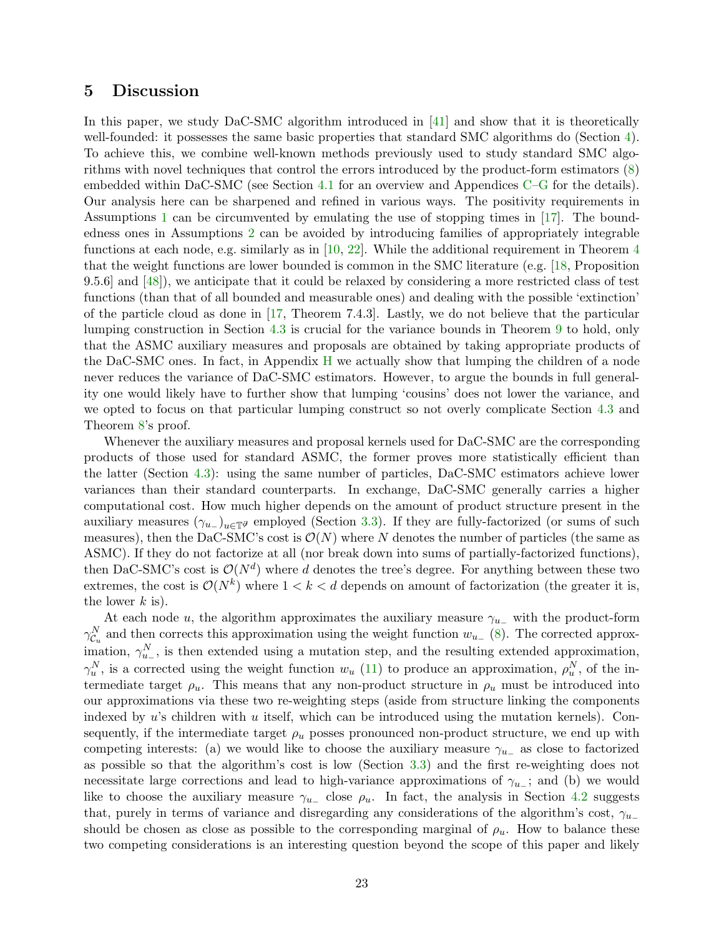### <span id="page-22-0"></span>5 Discussion

In this paper, we study DaC-SMC algorithm introduced in [\[41\]](#page-25-2) and show that it is theoretically well-founded: it possesses the same basic properties that standard SMC algorithms do (Section [4\)](#page-15-0). To achieve this, we combine well-known methods previously used to study standard SMC algorithms with novel techniques that control the errors introduced by the product-form estimators [\(8\)](#page-10-1) embedded within DaC-SMC (see Section [4.1](#page-17-1) for an overview and Appendices [C](#page-30-0)[–G](#page-43-0) for the details). Our analysis here can be sharpened and refined in various ways. The positivity requirements in Assumptions [1](#page-11-1) can be circumvented by emulating the use of stopping times in [\[17\]](#page-24-11). The boundedness ones in Assumptions [2](#page-15-3) can be avoided by introducing families of appropriately integrable functions at each node, e.g. similarly as in [\[10,](#page-24-15) [22\]](#page-24-16). While the additional requirement in Theorem [4](#page-16-2) that the weight functions are lower bounded is common in the SMC literature (e.g. [\[18,](#page-24-12) Proposition 9.5.6] and [\[48\]](#page-26-11)), we anticipate that it could be relaxed by considering a more restricted class of test functions (than that of all bounded and measurable ones) and dealing with the possible 'extinction' of the particle cloud as done in [\[17,](#page-24-11) Theorem 7.4.3]. Lastly, we do not believe that the particular lumping construction in Section [4.3](#page-20-0) is crucial for the variance bounds in Theorem [9](#page-21-0) to hold, only that the ASMC auxiliary measures and proposals are obtained by taking appropriate products of the DaC-SMC ones. In fact, in Appendix [H](#page-49-0) we actually show that lumping the children of a node never reduces the variance of DaC-SMC estimators. However, to argue the bounds in full generality one would likely have to further show that lumping 'cousins' does not lower the variance, and we opted to focus on that particular lumping construct so not overly complicate Section [4.3](#page-20-0) and Theorem [8'](#page-20-1)s proof.

Whenever the auxiliary measures and proposal kernels used for DaC-SMC are the corresponding products of those used for standard ASMC, the former proves more statistically efficient than the latter (Section [4.3\)](#page-20-0): using the same number of particles, DaC-SMC estimators achieve lower variances than their standard counterparts. In exchange, DaC-SMC generally carries a higher computational cost. How much higher depends on the amount of product structure present in the auxiliary measures  $(\gamma_{u-})_{u\in\mathbb{T}^g}$  employed (Section [3.3\)](#page-12-0). If they are fully-factorized (or sums of such measures), then the DaC-SMC's cost is  $\mathcal{O}(N)$  where N denotes the number of particles (the same as ASMC). If they do not factorize at all (nor break down into sums of partially-factorized functions), then DaC-SMC's cost is  $\mathcal{O}(N^d)$  where d denotes the tree's degree. For anything between these two extremes, the cost is  $\mathcal{O}(N^k)$  where  $1 < k < d$  depends on amount of factorization (the greater it is, the lower  $k$  is).

At each node u, the algorithm approximates the auxiliary measure  $\gamma_{u-}$  with the product-form  $\gamma_{\mathcal{C}_u}^N$  and then corrects this approximation using the weight function  $w_{u-}$  [\(8\)](#page-10-1). The corrected approximation,  $\gamma_{u_{-}}^{N}$ , is then extended using a mutation step, and the resulting extended approximation,  $\gamma_u^N$ , is a corrected using the weight function  $w_u$  [\(11\)](#page-11-0) to produce an approximation,  $\rho_u^N$ , of the intermediate target  $\rho_u$ . This means that any non-product structure in  $\rho_u$  must be introduced into our approximations via these two re-weighting steps (aside from structure linking the components indexed by u's children with u itself, which can be introduced using the mutation kernels). Consequently, if the intermediate target  $\rho_u$  posses pronounced non-product structure, we end up with competing interests: (a) we would like to choose the auxiliary measure  $\gamma_{u-}$  as close to factorized as possible so that the algorithm's cost is low (Section [3.3\)](#page-12-0) and the first re-weighting does not necessitate large corrections and lead to high-variance approximations of  $\gamma_{u-}$ ; and (b) we would like to choose the auxiliary measure  $\gamma_{u-}$  close  $\rho_u$ . In fact, the analysis in Section [4.2](#page-19-0) suggests that, purely in terms of variance and disregarding any considerations of the algorithm's cost,  $\gamma_{u-}$ should be chosen as close as possible to the corresponding marginal of  $\rho_u$ . How to balance these two competing considerations is an interesting question beyond the scope of this paper and likely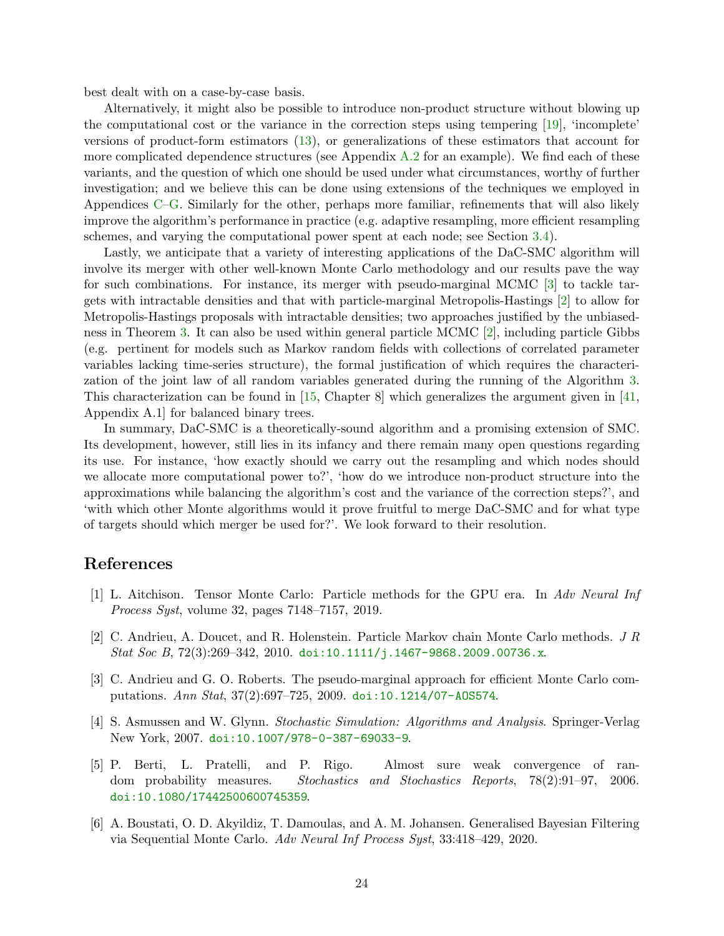best dealt with on a case-by-case basis.

Alternatively, it might also be possible to introduce non-product structure without blowing up the computational cost or the variance in the correction steps using tempering [\[19\]](#page-24-9), 'incomplete' versions of product-form estimators [\(13\)](#page-14-0), or generalizations of these estimators that account for more complicated dependence structures (see Appendix  $A.2$  for an example). We find each of these variants, and the question of which one should be used under what circumstances, worthy of further investigation; and we believe this can be done using extensions of the techniques we employed in Appendices [C–](#page-30-0)[G.](#page-43-0) Similarly for the other, perhaps more familiar, refinements that will also likely improve the algorithm's performance in practice (e.g. adaptive resampling, more efficient resampling schemes, and varying the computational power spent at each node; see Section [3.4\)](#page-13-0).

Lastly, we anticipate that a variety of interesting applications of the DaC-SMC algorithm will involve its merger with other well-known Monte Carlo methodology and our results pave the way for such combinations. For instance, its merger with pseudo-marginal MCMC [\[3\]](#page-23-3) to tackle targets with intractable densities and that with particle-marginal Metropolis-Hastings [\[2\]](#page-23-1) to allow for Metropolis-Hastings proposals with intractable densities; two approaches justified by the unbiasedness in Theorem [3.](#page-16-1) It can also be used within general particle MCMC [\[2\]](#page-23-1), including particle Gibbs (e.g. pertinent for models such as Markov random fields with collections of correlated parameter variables lacking time-series structure), the formal justification of which requires the characterization of the joint law of all random variables generated during the running of the Algorithm [3.](#page-10-0) This characterization can be found in [\[15,](#page-24-17) Chapter 8] which generalizes the argument given in [\[41,](#page-25-2) Appendix A.1] for balanced binary trees.

In summary, DaC-SMC is a theoretically-sound algorithm and a promising extension of SMC. Its development, however, still lies in its infancy and there remain many open questions regarding its use. For instance, 'how exactly should we carry out the resampling and which nodes should we allocate more computational power to?', 'how do we introduce non-product structure into the approximations while balancing the algorithm's cost and the variance of the correction steps?', and 'with which other Monte algorithms would it prove fruitful to merge DaC-SMC and for what type of targets should which merger be used for?'. We look forward to their resolution.

## <span id="page-23-0"></span>References

- <span id="page-23-1"></span>[1] L. Aitchison. Tensor Monte Carlo: Particle methods for the GPU era. In Adv Neural Inf Process Syst, volume 32, pages 7148–7157, 2019.
- <span id="page-23-3"></span>[2] C. Andrieu, A. Doucet, and R. Holenstein. Particle Markov chain Monte Carlo methods. J R Stat Soc B,  $72(3):269-342$ ,  $2010.$  [doi:10.1111/j.1467-9868.2009.00736.x](http://dx.doi.org/10.1111/j.1467-9868.2009.00736.x).
- [3] C. Andrieu and G. O. Roberts. The pseudo-marginal approach for efficient Monte Carlo computations. Ann Stat, 37(2):697–725, 2009. [doi:10.1214/07-AOS574](http://dx.doi.org/10.1214/07-AOS574).
- <span id="page-23-5"></span><span id="page-23-4"></span>[4] S. Asmussen and W. Glynn. Stochastic Simulation: Algorithms and Analysis. Springer-Verlag New York, 2007. [doi:10.1007/978-0-387-69033-9](http://dx.doi.org/10.1007/978-0-387-69033-9).
- [5] P. Berti, L. Pratelli, and P. Rigo. Almost sure weak convergence of random probability measures. Stochastics and Stochastics Reports, 78(2):91–97, 2006. [doi:10.1080/17442500600745359](http://dx.doi.org/10.1080/17442500600745359).
- <span id="page-23-2"></span>[6] A. Boustati, O. D. Akyildiz, T. Damoulas, and A. M. Johansen. Generalised Bayesian Filtering via Sequential Monte Carlo. Adv Neural Inf Process Syst, 33:418–429, 2020.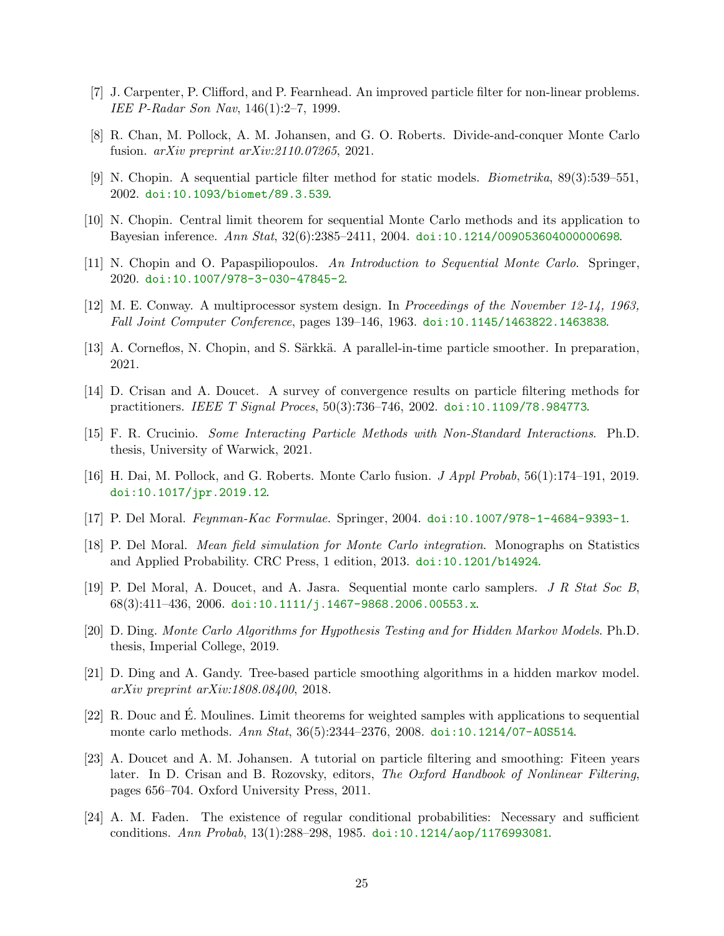- <span id="page-24-13"></span><span id="page-24-1"></span>[7] J. Carpenter, P. Clifford, and P. Fearnhead. An improved particle filter for non-linear problems. IEE P-Radar Son Nav, 146(1):2–7, 1999.
- <span id="page-24-8"></span>[8] R. Chan, M. Pollock, A. M. Johansen, and G. O. Roberts. Divide-and-conquer Monte Carlo fusion. arXiv preprint arXiv:2110.07265, 2021.
- <span id="page-24-15"></span>[9] N. Chopin. A sequential particle filter method for static models. Biometrika, 89(3):539–551, 2002. [doi:10.1093/biomet/89.3.539](http://dx.doi.org/10.1093/biomet/89.3.539).
- <span id="page-24-6"></span>[10] N. Chopin. Central limit theorem for sequential Monte Carlo methods and its application to Bayesian inference. Ann Stat, 32(6):2385–2411, 2004. [doi:10.1214/009053604000000698](http://dx.doi.org/10.1214/009053604000000698).
- <span id="page-24-5"></span>[11] N. Chopin and O. Papaspiliopoulos. An Introduction to Sequential Monte Carlo. Springer, 2020. [doi:10.1007/978-3-030-47845-2](http://dx.doi.org/10.1007/978-3-030-47845-2).
- <span id="page-24-2"></span>[12] M. E. Conway. A multiprocessor system design. In Proceedings of the November 12-14, 1963, Fall Joint Computer Conference, pages 139–146, 1963. [doi:10.1145/1463822.1463838](http://dx.doi.org/10.1145/1463822.1463838).
- <span id="page-24-10"></span>[13] A. Corneflos, N. Chopin, and S. Särkkä. A parallel-in-time particle smoother. In preparation, 2021.
- <span id="page-24-17"></span>[14] D. Crisan and A. Doucet. A survey of convergence results on particle filtering methods for practitioners. IEEE T Signal Proces, 50(3):736–746, 2002. [doi:10.1109/78.984773](http://dx.doi.org/10.1109/78.984773).
- <span id="page-24-0"></span>[15] F. R. Crucinio. Some Interacting Particle Methods with Non-Standard Interactions. Ph.D. thesis, University of Warwick, 2021.
- [16] H. Dai, M. Pollock, and G. Roberts. Monte Carlo fusion. J Appl Probab, 56(1):174–191, 2019. [doi:10.1017/jpr.2019.12](http://dx.doi.org/10.1017/jpr.2019.12).
- <span id="page-24-12"></span><span id="page-24-11"></span>[17] P. Del Moral. Feynman-Kac Formulae. Springer, 2004. [doi:10.1007/978-1-4684-9393-1](http://dx.doi.org/10.1007/978-1-4684-9393-1).
- <span id="page-24-9"></span>[18] P. Del Moral. Mean field simulation for Monte Carlo integration. Monographs on Statistics and Applied Probability. CRC Press, 1 edition, 2013. [doi:10.1201/b14924](http://dx.doi.org/10.1201/b14924).
- <span id="page-24-3"></span>[19] P. Del Moral, A. Doucet, and A. Jasra. Sequential monte carlo samplers. J R Stat Soc B, 68(3):411–436, 2006. [doi:10.1111/j.1467-9868.2006.00553.x](http://dx.doi.org/10.1111/j.1467-9868.2006.00553.x).
- <span id="page-24-4"></span>[20] D. Ding. Monte Carlo Algorithms for Hypothesis Testing and for Hidden Markov Models. Ph.D. thesis, Imperial College, 2019.
- [21] D. Ding and A. Gandy. Tree-based particle smoothing algorithms in a hidden markov model. arXiv preprint arXiv:1808.08400, 2018.
- <span id="page-24-16"></span> $[22]$  R. Douc and É. Moulines. Limit theorems for weighted samples with applications to sequential monte carlo methods. Ann Stat, 36(5):2344–2376, 2008. [doi:10.1214/07-AOS514](http://dx.doi.org/10.1214/07-AOS514).
- <span id="page-24-7"></span>[23] A. Doucet and A. M. Johansen. A tutorial on particle filtering and smoothing: Fiteen years later. In D. Crisan and B. Rozovsky, editors, The Oxford Handbook of Nonlinear Filtering, pages 656–704. Oxford University Press, 2011.
- <span id="page-24-14"></span>[24] A. M. Faden. The existence of regular conditional probabilities: Necessary and sufficient conditions. Ann Probab, 13(1):288–298, 1985. [doi:10.1214/aop/1176993081](http://dx.doi.org/10.1214/aop/1176993081).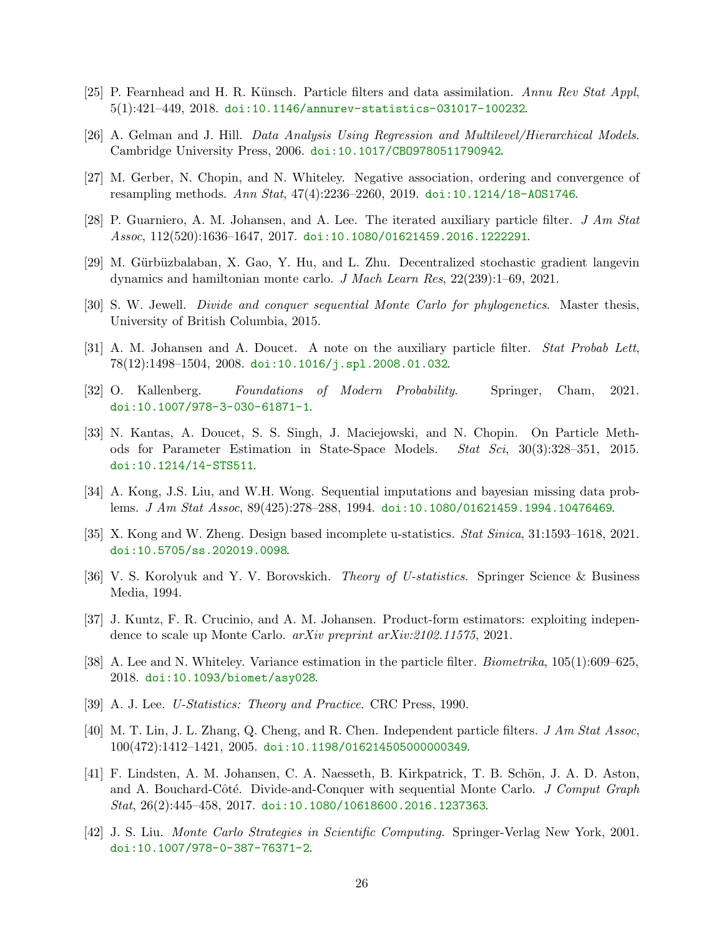- <span id="page-25-10"></span><span id="page-25-7"></span>[25] P. Fearnhead and H. R. Künsch. Particle filters and data assimilation. Annu Rev Stat Appl, 5(1):421–449, 2018. [doi:10.1146/annurev-statistics-031017-100232](http://dx.doi.org/10.1146/annurev-statistics-031017-100232).
- <span id="page-25-8"></span>[26] A. Gelman and J. Hill. Data Analysis Using Regression and Multilevel/Hierarchical Models. Cambridge University Press, 2006. [doi:10.1017/CBO9780511790942](http://dx.doi.org/10.1017/CBO9780511790942).
- <span id="page-25-16"></span>[27] M. Gerber, N. Chopin, and N. Whiteley. Negative association, ordering and convergence of resampling methods. Ann Stat, 47(4):2236–2260, 2019. [doi:10.1214/18-AOS1746](http://dx.doi.org/10.1214/18-AOS1746).
- <span id="page-25-0"></span>[28] P. Guarniero, A. M. Johansen, and A. Lee. The iterated auxiliary particle filter. J Am Stat Assoc, 112(520):1636–1647, 2017. [doi:10.1080/01621459.2016.1222291](http://dx.doi.org/10.1080/01621459.2016.1222291).
- <span id="page-25-1"></span>[29] M. Gürbüzbalaban, X. Gao, Y. Hu, and L. Zhu. Decentralized stochastic gradient langevin dynamics and hamiltonian monte carlo. J Mach Learn Res, 22(239):1–69, 2021.
- <span id="page-25-9"></span>[30] S. W. Jewell. Divide and conquer sequential Monte Carlo for phylogenetics. Master thesis, University of British Columbia, 2015.
- <span id="page-25-15"></span>[31] A. M. Johansen and A. Doucet. A note on the auxiliary particle filter. Stat Probab Lett, 78(12):1498–1504, 2008. [doi:10.1016/j.spl.2008.01.032](http://dx.doi.org/10.1016/j.spl.2008.01.032).
- <span id="page-25-6"></span>[32] O. Kallenberg. Foundations of Modern Probability. Springer, Cham, 2021. [doi:10.1007/978-3-030-61871-1](http://dx.doi.org/10.1007/978-3-030-61871-1).
- [33] N. Kantas, A. Doucet, S. S. Singh, J. Maciejowski, and N. Chopin. On Particle Methods for Parameter Estimation in State-Space Models. Stat Sci, 30(3):328–351, 2015. [doi:10.1214/14-STS511](http://dx.doi.org/10.1214/14-STS511).
- <span id="page-25-13"></span><span id="page-25-12"></span>[34] A. Kong, J.S. Liu, and W.H. Wong. Sequential imputations and bayesian missing data problems. J Am Stat Assoc, 89(425):278–288, 1994. [doi:10.1080/01621459.1994.10476469](http://dx.doi.org/10.1080/01621459.1994.10476469).
- <span id="page-25-5"></span>[35] X. Kong and W. Zheng. Design based incomplete u-statistics. Stat Sinica, 31:1593–1618, 2021. [doi:10.5705/ss.202019.0098](http://dx.doi.org/10.5705/ss.202019.0098).
- [36] V. S. Korolyuk and Y. V. Borovskich. *Theory of U-statistics*. Springer Science & Business Media, 1994.
- <span id="page-25-14"></span><span id="page-25-3"></span>[37] J. Kuntz, F. R. Crucinio, and A. M. Johansen. Product-form estimators: exploiting independence to scale up Monte Carlo. arXiv preprint arXiv:2102.11575, 2021.
- <span id="page-25-4"></span>[38] A. Lee and N. Whiteley. Variance estimation in the particle filter. Biometrika, 105(1):609–625, 2018. [doi:10.1093/biomet/asy028](http://dx.doi.org/10.1093/biomet/asy028).
- <span id="page-25-11"></span>[39] A. J. Lee. U-Statistics: Theory and Practice. CRC Press, 1990.
- [40] M. T. Lin, J. L. Zhang, Q. Cheng, and R. Chen. Independent particle filters. J Am Stat Assoc, 100(472):1412–1421, 2005. [doi:10.1198/016214505000000349](http://dx.doi.org/10.1198/016214505000000349).
- <span id="page-25-2"></span>[41] F. Lindsten, A. M. Johansen, C. A. Naesseth, B. Kirkpatrick, T. B. Schön, J. A. D. Aston, and A. Bouchard-Côté. Divide-and-Conquer with sequential Monte Carlo. J Comput Graph Stat, 26(2):445–458, 2017. [doi:10.1080/10618600.2016.1237363](http://dx.doi.org/10.1080/10618600.2016.1237363).
- <span id="page-25-17"></span>[42] J. S. Liu. Monte Carlo Strategies in Scientific Computing. Springer-Verlag New York, 2001. [doi:10.1007/978-0-387-76371-2](http://dx.doi.org/10.1007/978-0-387-76371-2).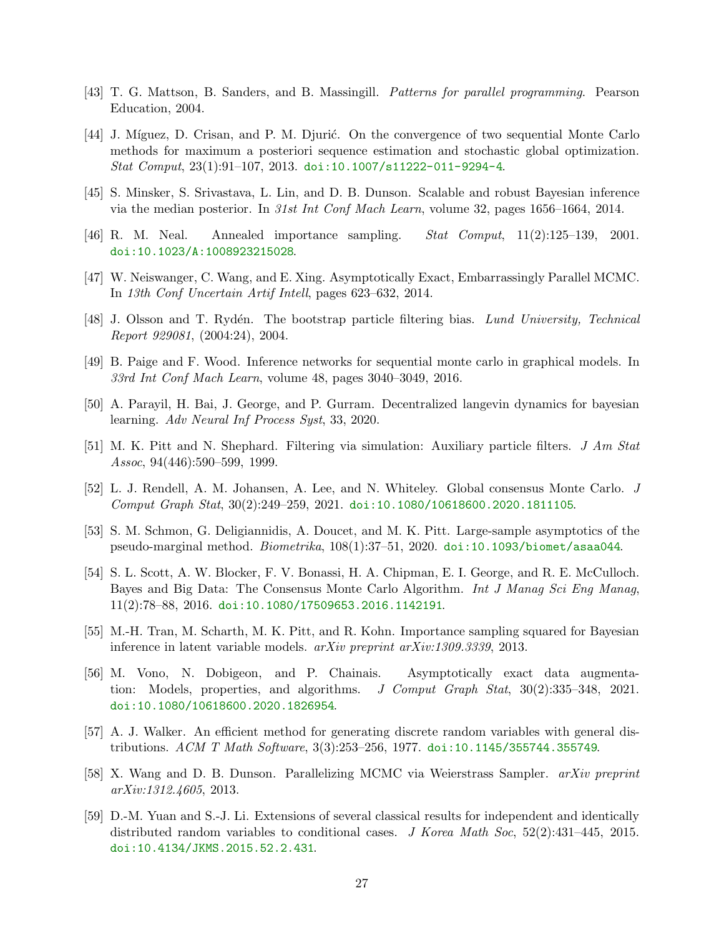- <span id="page-26-10"></span><span id="page-26-0"></span>[43] T. G. Mattson, B. Sanders, and B. Massingill. Patterns for parallel programming. Pearson Education, 2004.
- [44] J. Míguez, D. Crisan, and P. M. Djurić. On the convergence of two sequential Monte Carlo methods for maximum a posteriori sequence estimation and stochastic global optimization. Stat Comput, 23(1):91–107, 2013. [doi:10.1007/s11222-011-9294-4](http://dx.doi.org/10.1007/s11222-011-9294-4).
- <span id="page-26-12"></span><span id="page-26-1"></span>[45] S. Minsker, S. Srivastava, L. Lin, and D. B. Dunson. Scalable and robust Bayesian inference via the median posterior. In 31st Int Conf Mach Learn, volume 32, pages 1656–1664, 2014.
- <span id="page-26-2"></span>[46] R. M. Neal. Annealed importance sampling. Stat Comput, 11(2):125–139, 2001. [doi:10.1023/A:1008923215028](http://dx.doi.org/10.1023/A:1008923215028).
- <span id="page-26-11"></span>[47] W. Neiswanger, C. Wang, and E. Xing. Asymptotically Exact, Embarrassingly Parallel MCMC. In 13th Conf Uncertain Artif Intell, pages 623–632, 2014.
- <span id="page-26-14"></span>[48] J. Olsson and T. Rydén. The bootstrap particle filtering bias. Lund University, Technical Report 929081, (2004:24), 2004.
- <span id="page-26-5"></span>[49] B. Paige and F. Wood. Inference networks for sequential monte carlo in graphical models. In 33rd Int Conf Mach Learn, volume 48, pages 3040–3049, 2016.
- <span id="page-26-13"></span>[50] A. Parayil, H. Bai, J. George, and P. Gurram. Decentralized langevin dynamics for bayesian learning. Adv Neural Inf Process Syst, 33, 2020.
- <span id="page-26-6"></span>[51] M. K. Pitt and N. Shephard. Filtering via simulation: Auxiliary particle filters. J Am Stat Assoc, 94(446):590–599, 1999.
- <span id="page-26-9"></span>[52] L. J. Rendell, A. M. Johansen, A. Lee, and N. Whiteley. Global consensus Monte Carlo. J Comput Graph Stat, 30(2):249–259, 2021. [doi:10.1080/10618600.2020.1811105](http://dx.doi.org/10.1080/10618600.2020.1811105).
- <span id="page-26-3"></span>[53] S. M. Schmon, G. Deligiannidis, A. Doucet, and M. K. Pitt. Large-sample asymptotics of the pseudo-marginal method. Biometrika, 108(1):37–51, 2020. [doi:10.1093/biomet/asaa044](http://dx.doi.org/10.1093/biomet/asaa044).
- [54] S. L. Scott, A. W. Blocker, F. V. Bonassi, H. A. Chipman, E. I. George, and R. E. McCulloch. Bayes and Big Data: The Consensus Monte Carlo Algorithm. Int J Manag Sci Eng Manag, 11(2):78–88, 2016. [doi:10.1080/17509653.2016.1142191](http://dx.doi.org/10.1080/17509653.2016.1142191).
- <span id="page-26-8"></span><span id="page-26-7"></span>[55] M.-H. Tran, M. Scharth, M. K. Pitt, and R. Kohn. Importance sampling squared for Bayesian inference in latent variable models. arXiv preprint arXiv:1309.3339, 2013.
- [56] M. Vono, N. Dobigeon, and P. Chainais. Asymptotically exact data augmentation: Models, properties, and algorithms. J Comput Graph Stat, 30(2):335–348, 2021. [doi:10.1080/10618600.2020.1826954](http://dx.doi.org/10.1080/10618600.2020.1826954).
- <span id="page-26-15"></span>[57] A. J. Walker. An efficient method for generating discrete random variables with general distributions. ACM T Math Software, 3(3):253–256, 1977. [doi:10.1145/355744.355749](http://dx.doi.org/10.1145/355744.355749).
- <span id="page-26-4"></span>[58] X. Wang and D. B. Dunson. Parallelizing MCMC via Weierstrass Sampler. arXiv preprint arXiv:1312.4605, 2013.
- <span id="page-26-16"></span>[59] D.-M. Yuan and S.-J. Li. Extensions of several classical results for independent and identically distributed random variables to conditional cases. J Korea Math Soc, 52(2):431–445, 2015. [doi:10.4134/JKMS.2015.52.2.431](http://dx.doi.org/10.4134/JKMS.2015.52.2.431).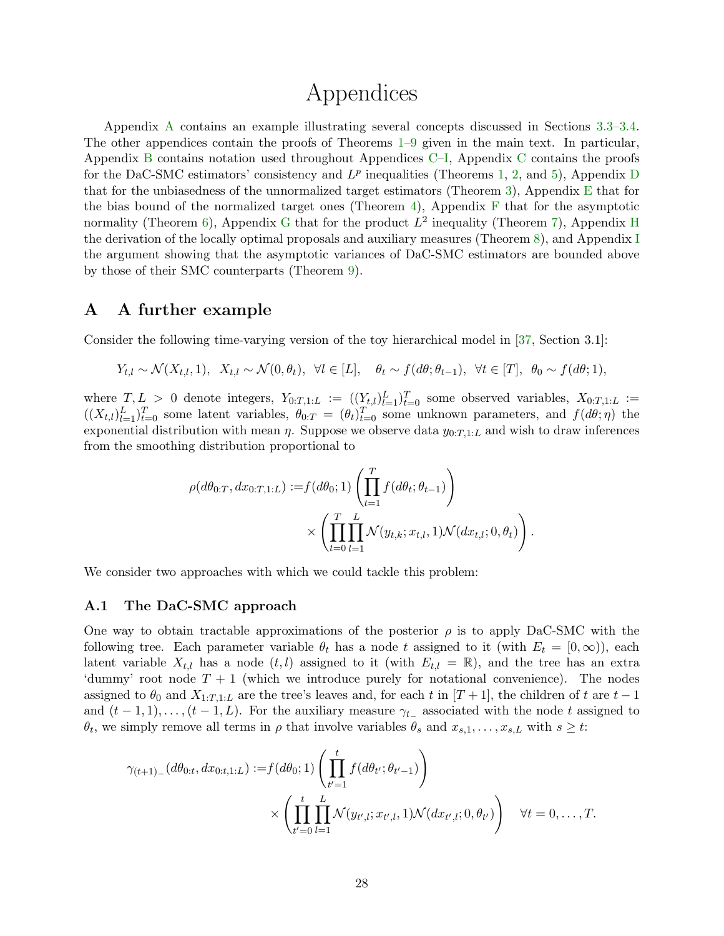# Appendices

Appendix [A](#page-27-0) contains an example illustrating several concepts discussed in Sections [3.3–](#page-12-0)[3.4.](#page-13-0) The other appendices contain the proofs of Theorems  $1-9$  $1-9$  given in the main text. In particular, Appendix [B](#page-29-0) contains notation used throughout Appendices [C–](#page-30-0)[I,](#page-52-0) Appendix [C](#page-30-0) contains the proofs for the [D](#page-35-0)aC-SMC estimators' consistency and  $L^p$  inequalities (Theorems [1,](#page-15-1) [2,](#page-15-2) and [5\)](#page-16-0), Appendix D that for the unbiasedness of the unnormalized target estimators (Theorem [3\)](#page-16-1), Appendix  $E$  that for the bias bound of the normalized target ones (Theorem [4\)](#page-16-2), Appendix  $\overline{F}$  $\overline{F}$  $\overline{F}$  that for the asymptotic normality (Theorem [6\)](#page-17-0), Appendix [G](#page-43-0) that for the product  $L^2$  inequality (Theorem [7\)](#page-18-0), Appendix [H](#page-49-0) the derivation of the locally optimal proposals and auxiliary measures (Theorem [8\)](#page-20-1), and Appendix [I](#page-52-0) the argument showing that the asymptotic variances of DaC-SMC estimators are bounded above by those of their SMC counterparts (Theorem [9\)](#page-21-0).

### <span id="page-27-0"></span>A A further example

Consider the following time-varying version of the toy hierarchical model in [\[37,](#page-25-3) Section 3.1]:

$$
Y_{t,l} \sim \mathcal{N}(X_{t,l}, 1), \quad X_{t,l} \sim \mathcal{N}(0, \theta_t), \quad \forall l \in [L], \quad \theta_t \sim f(d\theta; \theta_{t-1}), \quad \forall t \in [T], \quad \theta_0 \sim f(d\theta; 1),
$$

where  $T, L > 0$  denote integers,  $Y_{0:T,1:L} := ((Y_{t,l})_{l=1}^L)_{t=0}^T$  some observed variables,  $X_{0:T,1:L} :=$  $((X_{t,l})_{l=1}^L)_{t=0}^T$  some latent variables,  $\theta_{0:T} = (\theta_t)_{t=0}^T$  some unknown parameters, and  $f(d\theta;\eta)$  the exponential distribution with mean  $\eta$ . Suppose we observe data  $y_{0:T,1:L}$  and wish to draw inferences from the smoothing distribution proportional to

$$
\rho(d\theta_{0:T}, dx_{0:T,1:L}) := f(d\theta_0; 1) \left( \prod_{t=1}^T f(d\theta_t; \theta_{t-1}) \right) \times \left( \prod_{t=0}^T \prod_{l=1}^L \mathcal{N}(y_{t,k}; x_{t,l}, 1) \mathcal{N}(dx_{t,l}; 0, \theta_t) \right).
$$

We consider two approaches with which we could tackle this problem:

#### <span id="page-27-1"></span>A.1 The DaC-SMC approach

One way to obtain tractable approximations of the posterior  $\rho$  is to apply DaC-SMC with the following tree. Each parameter variable  $\theta_t$  has a node t assigned to it (with  $E_t = [0, \infty)$ ), each latent variable  $X_{t,l}$  has a node  $(t, l)$  assigned to it (with  $E_{t,l} = \mathbb{R}$ ), and the tree has an extra 'dummy' root node  $T + 1$  (which we introduce purely for notational convenience). The nodes assigned to  $\theta_0$  and  $X_{1:T,1:L}$  are the tree's leaves and, for each t in  $[T+1]$ , the children of t are  $t-1$ and  $(t-1,1),\ldots,(t-1,L)$ . For the auxiliary measure  $\gamma_{t-}$  associated with the node t assigned to  $\theta_t$ , we simply remove all terms in  $\rho$  that involve variables  $\theta_s$  and  $x_{s,1}, \ldots, x_{s,L}$  with  $s \geq t$ :

$$
\gamma_{(t+1)_{-}}(d\theta_{0:t}, dx_{0:t,1:L}) := f(d\theta_{0}; 1) \left( \prod_{t'=1}^{t} f(d\theta_{t'}; \theta_{t'-1}) \right) \times \left( \prod_{t'=0}^{t} \prod_{l=1}^{L} \mathcal{N}(y_{t',l}; x_{t',l}, 1) \mathcal{N}(dx_{t',l}; 0, \theta_{t'}) \right) \quad \forall t = 0, \dots, T.
$$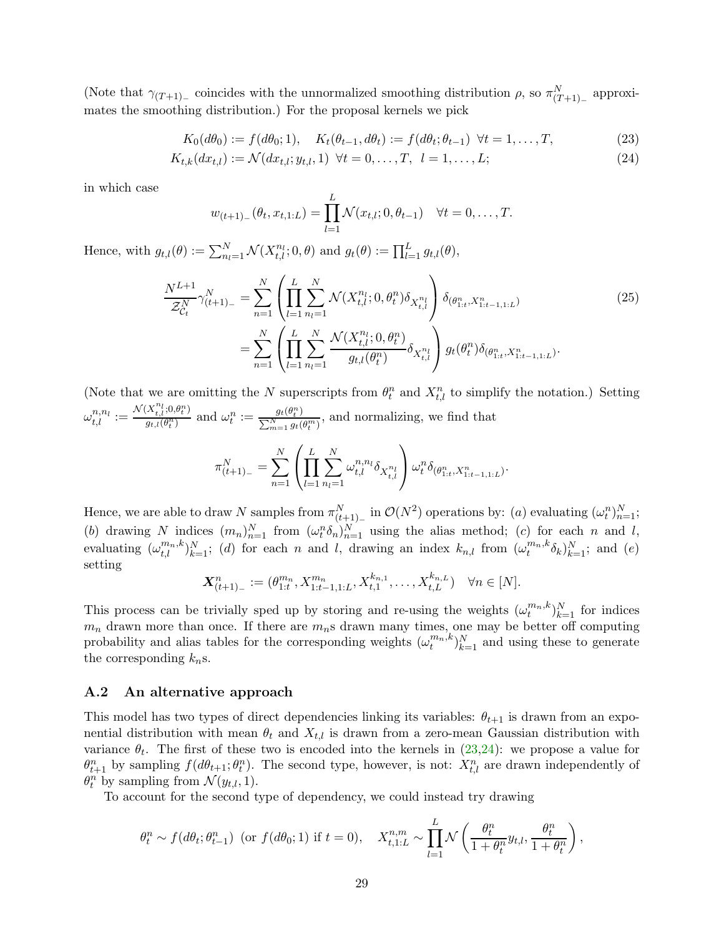(Note that  $\gamma_{(T+1)-}$  coincides with the unnormalized smoothing distribution  $\rho$ , so  $\pi_{(T+1)-}^N$  approximates the smoothing distribution.) For the proposal kernels we pick

$$
K_0(d\theta_0) := f(d\theta_0; 1), \quad K_t(\theta_{t-1}, d\theta_t) := f(d\theta_t; \theta_{t-1}) \quad \forall t = 1, \dots, T,
$$
\n(23)

$$
K_{t,k}(dx_{t,l}) := \mathcal{N}(dx_{t,l}; y_{t,l}, 1) \ \forall t = 0, \dots, T, \ l = 1, \dots, L; \tag{24}
$$

in which case

<span id="page-28-3"></span><span id="page-28-2"></span><span id="page-28-1"></span>
$$
w_{(t+1)-}(\theta_t, x_{t,1:L}) = \prod_{l=1}^{L} \mathcal{N}(x_{t,l}; 0, \theta_{t-1}) \quad \forall t = 0, ..., T.
$$

Hence, with  $g_{t,l}(\theta) := \sum_{n_l=1}^{N} \mathcal{N}(X_{t,l}^{n_l}; 0, \theta)$  and  $g_t(\theta) := \prod_{l=1}^{L} g_{t,l}(\theta)$ ,

$$
\frac{N^{L+1}}{\mathcal{Z}_{C_t}^N} \gamma_{(t+1)_-}^N = \sum_{n=1}^N \left( \prod_{l=1}^L \sum_{n_l=1}^N \mathcal{N}(X_{t,l}^{n_l}; 0, \theta_t^n) \delta_{X_{t,l}^{n_l}} \right) \delta_{(\theta_{1:t}^n, X_{1:t-1, 1:L}^n)} \n= \sum_{n=1}^N \left( \prod_{l=1}^L \sum_{n_l=1}^N \frac{\mathcal{N}(X_{t,l}^{n_l}; 0, \theta_t^n)}{g_{t,l}(\theta_t^n)} \delta_{X_{t,l}^{n_l}} \right) g_t(\theta_t^n) \delta_{(\theta_{1:t}^n, X_{1:t-1, 1:L}^n)}.
$$
\n(25)

(Note that we are omitting the N superscripts from  $\theta_t^n$  and  $X_{t,l}^n$  to simplify the notation.) Setting  $\omega_{t,l}^{n,n_l} := \frac{\mathcal{N}(X_{t,l}^{n_l};0,\theta_t^n)}{g_{t,l}(\theta_t^n)}$  $\frac{\partial X_{t,l}^{n_l};0,\theta_t^n)}{\partial t,l(\theta_t^n)}$  and  $\omega_t^n := \frac{g_t(\theta_t^n)}{\sum_{m=1}^N g_t(\theta_t^n)}$  $\frac{\sum_{m=1}^{N} g_t(\theta_t^n)}{\sum_{m=1}^{N} g_t(\theta_t^m)}$ , and normalizing, we find that

$$
\pi_{(t+1)-}^N = \sum_{n=1}^N \left( \prod_{l=1}^L \sum_{n_l=1}^N \omega_{t,l}^{n,n_l} \delta_{X_{t,l}^{n_l}} \right) \omega_t^n \delta_{(\theta_{1:t}^n, X_{1:t-1,1:L}^n)}.
$$

Hence, we are able to draw N samples from  $\pi_{(t+1)-}^N$  in  $\mathcal{O}(N^2)$  operations by:  $(a)$  evaluating  $(\omega_t^n)_{n=1}^N$ ; (b) drawing N indices  $(m_n)_{n=1}^N$  from  $(\omega_t^n \delta_n)_{n=1}^N$  using the alias method; (c) for each n and l, evaluating  $(\omega_{t,l}^{m_n,k})_{k=1}^N$ ; (d) for each n and l, drawing an index  $k_{n,l}$  from  $(\omega_t^{m_n,k}\delta_k)_{k=1}^N$ ; and (e) setting

$$
\mathbf{X}_{(t+1)_-}^n := (\theta_{1:t}^{m_n}, X_{1:t-1,1:L}^{m_n}, X_{t,1}^{k_{n,1}}, \dots, X_{t,L}^{k_{n,L}}) \quad \forall n \in [N].
$$

This process can be trivially sped up by storing and re-using the weights  $(\omega_t^{m_n,k})_{k=1}^N$  for indices  $m_n$  drawn more than once. If there are  $m_n$ s drawn many times, one may be better off computing probability and alias tables for the corresponding weights  $(\omega_t^{m_n,k})_{k=1}^N$  and using these to generate the corresponding  $k_n$ s.

#### <span id="page-28-0"></span>A.2 An alternative approach

This model has two types of direct dependencies linking its variables:  $\theta_{t+1}$  is drawn from an exponential distribution with mean  $\theta_t$  and  $X_{t,l}$  is drawn from a zero-mean Gaussian distribution with variance  $\theta_t$ . The first of these two is encoded into the kernels in  $(23,24)$  $(23,24)$ : we propose a value for  $\theta_{t+1}^n$  by sampling  $f(d\theta_{t+1}; \theta_t^n)$ . The second type, however, is not:  $X_{t,l}^n$  are drawn independently of  $\theta_t^n$  by sampling from  $\mathcal{N}(y_{t,l}, 1)$ .

To account for the second type of dependency, we could instead try drawing

$$
\theta_t^n \sim f(d\theta_t; \theta_{t-1}^n) \text{ (or } f(d\theta_0; 1) \text{ if } t = 0), \quad X_{t,1:L}^{n,m} \sim \prod_{l=1}^L \mathcal{N}\left(\frac{\theta_t^n}{1 + \theta_t^n} y_{t,l}, \frac{\theta_t^n}{1 + \theta_t^n}\right),
$$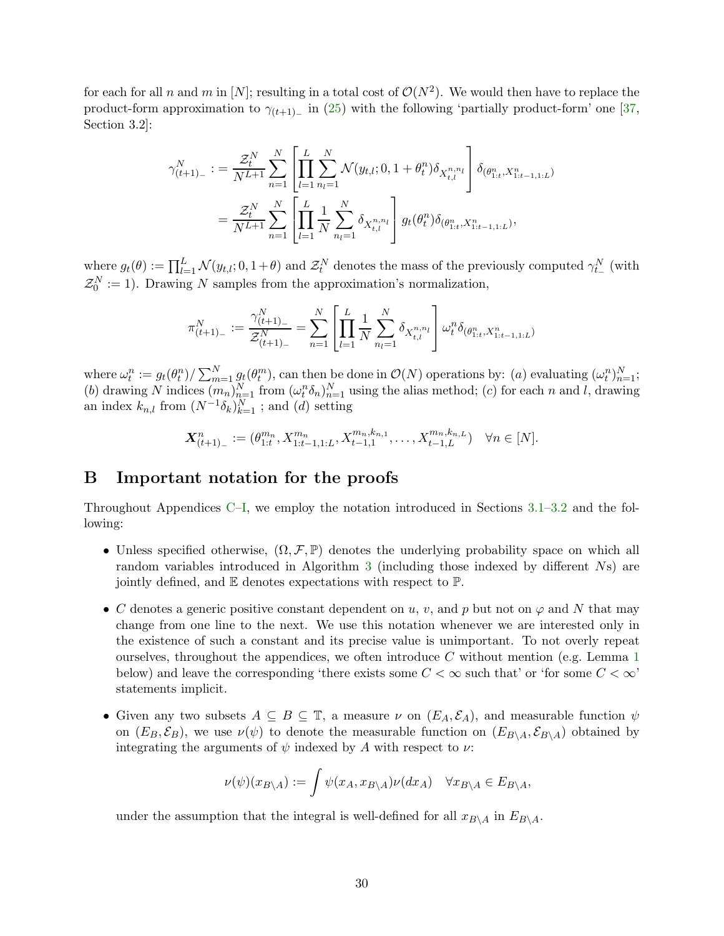for each for all n and m in [N]; resulting in a total cost of  $\mathcal{O}(N^2)$ . We would then have to replace the product-form approximation to  $\gamma_{(t+1)_-}$  in [\(25\)](#page-28-3) with the following 'partially product-form' one [\[37,](#page-25-3) Section 3.2]:

$$
\gamma_{(t+1)-}^{N} := \frac{\mathcal{Z}_t^N}{N^{L+1}} \sum_{n=1}^N \left[ \prod_{l=1}^L \sum_{n_l=1}^N \mathcal{N}(y_{t,l}; 0, 1+\theta_t^n) \delta_{X_{t,l}^{n,n_l}} \right] \delta_{(\theta_{1:t}^n, X_{1:t-1,1:L}^n)} \n= \frac{\mathcal{Z}_t^N}{N^{L+1}} \sum_{n=1}^N \left[ \prod_{l=1}^L \frac{1}{N} \sum_{n_l=1}^N \delta_{X_{t,l}^{n,n_l}} \right] g_t(\theta_t^n) \delta_{(\theta_{1:t}^n, X_{1:t-1,1:L}^n)},
$$

where  $g_t(\theta) := \prod_{l=1}^L \mathcal{N}(y_{t,l}; 0, 1+\theta)$  and  $\mathcal{Z}_t^N$  denotes the mass of the previously computed  $\gamma_{t-}^N$  (with  $\mathcal{Z}_0^N := 1$ ). Drawing N samples from the approximation's normalization,

$$
\pi_{(t+1)_-}^N := \frac{\gamma_{(t+1)_-}^N}{\mathcal{Z}_{(t+1)_-}^N} = \sum_{n=1}^N \left[ \prod_{l=1}^L \frac{1}{N} \sum_{n_l=1}^N \delta_{X_{t,l}^{n,n_l}} \right] \omega_t^n \delta_{(\theta_{1:t}^n, X_{1:t-1,1:L}^n)}
$$

where  $\omega_t^n := g_t(\theta_t^n) / \sum_{m=1}^N g_t(\theta_t^m)$ , can then be done in  $\mathcal{O}(N)$  operations by: (a) evaluating  $(\omega_t^n)_{n=1}^N$ ; (b) drawing N indices  $(m_n)_{n=1}^N$  from  $(\omega_t^n \delta_n)_{n=1}^N$  using the alias method; (c) for each n and l, drawing an index  $k_{n,l}$  from  $(N^{-1}\delta_k)_{k=1}^N$ ; and  $(d)$  setting

$$
\mathbf{X}_{(t+1)_-}^n := (\theta_{1:t}^{m_n}, X_{1:t-1,1:L}^{m_n}, X_{t-1,1}^{m_n, k_{n,1}}, \dots, X_{t-1,L}^{m_n, k_{n,L}}) \quad \forall n \in [N].
$$

### <span id="page-29-0"></span>B Important notation for the proofs

Throughout Appendices [C](#page-30-0)[–I,](#page-52-0) we employ the notation introduced in Sections [3.1–](#page-7-0)[3.2](#page-9-0) and the following:

- Unless specified otherwise,  $(\Omega, \mathcal{F}, \mathbb{P})$  denotes the underlying probability space on which all random variables introduced in Algorithm [3](#page-10-0) (including those indexed by different Ns) are jointly defined, and E denotes expectations with respect to P.
- C denotes a generic positive constant dependent on u, v, and p but not on  $\varphi$  and N that may change from one line to the next. We use this notation whenever we are interested only in the existence of such a constant and its precise value is unimportant. To not overly repeat ourselves, throughout the appendices, we often introduce  $C$  without mention (e.g. Lemma [1](#page-30-1)) below) and leave the corresponding 'there exists some  $C < \infty$  such that' or 'for some  $C < \infty$ ' statements implicit.
- Given any two subsets  $A \subseteq B \subseteq \mathbb{T}$ , a measure  $\nu$  on  $(E_A, \mathcal{E}_A)$ , and measurable function  $\psi$ on  $(E_B, \mathcal{E}_B)$ , we use  $\nu(\psi)$  to denote the measurable function on  $(E_{B\setminus A}, \mathcal{E}_{B\setminus A})$  obtained by integrating the arguments of  $\psi$  indexed by A with respect to  $\nu$ :

$$
\nu(\psi)(x_{B \setminus A}) := \int \psi(x_A, x_{B \setminus A}) \nu(dx_A) \quad \forall x_{B \setminus A} \in E_{B \setminus A},
$$

under the assumption that the integral is well-defined for all  $x_{B\setminus A}$  in  $E_{B\setminus A}$ .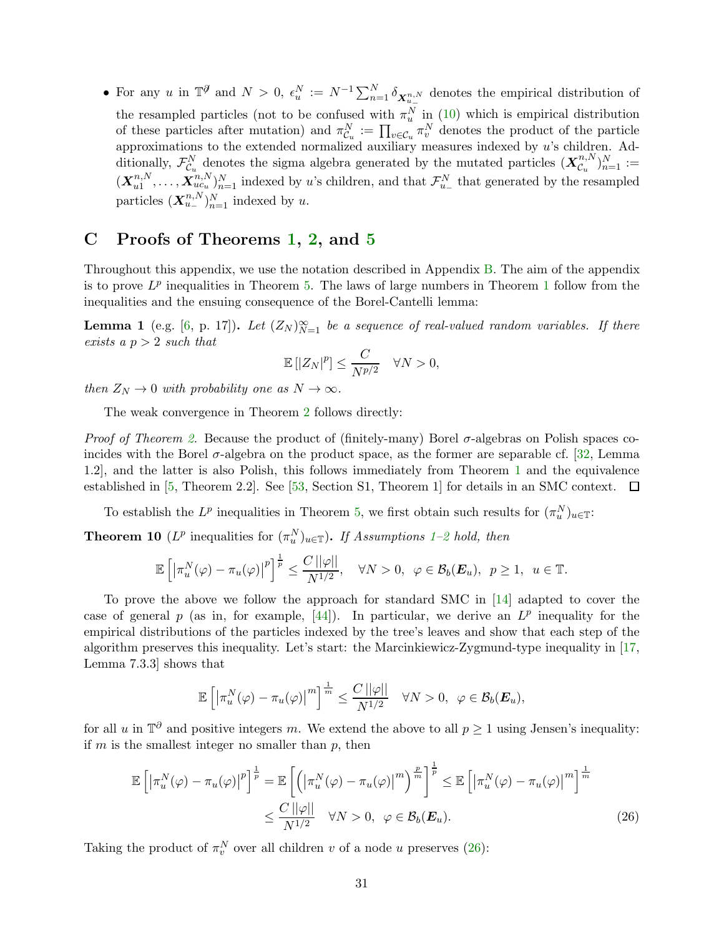• For any u in  $\mathbb{T}^{\mathscr{J}}$  and  $N > 0$ ,  $\epsilon_u^N := N^{-1} \sum_{n=1}^N \delta_{\mathbf{X}_{u_-}^{n,N}}$  denotes the empirical distribution of the resampled particles (not to be confused with  $\pi_u^N$  in [\(10\)](#page-11-2) which is empirical distribution of these particles after mutation) and  $\pi_{\mathcal{C}_u}^N := \prod_{v \in \mathcal{C}_u} \pi_v^N$  denotes the product of the particle approximations to the extended normalized auxiliary measures indexed by u's children. Additionally,  $\mathcal{F}_{\mathcal{C}_u}^N$  denotes the sigma algebra generated by the mutated particles  $(\mathbf{X}_{\mathcal{C}_u}^{n,N})$  $\binom{n,N}{u}_{n=1}^{N} :=$  $(\boldsymbol{X}_{u1}^{n,N}% )^{T}=(\boldsymbol{X}_{u1}^{n,N},\boldsymbol{X}_{u2}^{n,N}% )^{T}$  $u_1^{n,N}, \ldots, \mathbf{X}_{uc_u}^{n,N}$   $_{n=1}^N$  indexed by u's children, and that  $\mathcal{F}_{u_-}^N$  that generated by the resampled particles  $(\mathbf{X}_{u-}^{n,N})_{n=1}^N$  indexed by u.

### <span id="page-30-0"></span>C Proofs of Theorems [1,](#page-15-1) [2,](#page-15-2) and [5](#page-16-0)

Throughout this appendix, we use the notation described in Appendix [B.](#page-29-0) The aim of the appendix is to prove  $L^p$  inequalities in Theorem [5.](#page-16-0) The laws of large numbers in Theorem [1](#page-15-1) follow from the inequalities and the ensuing consequence of the Borel-Cantelli lemma:

<span id="page-30-1"></span>**Lemma 1** (e.g. [\[6,](#page-23-2) p. 17]). Let  $(Z_N)_{N=1}^{\infty}$  be a sequence of real-valued random variables. If there exists a  $p > 2$  such that

$$
\mathbb{E}\left[|Z_N|^p\right] \le \frac{C}{N^{p/2}} \quad \forall N > 0,
$$

then  $Z_N \to 0$  with probability one as  $N \to \infty$ .

The weak convergence in Theorem [2](#page-15-2) follows directly:

*Proof of Theorem [2.](#page-15-2)* Because the product of (finitely-many) Borel  $\sigma$ -algebras on Polish spaces coincides with the Borel  $\sigma$ -algebra on the product space, as the former are separable cf. [\[32,](#page-25-15) Lemma 1.2], and the latter is also Polish, this follows immediately from Theorem [1](#page-15-1) and the equivalence established in [\[5,](#page-23-4) Theorem 2.2]. See [\[53,](#page-26-9) Section S1, Theorem 1] for details in an SMC context.  $\Box$ 

To establish the  $L^p$  inequalities in Theorem [5,](#page-16-0) we first obtain such results for  $(\pi_u^N)_{u \in \mathbb{T}}$ :

<span id="page-30-3"></span>**Theorem 10** ( $L^p$  inequalities for  $(\pi_u^N)_{u \in \mathbb{T}}$ ). If Assumptions [1–](#page-11-1)[2](#page-15-3) hold, then

$$
\mathbb{E}\left[\left|\pi_u^N(\varphi)-\pi_u(\varphi)\right|^p\right]^{\frac{1}{p}} \leq \frac{C\left|\left|\varphi\right|\right|}{N^{1/2}}, \quad \forall N > 0, \ \varphi \in \mathcal{B}_b(\boldsymbol{E}_u), \ p \geq 1, \ u \in \mathbb{T}.
$$

To prove the above we follow the approach for standard SMC in [\[14\]](#page-24-10) adapted to cover the case of general p (as in, for example,  $[44]$ ). In particular, we derive an  $L^p$  inequality for the empirical distributions of the particles indexed by the tree's leaves and show that each step of the algorithm preserves this inequality. Let's start: the Marcinkiewicz-Zygmund-type inequality in [\[17,](#page-24-11) Lemma 7.3.3] shows that

<span id="page-30-2"></span>
$$
\mathbb{E}\left[\left|\pi_u^N(\varphi)-\pi_u(\varphi)\right|^m\right]^{\frac{1}{m}}\leq \frac{C\left|\left|\varphi\right|\right|}{N^{1/2}}\quad \forall N>0,\ \varphi\in\mathcal{B}_b(\boldsymbol{E}_u),
$$

for all u in  $\mathbb{T}^{\partial}$  and positive integers m. We extend the above to all  $p \geq 1$  using Jensen's inequality: if  $m$  is the smallest integer no smaller than  $p$ , then

$$
\mathbb{E}\left[\left|\pi_u^N(\varphi) - \pi_u(\varphi)\right|^p\right]^{\frac{1}{p}} = \mathbb{E}\left[\left(\left|\pi_u^N(\varphi) - \pi_u(\varphi)\right|^m\right)^{\frac{p}{m}}\right]^{\frac{1}{p}} \le \mathbb{E}\left[\left|\pi_u^N(\varphi) - \pi_u(\varphi)\right|^m\right]^{\frac{1}{m}}
$$
  

$$
\le \frac{C\left||\varphi||}{N^{1/2}} \quad \forall N > 0, \ \varphi \in \mathcal{B}_b(\mathbf{E}_u). \tag{26}
$$

Taking the product of  $\pi_v^N$  over all children v of a node u preserves [\(26\)](#page-30-2):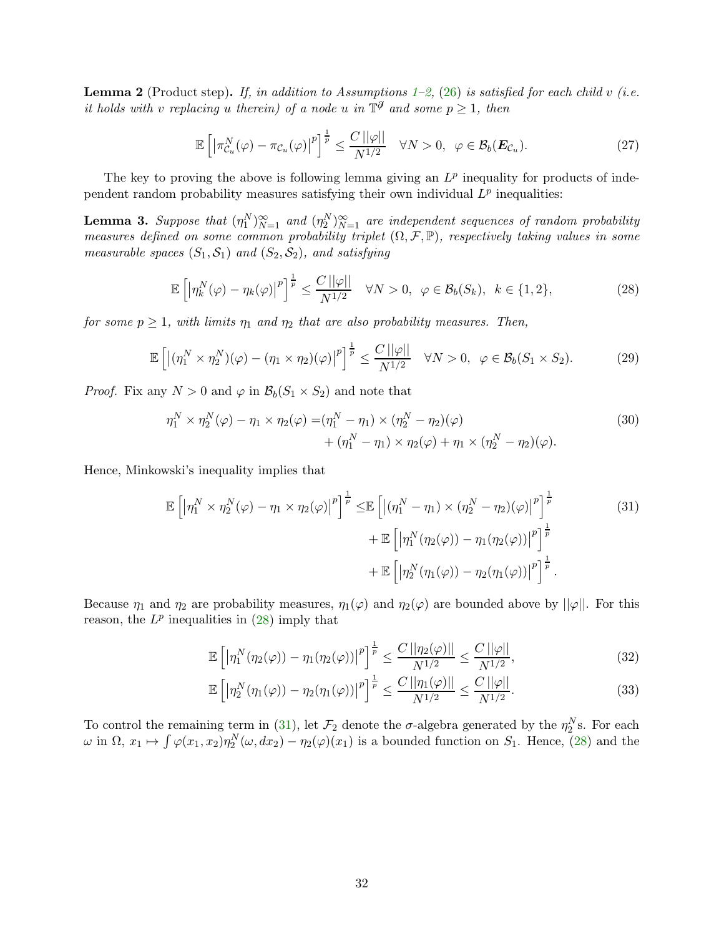<span id="page-31-4"></span>**Lemma 2** (Product step). If, in addition to Assumptions [1](#page-11-1)[–2,](#page-15-3) [\(26\)](#page-30-2) is satisfied for each child v (i.e. it holds with v replacing u therein) of a node u in  $\mathbb{T}^{\mathcal{J}}$  and some  $p \geq 1$ , then

<span id="page-31-5"></span>
$$
\mathbb{E}\left[\left|\pi_{\mathcal{C}_u}^N(\varphi)-\pi_{\mathcal{C}_u}(\varphi)\right|^p\right]^{\frac{1}{p}} \le \frac{C\left|\left|\varphi\right|\right|}{N^{1/2}} \quad \forall N > 0, \ \ \varphi \in \mathcal{B}_b(\boldsymbol{E}_{\mathcal{C}_u}).\tag{27}
$$

The key to proving the above is following lemma giving an  $L^p$  inequality for products of independent random probability measures satisfying their own individual  $L^p$  inequalities:

<span id="page-31-0"></span>**Lemma 3.** Suppose that  $(\eta_1^N)_{N=1}^{\infty}$  and  $(\eta_2^N)_{N=1}^{\infty}$  are independent sequences of random probability measures defined on some common probability triplet  $(\Omega, \mathcal{F}, \mathbb{P})$ , respectively taking values in some measurable spaces  $(S_1, S_1)$  and  $(S_2, S_2)$ , and satisfying

<span id="page-31-1"></span>
$$
\mathbb{E}\left[\left|\eta_k^N(\varphi)-\eta_k(\varphi)\right|^p\right]^{\frac{1}{p}} \le \frac{C\left||\varphi||\right|}{N^{1/2}} \quad \forall N > 0, \quad \varphi \in \mathcal{B}_b(S_k), \quad k \in \{1, 2\},\tag{28}
$$

for some  $p \geq 1$ , with limits  $\eta_1$  and  $\eta_2$  that are also probability measures. Then,

<span id="page-31-3"></span>
$$
\mathbb{E}\left[\left|\left(\eta_1^N \times \eta_2^N\right)(\varphi) - \left(\eta_1 \times \eta_2\right)(\varphi)\right|^p\right]^{\frac{1}{p}} \le \frac{C\left|\left|\varphi\right|\right|}{N^{1/2}} \quad \forall N > 0, \ \varphi \in \mathcal{B}_b(S_1 \times S_2). \tag{29}
$$

*Proof.* Fix any  $N > 0$  and  $\varphi$  in  $\mathcal{B}_b(S_1 \times S_2)$  and note that

<span id="page-31-6"></span>
$$
\eta_1^N \times \eta_2^N(\varphi) - \eta_1 \times \eta_2(\varphi) = (\eta_1^N - \eta_1) \times (\eta_2^N - \eta_2)(\varphi) + (\eta_1^N - \eta_1) \times \eta_2(\varphi) + \eta_1 \times (\eta_2^N - \eta_2)(\varphi).
$$
\n(30)

Hence, Minkowski's inequality implies that

$$
\mathbb{E}\left[\left|\eta_1^N \times \eta_2^N(\varphi) - \eta_1 \times \eta_2(\varphi)\right|^p\right]^{\frac{1}{p}} \leq \mathbb{E}\left[\left|\left(\eta_1^N - \eta_1\right) \times \left(\eta_2^N - \eta_2\right)(\varphi)\right|^p\right]^{\frac{1}{p}} + \mathbb{E}\left[\left|\eta_1^N(\eta_2(\varphi)) - \eta_1(\eta_2(\varphi))\right|^p\right]^{\frac{1}{p}} + \mathbb{E}\left[\left|\eta_2^N(\eta_1(\varphi)) - \eta_2(\eta_1(\varphi))\right|^p\right]^{\frac{1}{p}}.
$$
\n(31)

Because  $\eta_1$  and  $\eta_2$  are probability measures,  $\eta_1(\varphi)$  and  $\eta_2(\varphi)$  are bounded above by  $||\varphi||$ . For this reason, the  $L^p$  inequalities in  $(28)$  imply that

<span id="page-31-2"></span>
$$
\mathbb{E}\left[\left|\eta_1^N(\eta_2(\varphi)) - \eta_1(\eta_2(\varphi))\right|^p\right]^{\frac{1}{p}} \le \frac{C\left|\left|\eta_2(\varphi)\right|\right|}{N^{1/2}} \le \frac{C\left|\left|\varphi\right|\right|}{N^{1/2}},\tag{32}
$$

$$
\mathbb{E}\left[\left|\eta_2^N(\eta_1(\varphi)) - \eta_2(\eta_1(\varphi))\right|^p\right]^{\frac{1}{p}} \le \frac{C\left|\left|\eta_1(\varphi)\right|\right|}{N^{1/2}} \le \frac{C\left|\left|\varphi\right|\right|}{N^{1/2}}.
$$
\n(33)

To control the remaining term in [\(31\)](#page-31-2), let  $\mathcal{F}_2$  denote the  $\sigma$ -algebra generated by the  $\eta_2^N$ s. For each  $\omega$  in  $\Omega$ ,  $x_1 \mapsto \int \varphi(x_1, x_2) \eta_2^N(\omega, dx_2) - \eta_2(\varphi)(x_1)$  is a bounded function on  $S_1$ . Hence, [\(28\)](#page-31-1) and the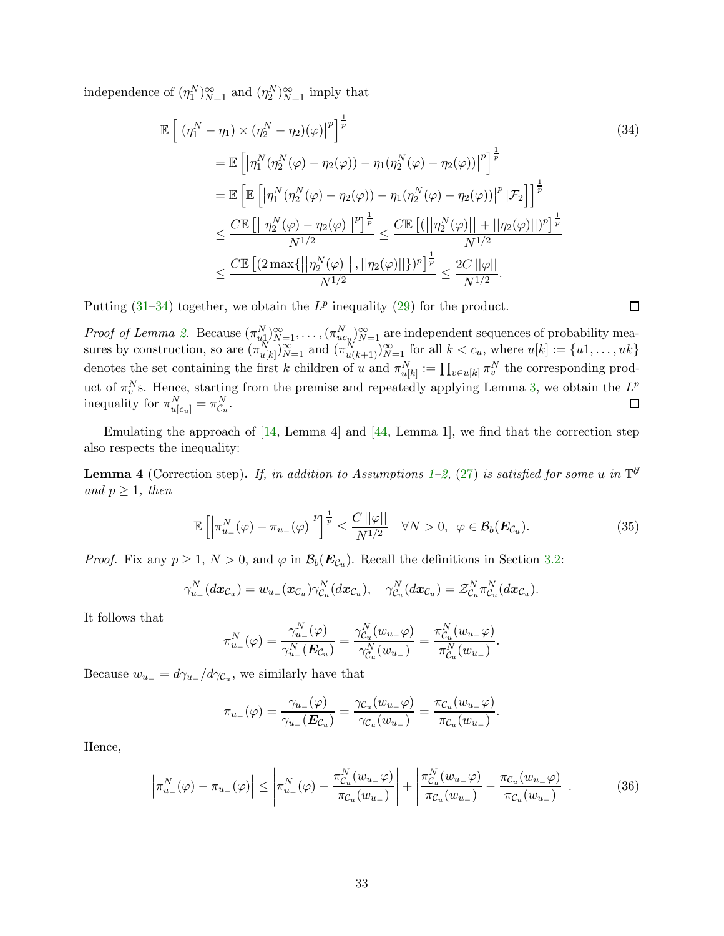independence of  $(\eta_1^N)_{N=1}^{\infty}$  and  $(\eta_2^N)_{N=1}^{\infty}$  imply that

<span id="page-32-0"></span>
$$
\mathbb{E}\left[\left|\left(\eta_1^N - \eta_1\right) \times \left(\eta_2^N - \eta_2\right)(\varphi)\right|^p\right]^{\frac{1}{p}}\n= \mathbb{E}\left[\left|\eta_1^N \left(\eta_2^N(\varphi) - \eta_2(\varphi)\right) - \eta_1(\eta_2^N(\varphi) - \eta_2(\varphi))\right|^p\right]^{\frac{1}{p}}\n= \mathbb{E}\left[\mathbb{E}\left[\left|\eta_1^N \left(\eta_2^N(\varphi) - \eta_2(\varphi)\right) - \eta_1(\eta_2^N(\varphi) - \eta_2(\varphi))\right|^p|\mathcal{F}_2\right]\right]^{\frac{1}{p}}\n\leq \frac{C \mathbb{E}\left[\left|\left|\eta_2^N(\varphi) - \eta_2(\varphi)\right|\right|^p\right]^{\frac{1}{p}}}{N^{1/2}} \leq \frac{C \mathbb{E}\left[\left(\left|\left|\eta_2^N(\varphi)\right|\right| + \left|\left|\eta_2(\varphi)\right|\right|\right)^p\right]^{\frac{1}{p}}}{N^{1/2}}\n\leq \frac{C \mathbb{E}\left[\left(2 \max\{\left|\eta_2^N(\varphi)\right|\right|, \left|\left|\eta_2(\varphi)\right|\right|\}\right)^p{\frac{1}{p}}}{N^{1/2}} \leq \frac{2C \left|\left|\varphi\right|\right|}{N^{1/2}}.
$$
\n(34)

Putting  $(31-34)$  $(31-34)$  together, we obtain the  $L^p$  inequality  $(29)$  for the product.

*Proof of Lemma [2.](#page-31-4)* Because  $(\pi_{u_1}^N)_{N=1}^{\infty}, \ldots, (\pi_{uc_u}^N)_{N=1}^{\infty}$  are independent sequences of probability measures by construction, so are  $(\pi_{u[k]}^N)_{N=1}^{\infty}$  and  $(\pi_{u(k+1)}^N)_{N=1}^{\infty}$  for all  $k < c_u$ , where  $u[k] := \{u_1, \ldots, u_k\}$ denotes the set containing the first k children of u and  $\pi_{u[k]}^N := \prod_{v \in u[k]} \pi_v^N$  the corresponding product of  $\pi_v^N$ s. Hence, starting from the premise and repeatedly applying Lemma [3,](#page-31-0) we obtain the  $L^p$ inequality for  $\pi_{u[c_u]}^N = \pi_{\mathcal{C}_u}^N$ .  $\Box$ 

Emulating the approach of [\[14,](#page-24-10) Lemma 4] and [\[44,](#page-26-10) Lemma 1], we find that the correction step also respects the inequality:

<span id="page-32-3"></span>**Lemma 4** (Correction step). If, in addition to Assumptions [1–](#page-11-1)[2,](#page-15-3) [\(27\)](#page-31-5) is satisfied for some u in  $\mathbb{T}^{\hat{\theta}}$ and  $p \geq 1$ , then

<span id="page-32-1"></span>
$$
\mathbb{E}\left[\left|\pi_{u_-}^N(\varphi)-\pi_{u_-}(\varphi)\right|^p\right]^{\frac{1}{p}} \leq \frac{C\left||\varphi||\right|}{N^{1/2}} \quad \forall N > 0, \ \ \varphi \in \mathcal{B}_b(\boldsymbol{E}_{\mathcal{C}_u}).\tag{35}
$$

*Proof.* Fix any  $p \ge 1$ ,  $N > 0$ , and  $\varphi$  in  $\mathcal{B}_b(E_{\mathcal{C}_u})$ . Recall the definitions in Section [3.2:](#page-9-0)

$$
\gamma_{u_-}^N(dx_{\mathcal{C}_u})=w_{u_-}(x_{\mathcal{C}_u})\gamma_{\mathcal{C}_u}^N(dx_{\mathcal{C}_u}), \quad \gamma_{\mathcal{C}_u}^N(dx_{\mathcal{C}_u})=\mathcal{Z}_{\mathcal{C}_u}^N\pi_{\mathcal{C}_u}^N(dx_{\mathcal{C}_u}).
$$

It follows that

$$
\pi_{u_-}^N(\varphi) = \frac{\gamma_{u_-}^N(\varphi)}{\gamma_{u_-}^N(\boldsymbol{E}_{\mathcal{C}_u})} = \frac{\gamma_{\mathcal{C}_u}^N(w_{u_-}\varphi)}{\gamma_{\mathcal{C}_u}^N(w_{u_-})} = \frac{\pi_{\mathcal{C}_u}^N(w_{u_-}\varphi)}{\pi_{\mathcal{C}_u}^N(w_{u_-})}.
$$

Because  $w_{u-} = d\gamma_{u-}/d\gamma_{\mathcal{C}_u}$ , we similarly have that

<span id="page-32-2"></span>
$$
\pi_{u_-}(\varphi) = \frac{\gamma_{u_-}(\varphi)}{\gamma_{u_-}(\boldsymbol{E}_{\mathcal{C}_u})} = \frac{\gamma_{\mathcal{C}_u}(w_{u_-}\varphi)}{\gamma_{\mathcal{C}_u}(w_{u_-})} = \frac{\pi_{\mathcal{C}_u}(w_{u_-}\varphi)}{\pi_{\mathcal{C}_u}(w_{u_-})}.
$$

Hence,

$$
\left|\pi_{u_-}^N(\varphi) - \pi_{u_-}(\varphi)\right| \le \left|\pi_{u_-}^N(\varphi) - \frac{\pi_{C_u}^N(w_{u_-}\varphi)}{\pi_{C_u}(w_{u_-})}\right| + \left|\frac{\pi_{C_u}^N(w_{u_-}\varphi)}{\pi_{C_u}(w_{u_-})} - \frac{\pi_{C_u}(w_{u_-}\varphi)}{\pi_{C_u}(w_{u_-})}\right|.
$$
(36)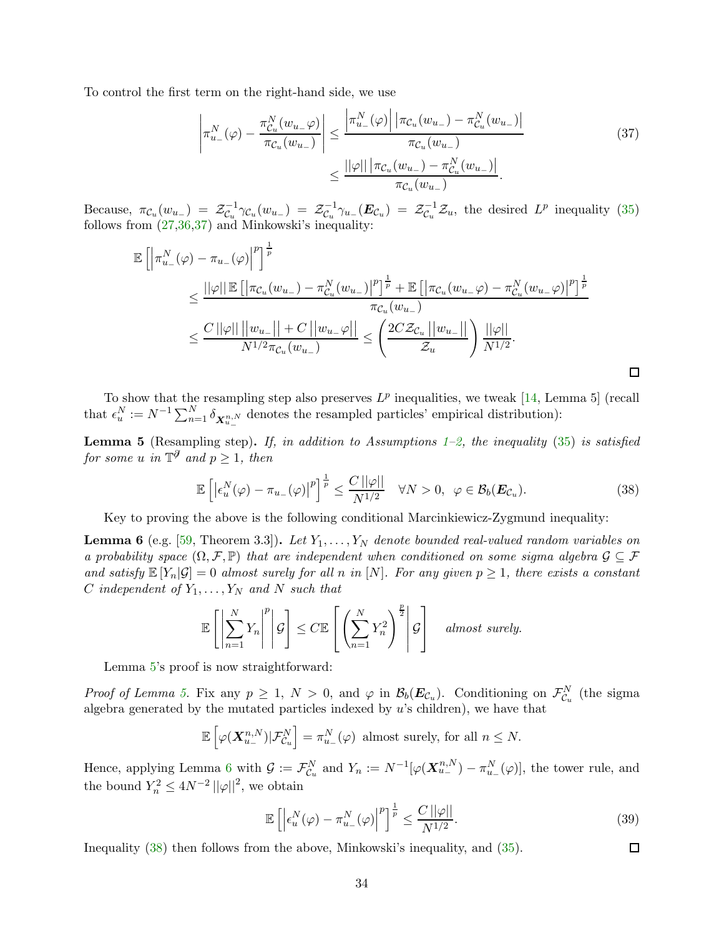To control the first term on the right-hand side, we use

<span id="page-33-0"></span>
$$
\left| \pi_{u_{-}}^{N}(\varphi) - \frac{\pi_{C_{u}}^{N}(w_{u_{-}}\varphi)}{\pi_{C_{u}}(w_{u_{-}})} \right| \leq \frac{\left| \pi_{u_{-}}^{N}(\varphi) \right| \left| \pi_{C_{u}}(w_{u_{-}}) - \pi_{C_{u}}^{N}(w_{u_{-}}) \right|}{\pi_{C_{u}}(w_{u_{-}})} \leq \frac{||\varphi|| \left| \pi_{C_{u}}(w_{u_{-}}) - \pi_{C_{u}}^{N}(w_{u_{-}}) \right|}{\pi_{C_{u}}(w_{u_{-}})}.
$$
\n(37)

Because,  $\pi_{\mathcal{C}_u}(w_{u_-}) = \mathcal{Z}_{\mathcal{C}_u}^{-1}$  $\overline{\mathcal{C}_u}^1\gamma\mathcal{C}_u(w_{u_-})\;=\; \mathcal{Z}_{\mathcal{C}_u}^{-1}$  $\overline{\mathcal{C}}_u^{-1}\gamma_{u_-}(\boldsymbol{E}_{\mathcal{C}_u})\;=\;\mathcal{Z}_{\mathcal{C}_u}^{-1}$  $\mathcal{Z}_u^{-1}\mathcal{Z}_u$ , the desired  $L^p$  inequality [\(35\)](#page-32-1) follows from [\(27,](#page-31-5)[36,](#page-32-2)[37\)](#page-33-0) and Minkowski's inequality:

$$
\mathbb{E}\left[\left|\pi_{u_{-}}^{N}(\varphi)-\pi_{u_{-}}(\varphi)\right|^{p}\right]^{\frac{1}{p}}\n\leq\frac{||\varphi||\mathbb{E}\left[\left|\pi_{\mathcal{C}_{u}}(w_{u_{-}})-\pi_{\mathcal{C}_{u}}^{N}(w_{u_{-}})\right|^{p}\right]^{\frac{1}{p}}+\mathbb{E}\left[\left|\pi_{\mathcal{C}_{u}}(w_{u_{-}}\varphi)-\pi_{\mathcal{C}_{u}}^{N}(w_{u_{-}}\varphi)\right|^{p}\right]^{\frac{1}{p}}}{\pi_{\mathcal{C}_{u}}(w_{u_{-}})}\n\leq\frac{C\left|\left|\varphi\right|\right|\left|\left|w_{u_{-}}\right|\right|+C\left|\left|w_{u_{-}}\varphi\right|\right|}{N^{1/2}\pi_{\mathcal{C}_{u}}(w_{u_{-}})}\leq\left(\frac{2C\mathcal{Z}_{\mathcal{C}_{u}}\left|\left|w_{u_{-}}\right|\right|}{\mathcal{Z}_{u}}\right)\frac{||\varphi||}{N^{1/2}}.
$$

To show that the resampling step also preserves  $L^p$  inequalities, we tweak [\[14,](#page-24-10) Lemma 5] (recall that  $\epsilon_u^N := N^{-1} \sum_{n=1}^N \delta_{\mathbf{X}_{u-}^{n,N}}$  denotes the resampled particles' empirical distribution):

<span id="page-33-1"></span>**Lemma 5** (Resampling step). If, in addition to Assumptions [1](#page-11-1)[–2,](#page-15-3) the inequality [\(35\)](#page-32-1) is satisfied for some u in  $\mathbb{T}^{\partial}$  and  $p \geq 1$ , then

<span id="page-33-3"></span>
$$
\mathbb{E}\left[\left|\epsilon_{u}^{N}(\varphi)-\pi_{u_{-}}(\varphi)\right|^{p}\right]^{\frac{1}{p}} \leq \frac{C\left|\left|\varphi\right|\right|}{N^{1/2}} \quad \forall N > 0, \ \varphi \in \mathcal{B}_{b}(\boldsymbol{E}_{\mathcal{C}_{u}}). \tag{38}
$$

Key to proving the above is the following conditional Marcinkiewicz-Zygmund inequality:

<span id="page-33-2"></span>**Lemma 6** (e.g. [\[59,](#page-26-16) Theorem 3.3]). Let  $Y_1, \ldots, Y_N$  denote bounded real-valued random variables on a probability space  $(\Omega, \mathcal{F}, \mathbb{P})$  that are independent when conditioned on some sigma algebra  $\mathcal{G} \subseteq \mathcal{F}$ and satisfy  $\mathbb{E}[Y_n|\mathcal{G}] = 0$  almost surely for all n in  $[N]$ . For any given  $p \geq 1$ , there exists a constant C independent of  $Y_1, \ldots, Y_N$  and N such that

$$
\mathbb{E}\left[\left|\sum_{n=1}^N Y_n\right|^p\middle| \mathcal{G}\right] \leq C \mathbb{E}\left[\left(\sum_{n=1}^N Y_n^2\right)^{\frac{p}{2}}\middle| \mathcal{G}\right] \quad \text{almost surely.}
$$

Lemma [5'](#page-33-1)s proof is now straightforward:

*Proof of Lemma [5.](#page-33-1)* Fix any  $p \ge 1$ ,  $N > 0$ , and  $\varphi$  in  $\mathcal{B}_b(E_{\mathcal{C}_u})$ . Conditioning on  $\mathcal{F}_{\mathcal{C}_u}^N$  (the sigma algebra generated by the mutated particles indexed by u's children), we have that

$$
\mathbb{E}\left[\varphi(\boldsymbol{X}_{u_-}^{n,N})|\mathcal{F}_{\mathcal{C}_u}^N\right] = \pi_{u_-}^N(\varphi) \text{ almost surely, for all } n \leq N.
$$

Hence, applying Lemma [6](#page-33-2) with  $\mathcal{G} := \mathcal{F}_{\mathcal{C}_u}^N$  and  $Y_n := N^{-1}[\varphi(\mathbf{X}_{u-}^{n,N}) - \pi_{u-}^N(\varphi)]$ , the tower rule, and the bound  $Y_n^2 \leq 4N^{-2} ||\varphi||^2$ , we obtain

$$
\mathbb{E}\left[\left|\epsilon_u^N(\varphi) - \pi_{u_-}^N(\varphi)\right|^p\right]^{\frac{1}{p}} \le \frac{C\left||\varphi\right||}{N^{1/2}}.\tag{39}
$$

<span id="page-33-4"></span> $\Box$ 

Inequality [\(38\)](#page-33-3) then follows from the above, Minkowski's inequality, and [\(35\)](#page-32-1).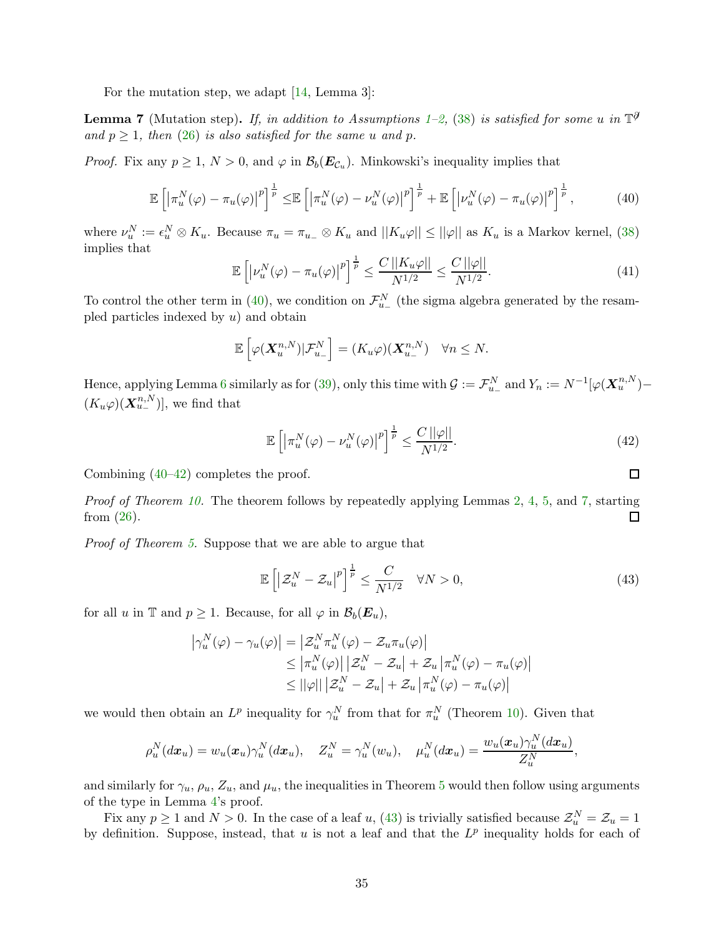For the mutation step, we adapt [\[14,](#page-24-10) Lemma 3]:

<span id="page-34-2"></span>**Lemma 7** (Mutation step). If, in addition to Assumptions [1–](#page-11-1)[2,](#page-15-3) [\(38\)](#page-33-3) is satisfied for some u in  $\mathbb{T}^{\hat{\theta}}$ and  $p \geq 1$ , then [\(26\)](#page-30-2) is also satisfied for the same u and p.

*Proof.* Fix any  $p \ge 1$ ,  $N > 0$ , and  $\varphi$  in  $\mathcal{B}_b(E_{\mathcal{C}_u})$ . Minkowski's inequality implies that

$$
\mathbb{E}\left[\left|\pi_u^N(\varphi) - \pi_u(\varphi)\right|^p\right]^{\frac{1}{p}} \leq \mathbb{E}\left[\left|\pi_u^N(\varphi) - \nu_u^N(\varphi)\right|^p\right]^{\frac{1}{p}} + \mathbb{E}\left[\left|\nu_u^N(\varphi) - \pi_u(\varphi)\right|^p\right]^{\frac{1}{p}},\tag{40}
$$

where  $\nu_u^N := \epsilon_u^N \otimes K_u$ . Because  $\pi_u = \pi_{u_-} \otimes K_u$  and  $||K_u\varphi|| \le ||\varphi||$  as  $K_u$  is a Markov kernel, [\(38\)](#page-33-3) implies that

$$
\mathbb{E}\left[\left|\nu_u^N(\varphi) - \pi_u(\varphi)\right|^p\right]^{\frac{1}{p}} \le \frac{C\left|\left|K_u\varphi\right|\right|}{N^{1/2}} \le \frac{C\left|\left|\varphi\right|\right|}{N^{1/2}}.\tag{41}
$$

To control the other term in [\(40\)](#page-34-0), we condition on  $\mathcal{F}_{u_-}^N$  (the sigma algebra generated by the resampled particles indexed by  $u$ ) and obtain

$$
\mathbb{E}\left[\varphi(\mathbf{X}_{u}^{n,N})|\mathcal{F}_{u-}^{N}\right] = (K_{u}\varphi)(\mathbf{X}_{u-}^{n,N}) \quad \forall n \leq N.
$$

Hence, applying Lemma [6](#page-33-2) similarly as for [\(39\)](#page-33-4), only this time with  $\mathcal{G} := \mathcal{F}_{u-}^N$  and  $Y_n := N^{-1}[\varphi(\mathbf{X}_u^{n,N}) (K_u\varphi)(\mathbf{X}_{u-}^{n,N})]$ , we find that

$$
\mathbb{E}\left[\left|\pi_u^N(\varphi) - \nu_u^N(\varphi)\right|^p\right]^{\frac{1}{p}} \le \frac{C\left|\varphi\right|}{N^{1/2}}.\tag{42}
$$

Combining [\(40](#page-34-0)[–42\)](#page-34-1) completes the proof.

Proof of Theorem [10.](#page-30-3) The theorem follows by repeatedly applying Lemmas [2,](#page-31-4) [4,](#page-32-3) [5,](#page-33-1) and [7,](#page-34-2) starting from [\(26\)](#page-30-2). П

Proof of Theorem [5.](#page-16-0) Suppose that we are able to argue that

$$
\mathbb{E}\left[\left|\mathcal{Z}_u^N - \mathcal{Z}_u\right|^p\right]^{\frac{1}{p}} \le \frac{C}{N^{1/2}} \quad \forall N > 0,\tag{43}
$$

for all u in T and  $p \geq 1$ . Because, for all  $\varphi$  in  $\mathcal{B}_b(E_u)$ ,

$$
\left|\gamma_u^N(\varphi) - \gamma_u(\varphi)\right| = \left|\mathcal{Z}_u^N \pi_u^N(\varphi) - \mathcal{Z}_u \pi_u(\varphi)\right|
$$
  
\n
$$
\leq \left|\pi_u^N(\varphi)\right| \left|\mathcal{Z}_u^N - \mathcal{Z}_u\right| + \mathcal{Z}_u \left|\pi_u^N(\varphi) - \pi_u(\varphi)\right|
$$
  
\n
$$
\leq ||\varphi|| \left|\mathcal{Z}_u^N - \mathcal{Z}_u\right| + \mathcal{Z}_u \left|\pi_u^N(\varphi) - \pi_u(\varphi)\right|
$$

we would then obtain an  $L^p$  inequality for  $\gamma_u^N$  from that for  $\pi_u^N$  (Theorem [10\)](#page-30-3). Given that

$$
\rho_u^N(dx_u) = w_u(\pmb{x}_u)\gamma_u^N(dx_u), \quad Z_u^N = \gamma_u^N(w_u), \quad \mu_u^N(dx_u) = \frac{w_u(\pmb{x}_u)\gamma_u^N(dx_u)}{Z_u^N},
$$

and similarly for  $\gamma_u$ ,  $\rho_u$ ,  $Z_u$ , and  $\mu_u$ , the inequalities in Theorem [5](#page-16-0) would then follow using arguments of the type in Lemma [4'](#page-32-3)s proof.

Fix any  $p \ge 1$  and  $N > 0$ . In the case of a leaf u, [\(43\)](#page-34-3) is trivially satisfied because  $\mathcal{Z}_u^N = \mathcal{Z}_u = 1$ by definition. Suppose, instead, that u is not a leaf and that the  $L^p$  inequality holds for each of

<span id="page-34-3"></span><span id="page-34-1"></span><span id="page-34-0"></span>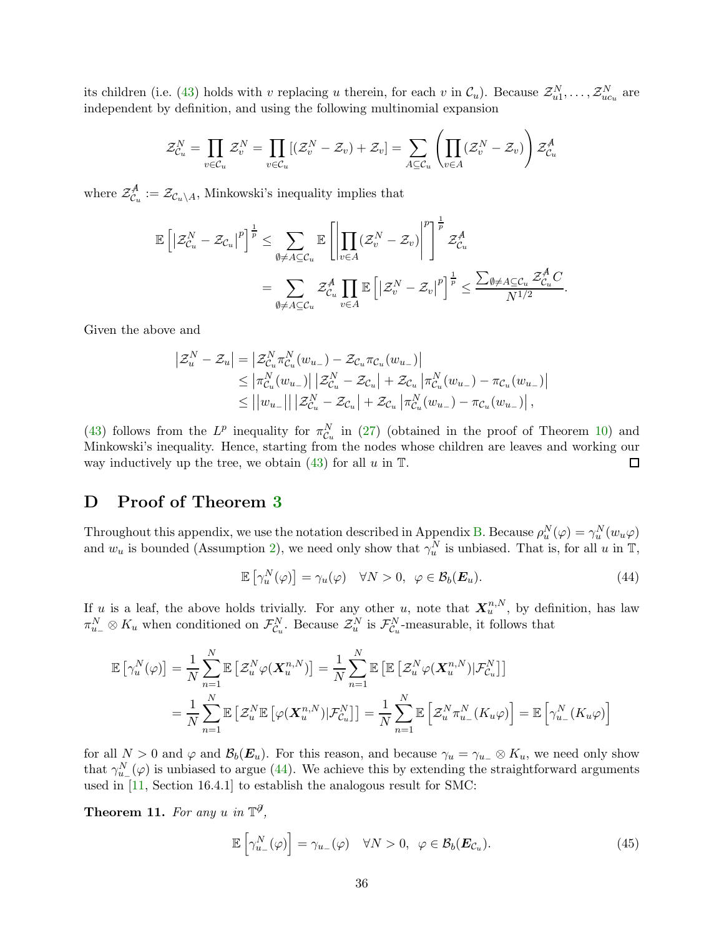its children (i.e. [\(43\)](#page-34-3) holds with v replacing u therein, for each v in  $\mathcal{C}_u$ ). Because  $\mathcal{Z}_{u1}^N, \ldots, \mathcal{Z}_{uc_u}^N$  are independent by definition, and using the following multinomial expansion

$$
\mathcal{Z}_{\mathcal{C}_u}^N = \prod_{v \in \mathcal{C}_u} \mathcal{Z}_v^N = \prod_{v \in \mathcal{C}_u} [(\mathcal{Z}_v^N - \mathcal{Z}_v) + \mathcal{Z}_v] = \sum_{A \subseteq \mathcal{C}_u} \left( \prod_{v \in A} (\mathcal{Z}_v^N - \mathcal{Z}_v) \right) \mathcal{Z}_{\mathcal{C}_u}^A
$$

where  $\mathcal{Z}_{\mathcal{C}_u}^{\mathcal{A}}$  $\mathcal{Z}_{\mathcal{C}_u}^{\mathcal{A}} := \mathcal{Z}_{\mathcal{C}_u \setminus A}$ , Minkowski's inequality implies that

$$
\mathbb{E}\left[\left|\mathcal{Z}_{\mathcal{C}_u}^N - \mathcal{Z}_{\mathcal{C}_u}\right|^p\right]^{\frac{1}{p}} \leq \sum_{\emptyset \neq A \subseteq \mathcal{C}_u} \mathbb{E}\left[\left|\prod_{v \in A}(\mathcal{Z}_v^N - \mathcal{Z}_v)\right|^p\right]^{\frac{1}{p}} \mathcal{Z}_{\mathcal{C}_u}^A
$$

$$
= \sum_{\emptyset \neq A \subseteq \mathcal{C}_u} \mathcal{Z}_{\mathcal{C}_u}^A \prod_{v \in A} \mathbb{E}\left[\left|\mathcal{Z}_v^N - \mathcal{Z}_v\right|^p\right]^{\frac{1}{p}} \leq \frac{\sum_{\emptyset \neq A \subseteq \mathcal{C}_u} \mathcal{Z}_{\mathcal{C}_u}^A C}{N^{1/2}}.
$$

Given the above and

$$
\begin{split} \left| \mathcal{Z}_{u}^{N} - \mathcal{Z}_{u} \right| &= \left| \mathcal{Z}_{C_{u}}^{N} \pi_{C_{u}}^{N}(w_{u_{-}}) - \mathcal{Z}_{C_{u}} \pi_{C_{u}}(w_{u_{-}}) \right| \\ &\leq \left| \pi_{C_{u}}^{N}(w_{u_{-}}) \right| \left| \mathcal{Z}_{C_{u}}^{N} - \mathcal{Z}_{C_{u}} \right| + \mathcal{Z}_{C_{u}} \left| \pi_{C_{u}}^{N}(w_{u_{-}}) - \pi_{C_{u}}(w_{u_{-}}) \right| \\ &\leq \left| \left| w_{u_{-}} \right| \right| \left| \mathcal{Z}_{C_{u}}^{N} - \mathcal{Z}_{C_{u}} \right| + \mathcal{Z}_{C_{u}} \left| \pi_{C_{u}}^{N}(w_{u_{-}}) - \pi_{C_{u}}(w_{u_{-}}) \right|, \end{split}
$$

[\(43\)](#page-34-3) follows from the  $L^p$  inequality for  $\pi_{\mathcal{C}_u}^N$  in [\(27\)](#page-31-5) (obtained in the proof of Theorem [10\)](#page-30-3) and Minkowski's inequality. Hence, starting from the nodes whose children are leaves and working our way inductively up the tree, we obtain  $(43)$  for all u in T.  $\Box$ 

## <span id="page-35-0"></span>D Proof of Theorem [3](#page-16-1)

Throughout this appendix, we use the notation described in Appendix [B.](#page-29-0) Because  $\rho_u^N(\varphi) = \gamma_u^N(w_u\varphi)$ and  $w_u$  is bounded (Assumption [2\)](#page-15-3), we need only show that  $\gamma_u^N$  is unbiased. That is, for all u in T,

<span id="page-35-1"></span>
$$
\mathbb{E}\left[\gamma_u^N(\varphi)\right] = \gamma_u(\varphi) \quad \forall N > 0, \ \varphi \in \mathcal{B}_b(\boldsymbol{E}_u). \tag{44}
$$

If u is a leaf, the above holds trivially. For any other u, note that  $\mathbf{X}_{u}^{n,N}$ , by definition, has law  $\pi_{u_-}^N \otimes K_u$  when conditioned on  $\mathcal{F}_{\mathcal{C}_u}^N$ . Because  $\mathcal{Z}_u^N$  is  $\mathcal{F}_{\mathcal{C}_u}^N$ -measurable, it follows that

$$
\mathbb{E}\left[\gamma_u^N(\varphi)\right] = \frac{1}{N} \sum_{n=1}^N \mathbb{E}\left[\mathcal{Z}_u^N \varphi(\boldsymbol{X}_u^{n,N})\right] = \frac{1}{N} \sum_{n=1}^N \mathbb{E}\left[\mathbb{E}\left[\mathcal{Z}_u^N \varphi(\boldsymbol{X}_u^{n,N}) | \mathcal{F}_{C_u}^N\right]\right]
$$

$$
= \frac{1}{N} \sum_{n=1}^N \mathbb{E}\left[\mathcal{Z}_u^N \mathbb{E}\left[\varphi(\boldsymbol{X}_u^{n,N}) | \mathcal{F}_{C_u}^N\right]\right] = \frac{1}{N} \sum_{n=1}^N \mathbb{E}\left[\mathcal{Z}_u^N \pi_{u_{-}}^N(K_u \varphi)\right] = \mathbb{E}\left[\gamma_{u_{-}}^N(K_u \varphi)\right]
$$

for all  $N > 0$  and  $\varphi$  and  $\mathcal{B}_b(E_u)$ . For this reason, and because  $\gamma_u = \gamma_{u-} \otimes K_u$ , we need only show that  $\gamma_{u-}^{N}(\varphi)$  is unbiased to argue [\(44\)](#page-35-1). We achieve this by extending the straightforward arguments used in [\[11,](#page-24-6) Section 16.4.1] to establish the analogous result for SMC:

Theorem 11. For any u in  $\mathbb{T}^{\partial}$ ,

<span id="page-35-2"></span>
$$
\mathbb{E}\left[\gamma_{u_{-}}^{N}(\varphi)\right] = \gamma_{u_{-}}(\varphi) \quad \forall N > 0, \ \varphi \in \mathcal{B}_{b}(\boldsymbol{E}_{\mathcal{C}_{u}}). \tag{45}
$$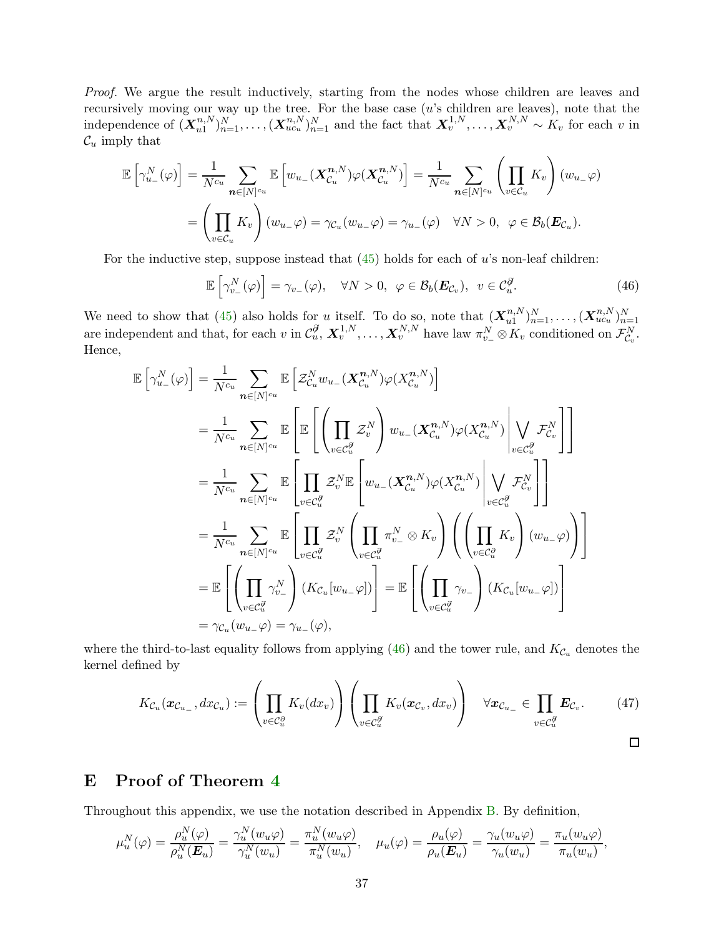Proof. We argue the result inductively, starting from the nodes whose children are leaves and recursively moving our way up the tree. For the base case (u's children are leaves), note that the independence of  $(X_{u1}^{n,N})$  $\{u_1^{(n,N)}\}_{n=1}^N, \ldots, (\boldsymbol{X}_{uc_u}^{n,N})_{n=1}^N$  and the fact that  $\boldsymbol{X}_v^{1,N}, \ldots, \boldsymbol{X}_v^{N,N} \sim K_v$  for each v in  $\mathcal{C}_u$  imply that

$$
\mathbb{E}\left[\gamma_{u_{-}}^{N}(\varphi)\right] = \frac{1}{N^{c_{u}}}\sum_{n\in[N]^{c_{u}}} \mathbb{E}\left[w_{u_{-}}(\boldsymbol{X}_{\mathcal{C}_{u}}^{n,N})\varphi(\boldsymbol{X}_{\mathcal{C}_{u}}^{n,N})\right] = \frac{1}{N^{c_{u}}}\sum_{n\in[N]^{c_{u}}} \left(\prod_{v\in\mathcal{C}_{u}} K_{v}\right)(w_{u_{-}}\varphi)
$$

$$
= \left(\prod_{v\in\mathcal{C}_{u}} K_{v}\right)(w_{u_{-}}\varphi) = \gamma_{\mathcal{C}_{u}}(w_{u_{-}}\varphi) = \gamma_{u_{-}}(\varphi) \quad \forall N > 0, \ \varphi \in \mathcal{B}_{b}(\boldsymbol{E}_{\mathcal{C}_{u}}).
$$

For the inductive step, suppose instead that  $(45)$  holds for each of u's non-leaf children:

<span id="page-36-1"></span>
$$
\mathbb{E}\left[\gamma_{v_{-}}^{N}(\varphi)\right] = \gamma_{v_{-}}(\varphi), \quad \forall N > 0, \ \varphi \in \mathcal{B}_{b}(\boldsymbol{E}_{\mathcal{C}_{v}}), \ \ v \in \mathcal{C}_{u}^{\partial}.
$$
\n
$$
(46)
$$

We need to show that [\(45\)](#page-35-2) also holds for u itself. To do so, note that  $(X_{u1}^{n,N})$  $\{u^{(n,N)}_{u=1},\ldots, (\bm{X}^{n,N}_{uc_u})_{n=1}^N\}$ are independent and that, for each v in  $\mathcal{C}_u^{\partial}, \mathbf{X}_v^{1,N}, \ldots, \mathbf{X}_v^{N,N}$  have law  $\pi_{v_-}^N \otimes K_v$  conditioned on  $\mathcal{F}_{\mathcal{C}_v}^N$ . Hence,

$$
\mathbb{E}\left[\gamma_{u_{-}}^{N}(\varphi)\right] = \frac{1}{N^{c_{u}}}\sum_{n\in[N]^{c_{u}}} \mathbb{E}\left[\mathcal{Z}_{\mathcal{C}_{u}}^{N}w_{u_{-}}(\mathbf{X}_{\mathcal{C}_{u}}^{n,N})\varphi(X_{\mathcal{C}_{u}}^{n,N})\right]
$$
\n
$$
= \frac{1}{N^{c_{u}}}\sum_{n\in[N]^{c_{u}}} \mathbb{E}\left[\mathbb{E}\left[\left(\prod_{v\in\mathcal{C}_{u}}\mathcal{Z}_{v}^{N}\right)w_{u_{-}}(\mathbf{X}_{\mathcal{C}_{u}}^{n,N})\varphi(X_{\mathcal{C}_{u}}^{n,N})\right)\bigvee_{v\in\mathcal{C}_{u}^{\partial}}\mathcal{F}_{\mathcal{C}_{v}}^{N}\right]\right]
$$
\n
$$
= \frac{1}{N^{c_{u}}}\sum_{n\in[N]^{c_{u}}} \mathbb{E}\left[\prod_{v\in\mathcal{C}_{u}^{\partial}}\mathcal{Z}_{v}^{N}\mathbb{E}\left[w_{u_{-}}(\mathbf{X}_{\mathcal{C}_{u}}^{n,N})\varphi(X_{\mathcal{C}_{u}}^{n,N})\right)\bigvee_{v\in\mathcal{C}_{u}^{\partial}}\mathcal{F}_{\mathcal{C}_{v}}^{N}\right]\right]
$$
\n
$$
= \frac{1}{N^{c_{u}}}\sum_{n\in[N]^{c_{u}}} \mathbb{E}\left[\prod_{v\in\mathcal{C}_{u}^{\partial}}\mathcal{Z}_{v}^{N}\left(\prod_{v\in\mathcal{C}_{u}^{\partial}}\pi_{v_{-}}^{N}\otimes K_{v}\right)\left(\left(\prod_{v\in\mathcal{C}_{u}^{\partial}}K_{v}\right)(w_{u_{-}}\varphi)\right)\right]
$$
\n
$$
= \mathbb{E}\left[\left(\prod_{v\in\mathcal{C}_{u}^{\partial}}\gamma_{v_{-}}^{N}\right)(K_{\mathcal{C}_{u}}[w_{u_{-}}\varphi])\right] = \mathbb{E}\left[\left(\prod_{v\in\mathcal{C}_{u}^{\partial}}\gamma_{v_{-}}\right)(K_{\mathcal{C}_{u}}[w_{u_{-}}\varphi])\right]
$$
\n
$$
= \gamma_{\mathcal{C}_{u}}(w_{u_{-}}\varphi) = \gamma_{u_{-}}
$$

where the third-to-last equality follows from applying  $(46)$  and the tower rule, and  $K_{\mathcal{C}_u}$  denotes the kernel defined by

<span id="page-36-2"></span>
$$
K_{\mathcal{C}_u}(\boldsymbol{x}_{\mathcal{C}_{u_-}},dx_{\mathcal{C}_u}):=\left(\prod_{v\in\mathcal{C}_u^{\partial}}K_v(dx_v)\right)\left(\prod_{v\in\mathcal{C}_u^{\partial}}K_v(\boldsymbol{x}_{\mathcal{C}_v},dx_v)\right) \quad \forall \boldsymbol{x}_{\mathcal{C}_{u_-}}\in\prod_{v\in\mathcal{C}_u^{\partial}}\boldsymbol{E}_{\mathcal{C}_v}.\tag{47}
$$

# <span id="page-36-0"></span>E Proof of Theorem [4](#page-16-2)

Throughout this appendix, we use the notation described in Appendix [B.](#page-29-0) By definition,

$$
\mu_u^N(\varphi) = \frac{\rho_u^N(\varphi)}{\rho_u^N(E_u)} = \frac{\gamma_u^N(w_u\varphi)}{\gamma_u^N(w_u)} = \frac{\pi_u^N(w_u\varphi)}{\pi_u^N(w_u)}, \quad \mu_u(\varphi) = \frac{\rho_u(\varphi)}{\rho_u(E_u)} = \frac{\gamma_u(w_u\varphi)}{\gamma_u(w_u)} = \frac{\pi_u(w_u\varphi)}{\pi_u(w_u)},
$$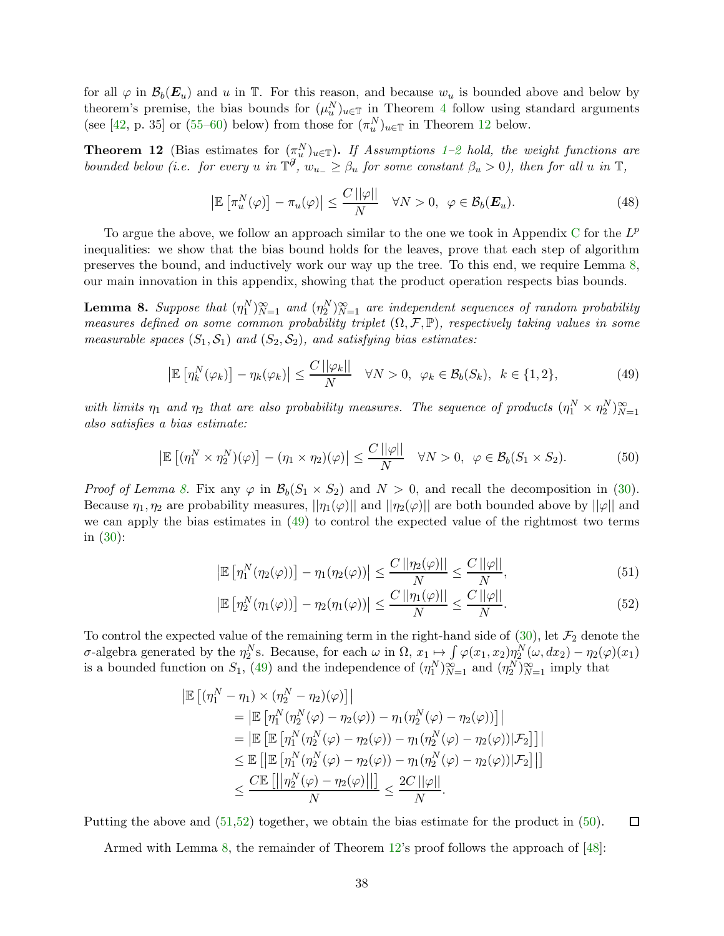for all  $\varphi$  in  $\mathcal{B}_b(E_u)$  and u in  $\mathbb{T}$ . For this reason, and because  $w_u$  is bounded above and below by theorem's premise, the bias bounds for  $(\mu_u^N)_{u \in \mathbb{T}}$  in Theorem [4](#page-16-2) follow using standard arguments (see [\[42,](#page-25-17) p. 35] or [\(55–](#page-38-0)[60\)](#page-39-0) below) from those for  $(\pi_u^N)_{u \in \mathbb{T}}$  in Theorem [12](#page-37-1) below.

<span id="page-37-1"></span>**Theorem 1[2](#page-15-3)** (Bias estimates for  $(\pi_u^N)_{u \in \mathbb{T}}$ ). If Assumptions [1–](#page-11-1)2 hold, the weight functions are bounded below (i.e. for every u in  $\mathbb{T}^{\mathcal{J}}$ ,  $w_{u_{-}} \geq \beta_u$  for some constant  $\beta_u > 0$ ), then for all u in  $\mathbb{T}$ ,

<span id="page-37-6"></span>
$$
\left| \mathbb{E} \left[ \pi_u^N(\varphi) \right] - \pi_u(\varphi) \right| \le \frac{C \, ||\varphi||}{N} \quad \forall N > 0, \ \varphi \in \mathcal{B}_b(\boldsymbol{E}_u). \tag{48}
$$

To argue the above, we follow an approach similar to the one we took in Appendix [C](#page-30-0) for the  $L^p$ inequalities: we show that the bias bound holds for the leaves, prove that each step of algorithm preserves the bound, and inductively work our way up the tree. To this end, we require Lemma [8,](#page-37-0) our main innovation in this appendix, showing that the product operation respects bias bounds.

<span id="page-37-0"></span>**Lemma 8.** Suppose that  $(\eta_1^N)_{N=1}^{\infty}$  and  $(\eta_2^N)_{N=1}^{\infty}$  are independent sequences of random probability measures defined on some common probability triplet  $(\Omega, \mathcal{F}, \mathbb{P})$ , respectively taking values in some measurable spaces  $(S_1, S_1)$  and  $(S_2, S_2)$ , and satisfying bias estimates:

<span id="page-37-2"></span>
$$
\left|\mathbb{E}\left[\eta_k^N(\varphi_k)\right] - \eta_k(\varphi_k)\right| \le \frac{C\left|\varphi_k\right|}{N} \quad \forall N > 0, \ \varphi_k \in \mathcal{B}_b(S_k), \ k \in \{1, 2\},\tag{49}
$$

with limits  $\eta_1$  and  $\eta_2$  that are also probability measures. The sequence of products  $(\eta_1^N \times \eta_2^N)_{N=1}^{\infty}$ also satisfies a bias estimate:

<span id="page-37-5"></span>
$$
\left| \mathbb{E} \left[ (\eta_1^N \times \eta_2^N)(\varphi) \right] - (\eta_1 \times \eta_2)(\varphi) \right| \le \frac{C \left| \left| \varphi \right| \right|}{N} \quad \forall N > 0, \ \varphi \in \mathcal{B}_b(S_1 \times S_2). \tag{50}
$$

*Proof of Lemma [8.](#page-37-0)* Fix any  $\varphi$  in  $\mathcal{B}_b(S_1 \times S_2)$  and  $N > 0$ , and recall the decomposition in [\(30\)](#page-31-6). Because  $\eta_1, \eta_2$  are probability measures,  $||\eta_1(\varphi)||$  and  $||\eta_2(\varphi)||$  are both bounded above by  $||\varphi||$  and we can apply the bias estimates in [\(49\)](#page-37-2) to control the expected value of the rightmost two terms in [\(30\)](#page-31-6):

<span id="page-37-3"></span>
$$
\left|\mathbb{E}\left[\eta_1^N(\eta_2(\varphi))\right] - \eta_1(\eta_2(\varphi))\right| \le \frac{C\left|\eta_2(\varphi)\right|}{N} \le \frac{C\left|\varphi\right|}{N},\tag{51}
$$

<span id="page-37-4"></span>
$$
\left|\mathbb{E}\left[\eta_2^N(\eta_1(\varphi))\right] - \eta_2(\eta_1(\varphi))\right| \le \frac{C\left|\eta_1(\varphi)\right|}{N} \le \frac{C\left|\varphi\right|}{N}.\tag{52}
$$

To control the expected value of the remaining term in the right-hand side of  $(30)$ , let  $\mathcal{F}_2$  denote the σ-algebra generated by the  $η_2^N$ s. Because, for each ω in Ω,  $x_1 \mapsto \int \varphi(x_1, x_2) \eta_2^N(\omega, dx_2) - \eta_2(\varphi)(x_1)$ is a bounded function on  $S_1$ , [\(49\)](#page-37-2) and the independence of  $(\eta_1^N)_{N=1}^{\infty}$  and  $(\eta_2^N)_{N=1}^{\infty}$  imply that

$$
\begin{aligned} \left| \mathbb{E} \left[ (\eta_1^N - \eta_1) \times (\eta_2^N - \eta_2)(\varphi) \right] \right| \\ &= \left| \mathbb{E} \left[ \eta_1^N (\eta_2^N(\varphi) - \eta_2(\varphi)) - \eta_1(\eta_2^N(\varphi) - \eta_2(\varphi)) \right] \right| \\ &= \left| \mathbb{E} \left[ \mathbb{E} \left[ \eta_1^N (\eta_2^N(\varphi) - \eta_2(\varphi)) - \eta_1(\eta_2^N(\varphi) - \eta_2(\varphi)) \right] \mathcal{F}_2 \right] \right| \\ &\leq \mathbb{E} \left[ \left| \mathbb{E} \left[ \eta_1^N (\eta_2^N(\varphi) - \eta_2(\varphi)) - \eta_1(\eta_2^N(\varphi) - \eta_2(\varphi)) \right] \mathcal{F}_2 \right] \right| \\ &\leq \frac{C \mathbb{E} \left[ \left| \eta_2^N(\varphi) - \eta_2(\varphi) \right| \right] \left| \right|}{N} \leq \frac{2C \left| |\varphi| \right|}{N} .\end{aligned}
$$

Putting the above and [\(51](#page-37-3)[,52\)](#page-37-4) together, we obtain the bias estimate for the product in [\(50\)](#page-37-5).  $\Box$ 

Armed with Lemma [8,](#page-37-0) the remainder of Theorem [12'](#page-37-1)s proof follows the approach of [\[48\]](#page-26-11):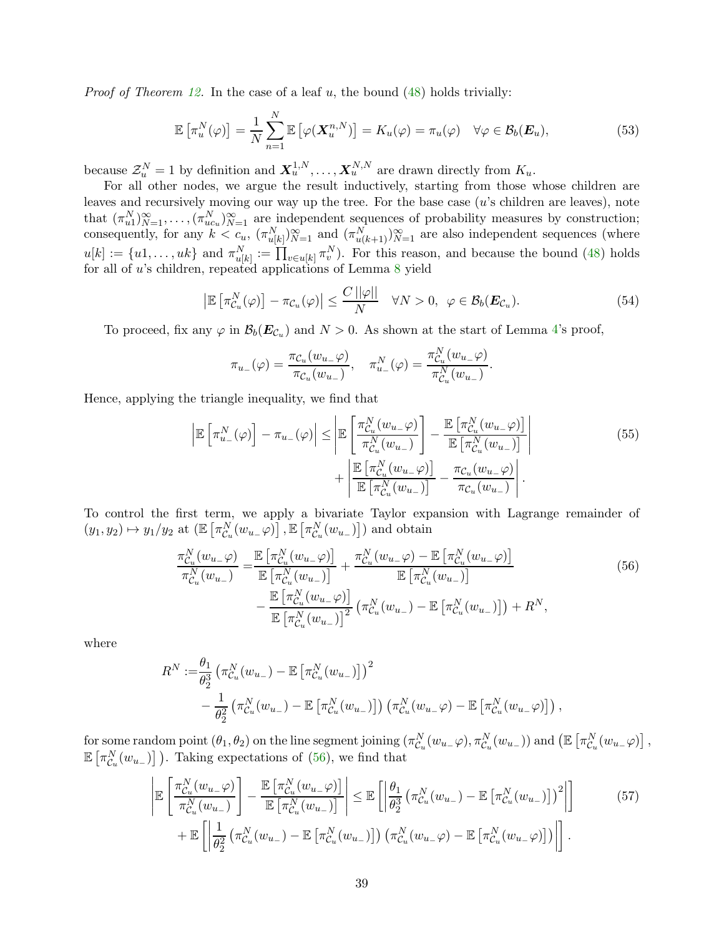*Proof of Theorem [12.](#page-37-1)* In the case of a leaf u, the bound  $(48)$  holds trivially:

$$
\mathbb{E}\left[\pi_u^N(\varphi)\right] = \frac{1}{N} \sum_{n=1}^N \mathbb{E}\left[\varphi(\boldsymbol{X}_u^{n,N})\right] = K_u(\varphi) = \pi_u(\varphi) \quad \forall \varphi \in \mathcal{B}_b(\boldsymbol{E}_u),\tag{53}
$$

because  $\mathcal{Z}_u^N = 1$  by definition and  $\mathbf{X}_u^{1,N}, \ldots, \mathbf{X}_u^{N,N}$  are drawn directly from  $K_u$ .

For all other nodes, we argue the result inductively, starting from those whose children are leaves and recursively moving our way up the tree. For the base case  $(u)$ 's children are leaves), note that  $(\pi_{u1}^N)_{N=1}^{\infty}, \ldots, (\pi_{uc_u}^N)_{N=1}^{\infty}$  are independent sequences of probability measures by construction; consequently, for any  $k < c_u$ ,  $(\pi_{u[k]}^N)_{N=1}^{\infty}$  and  $(\pi_{u(k+1)}^N)_{N=1}^{\infty}$  are also independent sequences (where  $u[k] := \{u_1, \ldots, uk\}$  and  $\pi_{u[k]}^N := \prod_{v \in u[k]} \pi_v^N$ . For this reason, and because the bound [\(48\)](#page-37-6) holds for all of u's children, repeated applications of Lemma [8](#page-37-0) yield

$$
\left| \mathbb{E} \left[ \pi_{\mathcal{C}_u}^N(\varphi) \right] - \pi_{\mathcal{C}_u}(\varphi) \right| \leq \frac{C \left| |\varphi| \right|}{N} \quad \forall N > 0, \ \varphi \in \mathcal{B}_b(\boldsymbol{E}_{\mathcal{C}_u}). \tag{54}
$$

To proceed, fix any  $\varphi$  in  $\mathcal{B}_b(E_{\mathcal{C}_u})$  and  $N > 0$ . As shown at the start of Lemma [4'](#page-32-3)s proof,

<span id="page-38-3"></span><span id="page-38-1"></span><span id="page-38-0"></span>
$$
\pi_{u_-}(\varphi) = \frac{\pi_{\mathcal{C}_u}(w_{u_-}\varphi)}{\pi_{\mathcal{C}_u}(w_{u_-})}, \quad \pi_{u_-}^N(\varphi) = \frac{\pi_{\mathcal{C}_u}^N(w_{u_-}\varphi)}{\pi_{\mathcal{C}_u}^N(w_{u_-})}.
$$

Hence, applying the triangle inequality, we find that

$$
\left| \mathbb{E} \left[ \pi_{u_-}^N(\varphi) \right] - \pi_{u_-}(\varphi) \right| \le \left| \mathbb{E} \left[ \frac{\pi_{C_u}^N(w_{u_-}\varphi)}{\pi_{C_u}^N(w_{u_-})} \right] - \frac{\mathbb{E} \left[ \pi_{C_u}^N(w_{u_-}\varphi) \right]}{\mathbb{E} \left[ \pi_{C_u}^N(w_{u_-}) \right]} \right|
$$
\n
$$
+ \left| \frac{\mathbb{E} \left[ \pi_{C_u}^N(w_{u_-}\varphi) \right]}{\mathbb{E} \left[ \pi_{C_u}^N(w_{u_-}) \right]} - \frac{\pi_{C_u}(w_{u_-}\varphi)}{\pi_{C_u}(w_{u_-})} \right|.
$$
\n(55)

To control the first term, we apply a bivariate Taylor expansion with Lagrange remainder of  $(y_1, y_2) \mapsto y_1/y_2$  at  $(\mathbb{E}\left[\pi_{\mathcal{C}_u}^N(w_{u_-}\varphi)\right], \mathbb{E}\left[\pi_{\mathcal{C}_u}^N(w_{u_-})\right])$  and obtain

$$
\frac{\pi_{\mathcal{C}_u}^N(w_{u_-}\varphi)}{\pi_{\mathcal{C}_u}^N(w_{u_-})} = \frac{\mathbb{E}\left[\pi_{\mathcal{C}_u}^N(w_{u_-}\varphi)\right]}{\mathbb{E}\left[\pi_{\mathcal{C}_u}^N(w_{u_-})\right]} + \frac{\pi_{\mathcal{C}_u}^N(w_{u_-}\varphi) - \mathbb{E}\left[\pi_{\mathcal{C}_u}^N(w_{u_-}\varphi)\right]}{\mathbb{E}\left[\pi_{\mathcal{C}_u}^N(w_{u_-})\right]} - \frac{\mathbb{E}\left[\pi_{\mathcal{C}_u}^N(w_{u_-}\varphi)\right]}{\mathbb{E}\left[\pi_{\mathcal{C}_u}^N(w_{u_-})\right]^2} \left(\pi_{\mathcal{C}_u}^N(w_{u_-}) - \mathbb{E}\left[\pi_{\mathcal{C}_u}^N(w_{u_-})\right]\right) + R^N,
$$
\n(56)

where

$$
R^N := \frac{\theta_1}{\theta_2^3} \left( \pi_{C_u}^N(w_{u_-}) - \mathbb{E} \left[ \pi_{C_u}^N(w_{u_-}) \right] \right)^2
$$
  

$$
- \frac{1}{\theta_2^2} \left( \pi_{C_u}^N(w_{u_-}) - \mathbb{E} \left[ \pi_{C_u}^N(w_{u_-}) \right] \right) \left( \pi_{C_u}^N(w_{u_-} \varphi) - \mathbb{E} \left[ \pi_{C_u}^N(w_{u_-} \varphi) \right] \right),
$$

for some random point  $(\theta_1, \theta_2)$  on the line segment joining  $(\pi_{\mathcal{C}_u}^N(w_{u_-}\varphi), \pi_{\mathcal{C}_u}^N(w_{u_-}))$  and  $(\mathbb{E}[\pi_{\mathcal{C}_u}^N(w_{u_-}\varphi)]$ ,  $\mathbb{E}\left[\pi_{\mathcal{C}_u}^N(w_{u-})\right]$ ). Taking expectations of [\(56\)](#page-38-1), we find that

<span id="page-38-2"></span>
$$
\left| \mathbb{E} \left[ \frac{\pi_{C_u}^N(w_{u_-} \varphi)}{\pi_{C_u}^N(w_{u_-})} \right] - \frac{\mathbb{E} \left[ \pi_{C_u}^N(w_{u_-} \varphi) \right]}{\mathbb{E} \left[ \pi_{C_u}^N(w_{u_-}) \right]} \right| \leq \mathbb{E} \left[ \left| \frac{\theta_1}{\theta_2^3} \left( \pi_{C_u}^N(w_{u_-}) - \mathbb{E} \left[ \pi_{C_u}^N(w_{u_-}) \right] \right)^2 \right| \right] \tag{57}
$$
  
+ 
$$
\mathbb{E} \left[ \left| \frac{1}{\theta_2^2} \left( \pi_{C_u}^N(w_{u_-}) - \mathbb{E} \left[ \pi_{C_u}^N(w_{u_-}) \right] \right) \left( \pi_{C_u}^N(w_{u_-} \varphi) - \mathbb{E} \left[ \pi_{C_u}^N(w_{u_-} \varphi) \right] \right) \right| \right].
$$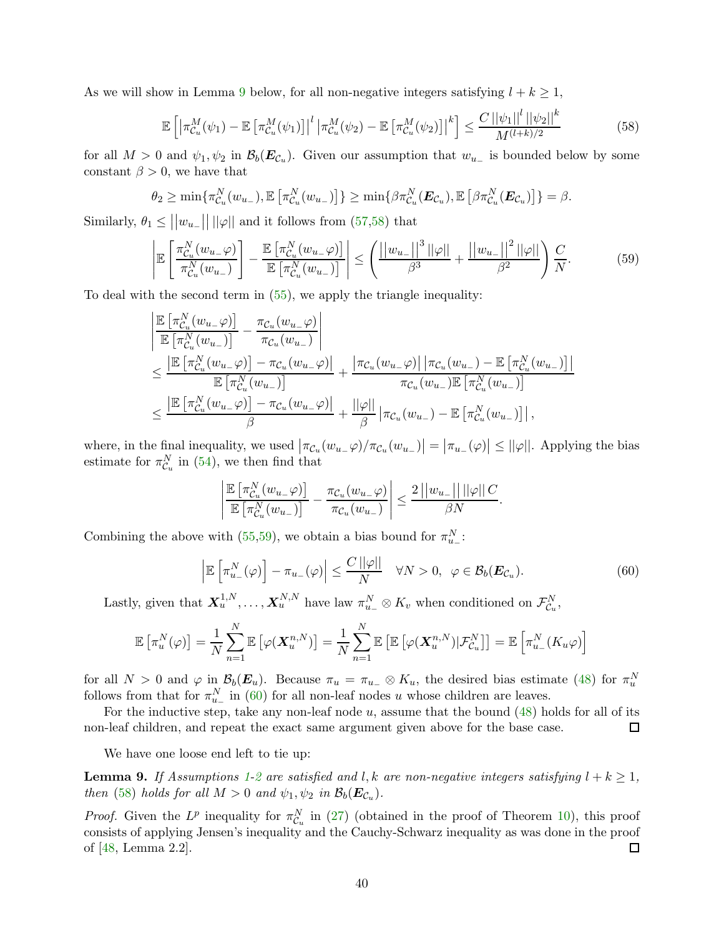As we will show in Lemma [9](#page-39-1) below, for all non-negative integers satisfying  $l + k \geq 1$ ,

<span id="page-39-2"></span>
$$
\mathbb{E}\left[\left|\pi_{\mathcal{C}_u}^M(\psi_1) - \mathbb{E}\left[\pi_{\mathcal{C}_u}^M(\psi_1)\right]\right|^l \left|\pi_{\mathcal{C}_u}^M(\psi_2) - \mathbb{E}\left[\pi_{\mathcal{C}_u}^M(\psi_2)\right]\right|^k\right] \le \frac{C\left|\left|\psi_1\right|\right|^l \left|\left|\psi_2\right|\right|^k}{M^{(l+k)/2}}\tag{58}
$$

for all  $M > 0$  and  $\psi_1, \psi_2$  in  $\mathcal{B}_b(E_{\mathcal{C}_u})$ . Given our assumption that  $w_{u_-}$  is bounded below by some constant  $\beta > 0$ , we have that

$$
\theta_2 \geq \min \{ \pi_{\mathcal{C}_u}^N(w_{u_-}), \mathbb{E}\left[\pi_{\mathcal{C}_u}^N(w_{u_-})\right] \} \geq \min \{ \beta \pi_{\mathcal{C}_u}^N(\boldsymbol{E}_{\mathcal{C}_u}), \mathbb{E}\left[\beta \pi_{\mathcal{C}_u}^N(\boldsymbol{E}_{\mathcal{C}_u})\right] \} = \beta.
$$

Similarly,  $\theta_1 \leq ||w_{u-}|| ||\varphi||$  and it follows from [\(57](#page-38-2)[,58\)](#page-39-2) that

$$
\left| \mathbb{E}\left[\frac{\pi_{\mathcal{C}_u}^N(w_{u_-}\varphi)}{\pi_{\mathcal{C}_u}^N(w_{u_-})}\right] - \frac{\mathbb{E}\left[\pi_{\mathcal{C}_u}^N(w_{u_-}\varphi)\right]}{\mathbb{E}\left[\pi_{\mathcal{C}_u}^N(w_{u_-})\right]} \right| \leq \left(\frac{||w_{u_-}||^3||\varphi||}{\beta^3} + \frac{||w_{u_-}||^2||\varphi||}{\beta^2}\right)\frac{C}{N}.\tag{59}
$$

To deal with the second term in [\(55\)](#page-38-0), we apply the triangle inequality:

$$
\begin{split}\n&\left|\frac{\mathbb{E}\left[\pi_{C_u}^N(w_{u_-}\varphi)\right]}{\mathbb{E}\left[\pi_{C_u}^N(w_{u_-})\right]} - \frac{\pi_{C_u}(w_{u_-}\varphi)}{\pi_{C_u}(w_{u_-})}\right| \\
&\leq \frac{\left|\mathbb{E}\left[\pi_{C_u}^N(w_{u_-}\varphi)\right] - \pi_{C_u}(w_{u_-}\varphi)\right|}{\mathbb{E}\left[\pi_{C_u}^N(w_{u_-})\right]} + \frac{\left|\pi_{C_u}(w_{u_-}\varphi)\right| \left|\pi_{C_u}(w_{u_-}) - \mathbb{E}\left[\pi_{C_u}^N(w_{u_-})\right]\right|}{\pi_{C_u}(w_{u_-})\mathbb{E}\left[\pi_{C_u}^N(w_{u_-})\right]} \\
&\leq \frac{\left|\mathbb{E}\left[\pi_{C_u}^N(w_{u_-}\varphi)\right] - \pi_{C_u}(w_{u_-}\varphi)\right|}{\beta} + \frac{||\varphi||}{\beta} \left|\pi_{C_u}(w_{u_-}) - \mathbb{E}\left[\pi_{C_u}^N(w_{u_-})\right]\right|, \n\end{split}
$$

where, in the final inequality, we used  $|\pi_{\mathcal{C}_u}(w_{u-}\varphi)/\pi_{\mathcal{C}_u}(w_{u-})| = |\pi_{u-}(\varphi)| \leq ||\varphi||$ . Applying the bias estimate for  $\pi_{\mathcal{C}_u}^N$  in [\(54\)](#page-38-3), we then find that

<span id="page-39-3"></span>
$$
\left|\frac{\mathbb{E}\left[\pi_{\mathcal{C}_u}^N(w_{u_-}\varphi)\right]}{\mathbb{E}\left[\pi_{\mathcal{C}_u}^N(w_{u_-})\right]}-\frac{\pi_{\mathcal{C}_u}(w_{u_-}\varphi)}{\pi_{\mathcal{C}_u}(w_{u_-})}\right|\leq \frac{2||w_{u_-}||\,||\varphi||\,C}{\beta N}.
$$

Combining the above with [\(55](#page-38-0)[,59\)](#page-39-3), we obtain a bias bound for  $\pi_{u-}^N$ :

<span id="page-39-0"></span>
$$
\left| \mathbb{E} \left[ \pi_{u_-}^N(\varphi) \right] - \pi_{u_-}(\varphi) \right| \le \frac{C \, ||\varphi||}{N} \quad \forall N > 0, \ \varphi \in \mathcal{B}_b(\boldsymbol{E}_{\mathcal{C}_u}). \tag{60}
$$

Lastly, given that  $X_u^{1,N}, \ldots, X_u^{N,N}$  have law  $\pi_{u_-}^N \otimes K_v$  when conditioned on  $\mathcal{F}_{\mathcal{C}_u}^N$ ,

$$
\mathbb{E}\left[\pi_u^N(\varphi)\right] = \frac{1}{N} \sum_{n=1}^N \mathbb{E}\left[\varphi(\boldsymbol{X}_u^{n,N})\right] = \frac{1}{N} \sum_{n=1}^N \mathbb{E}\left[\mathbb{E}\left[\varphi(\boldsymbol{X}_u^{n,N})|\mathcal{F}_{C_u}^N\right]\right] = \mathbb{E}\left[\pi_{u_-}^N(K_u\varphi)\right]
$$

for all  $N > 0$  and  $\varphi$  in  $\mathcal{B}_b(E_u)$ . Because  $\pi_u = \pi_{u} \otimes K_u$ , the desired bias estimate [\(48\)](#page-37-6) for  $\pi_u^N$ follows from that for  $\pi_{u_{-}}^{N}$  in [\(60\)](#page-39-0) for all non-leaf nodes u whose children are leaves.

For the inductive step, take any non-leaf node  $u$ , assume that the bound  $(48)$  holds for all of its non-leaf children, and repeat the exact same argument given above for the base case. □

We have one loose end left to tie up:

<span id="page-39-1"></span>**Lemma 9.** If Assumptions [1](#page-11-1)[-2](#page-15-3) are satisfied and l, k are non-negative integers satisfying  $l + k \geq 1$ , then [\(58\)](#page-39-2) holds for all  $M > 0$  and  $\psi_1, \psi_2$  in  $\mathcal{B}_b(\boldsymbol{E}_{\mathcal{C}_u})$ .

*Proof.* Given the  $L^p$  inequality for  $\pi_{\mathcal{C}_u}^N$  in [\(27\)](#page-31-5) (obtained in the proof of Theorem [10\)](#page-30-3), this proof consists of applying Jensen's inequality and the Cauchy-Schwarz inequality as was done in the proof of [\[48,](#page-26-11) Lemma 2.2]. □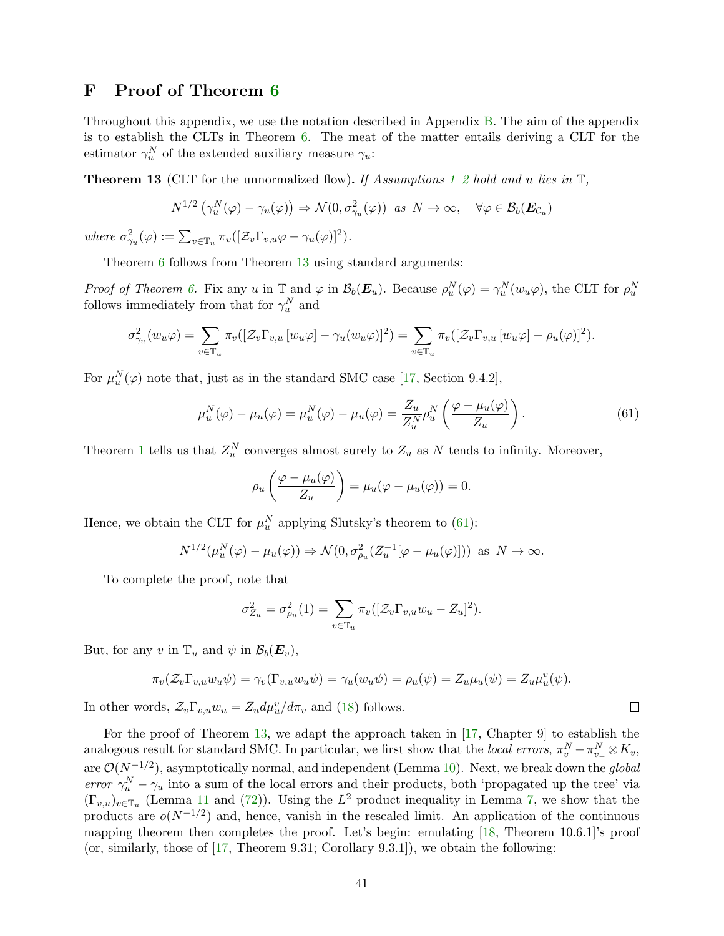### <span id="page-40-0"></span>F Proof of Theorem [6](#page-17-0)

Throughout this appendix, we use the notation described in Appendix [B.](#page-29-0) The aim of the appendix is to establish the CLTs in Theorem [6.](#page-17-0) The meat of the matter entails deriving a CLT for the estimator  $\gamma_u^N$  of the extended auxiliary measure  $\gamma_u$ :

<span id="page-40-1"></span>**Theorem 13** (CLT for the unnormalized flow). If Assumptions [1–](#page-11-1)[2](#page-15-3) hold and u lies in  $\mathbb{T}$ ,

$$
N^{1/2}(\gamma_u^N(\varphi) - \gamma_u(\varphi)) \Rightarrow \mathcal{N}(0, \sigma_{\gamma_u}^2(\varphi)) \text{ as } N \to \infty, \quad \forall \varphi \in \mathcal{B}_b(\boldsymbol{E}_{\mathcal{C}_u})
$$

where  $\sigma_{\gamma_u}^2(\varphi) := \sum_{v \in \mathbb{T}_u} \pi_v([\mathcal{Z}_v \Gamma_{v,u} \varphi - \gamma_u(\varphi)]^2).$ 

Theorem [6](#page-17-0) follows from Theorem [13](#page-40-1) using standard arguments:

Proof of Theorem [6.](#page-17-0) Fix any u in  $\mathbb{T}$  and  $\varphi$  in  $\mathcal{B}_b(\mathbf{E}_u)$ . Because  $\rho_u^N(\varphi) = \gamma_u^N(w_u\varphi)$ , the CLT for  $\rho_u^N$ follows immediately from that for  $\gamma_u^N$  and

$$
\sigma_{\gamma_u}^2(w_u\varphi) = \sum_{v \in \mathbb{T}_u} \pi_v([\mathcal{Z}_v \Gamma_{v,u} [w_u \varphi] - \gamma_u(w_u \varphi)]^2) = \sum_{v \in \mathbb{T}_u} \pi_v([\mathcal{Z}_v \Gamma_{v,u} [w_u \varphi] - \rho_u(\varphi)]^2).
$$

For  $\mu_u^N(\varphi)$  note that, just as in the standard SMC case [\[17,](#page-24-11) Section 9.4.2],

<span id="page-40-2"></span>
$$
\mu_u^N(\varphi) - \mu_u(\varphi) = \mu_u^N(\varphi) - \mu_u(\varphi) = \frac{Z_u}{Z_u^N} \rho_u^N \left( \frac{\varphi - \mu_u(\varphi)}{Z_u} \right). \tag{61}
$$

 $\Box$ 

Theorem [1](#page-15-1) tells us that  $Z_u^N$  converges almost surely to  $Z_u$  as N tends to infinity. Moreover,

$$
\rho_u\left(\frac{\varphi-\mu_u(\varphi)}{Z_u}\right)=\mu_u(\varphi-\mu_u(\varphi))=0.
$$

Hence, we obtain the CLT for  $\mu_u^N$  applying Slutsky's theorem to [\(61\)](#page-40-2):

$$
N^{1/2}(\mu_u^N(\varphi) - \mu_u(\varphi)) \Rightarrow \mathcal{N}(0, \sigma_{\rho_u}^2(Z_u^{-1}[\varphi - \mu_u(\varphi)])) \text{ as } N \to \infty.
$$

To complete the proof, note that

$$
\sigma_{Z_u}^2 = \sigma_{\rho_u}^2(1) = \sum_{v \in \mathbb{T}_u} \pi_v([\mathcal{Z}_v \Gamma_{v,u} w_u - Z_u]^2).
$$

But, for any v in  $\mathbb{T}_u$  and  $\psi$  in  $\mathcal{B}_b(\boldsymbol{E}_v)$ ,

$$
\pi_v(\mathcal{Z}_v \Gamma_{v,u} w_u \psi) = \gamma_v(\Gamma_{v,u} w_u \psi) = \gamma_u(w_u \psi) = \rho_u(\psi) = Z_u \mu_u(\psi) = Z_u \mu_u(\psi).
$$

In other words,  $\mathcal{Z}_v \Gamma_{v,u} w_u = Z_u d\mu_u^v / d\pi_v$  and [\(18\)](#page-17-2) follows.

For the proof of Theorem [13,](#page-40-1) we adapt the approach taken in [\[17,](#page-24-11) Chapter 9] to establish the analogous result for standard SMC. In particular, we first show that the *local errors*,  $\pi_v^N - \pi_{v_-}^N \otimes K_v$ , are  $\mathcal{O}(N^{-1/2})$ , asymptotically normal, and independent (Lemma [10\)](#page-41-0). Next, we break down the global error  $\gamma_u^N - \gamma_u$  into a sum of the local errors and their products, both 'propagated up the tree' via  $(\Gamma_{v,u})_{v \in \mathbb{T}_u}$  (Lemma [11](#page-42-0) and [\(72\)](#page-43-1)). Using the  $L^2$  product inequality in Lemma [7,](#page-18-0) we show that the products are  $o(N^{-1/2})$  and, hence, vanish in the rescaled limit. An application of the continuous mapping theorem then completes the proof. Let's begin: emulating [\[18,](#page-24-12) Theorem 10.6.1]'s proof (or, similarly, those of [\[17,](#page-24-11) Theorem 9.31; Corollary 9.3.1]), we obtain the following: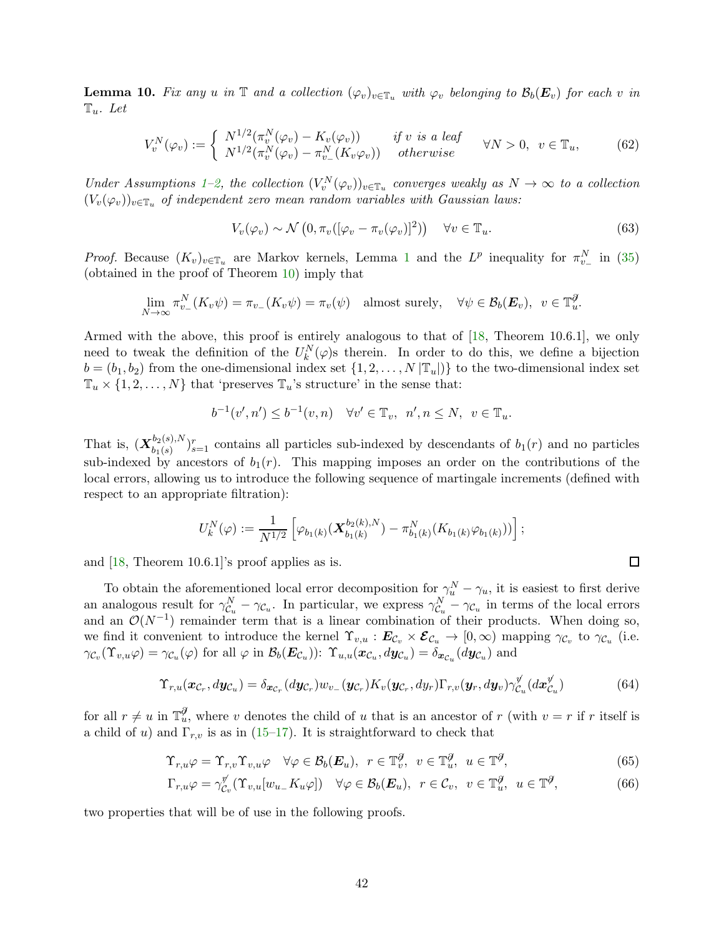<span id="page-41-0"></span>**Lemma 10.** Fix any u in  $\mathbb T$  and a collection  $(\varphi_v)_{v \in \mathbb T_u}$  with  $\varphi_v$  belonging to  $\mathcal B_b(E_v)$  for each v in  $\mathbb{T}_u$ . Let

<span id="page-41-1"></span>
$$
V_v^N(\varphi_v) := \begin{cases} N^{1/2}(\pi_v^N(\varphi_v) - K_v(\varphi_v)) & \text{if } v \text{ is a leaf} \\ N^{1/2}(\pi_v^N(\varphi_v) - \pi_{v_-}^N(K_v\varphi_v)) & \text{otherwise} \end{cases} \quad \forall N > 0, \ v \in \mathbb{T}_u, \tag{62}
$$

Under Assumptions [1](#page-11-1)[–2,](#page-15-3) the collection  $(V_v^N(\varphi_v))_{v \in \mathbb{T}_u}$  converges weakly as  $N \to \infty$  to a collection  $(V_v(\varphi_v))_{v\in\mathbb{T}_u}$  of independent zero mean random variables with Gaussian laws:

<span id="page-41-5"></span>
$$
V_v(\varphi_v) \sim \mathcal{N}\left(0, \pi_v([\varphi_v - \pi_v(\varphi_v)]^2)\right) \quad \forall v \in \mathbb{T}_u.
$$
\n
$$
(63)
$$

*Proof.* Because  $(K_v)_{v \in \mathbb{T}_u}$  are Markov kernels, Lemma [1](#page-30-1) and the  $L^p$  inequality for  $\pi_{v_-}^N$  in [\(35\)](#page-32-1) (obtained in the proof of Theorem [10\)](#page-30-3) imply that

$$
\lim_{N \to \infty} \pi_{v_-}^N(K_v \psi) = \pi_{v_-}(K_v \psi) = \pi_v(\psi) \quad \text{almost surely}, \quad \forall \psi \in \mathcal{B}_b(\boldsymbol{E}_v), \ v \in \mathbb{T}_u^{\mathcal{J}}.
$$

Armed with the above, this proof is entirely analogous to that of [\[18,](#page-24-12) Theorem 10.6.1], we only need to tweak the definition of the  $U_k^N(\varphi)$ s therein. In order to do this, we define a bijection  $b = (b_1, b_2)$  from the one-dimensional index set  $\{1, 2, \ldots, N | \mathbb{T}_u| \}$  to the two-dimensional index set  $\mathbb{T}_u \times \{1, 2, ..., N\}$  that 'preserves  $\mathbb{T}_u$ 's structure' in the sense that:

$$
b^{-1}(v',n') \le b^{-1}(v,n) \quad \forall v' \in \mathbb{T}_v, \ \ n', n \le N, \ \ v \in \mathbb{T}_u.
$$

That is,  $(\mathbf{X}_{h_1(s)}^{b_2(s),N})$  $b_1(s)$   $b_2(s)$ ,  $N$   $\big)$ <sub>s=1</sub> contains all particles sub-indexed by descendants of  $b_1(r)$  and no particles sub-indexed by ancestors of  $b_1(r)$ . This mapping imposes an order on the contributions of the local errors, allowing us to introduce the following sequence of martingale increments (defined with respect to an appropriate filtration):

$$
U_k^N(\varphi) := \frac{1}{N^{1/2}} \left[ \varphi_{b_1(k)}(\mathbf{X}_{b_1(k)}^{b_2(k),N}) - \pi_{b_1(k)}^N(K_{b_1(k)}\varphi_{b_1(k)})) \right];
$$

and  $[18,$  Theorem 10.6.1 s proof applies as is.

To obtain the aforementioned local error decomposition for  $\gamma_u^N - \gamma_u$ , it is easiest to first derive an analogous result for  $\gamma_{\mathcal{C}_u}^N - \gamma_{\mathcal{C}_u}$ . In particular, we express  $\gamma_{\mathcal{C}_u}^N - \gamma_{\mathcal{C}_u}$  in terms of the local errors and an  $\mathcal{O}(N^{-1})$  remainder term that is a linear combination of their products. When doing so, we find it convenient to introduce the kernel  $\Upsilon_{v,u} : E_{\mathcal{C}_v} \times \mathcal{E}_{\mathcal{C}_u} \to [0,\infty)$  mapping  $\gamma_{\mathcal{C}_v}$  to  $\gamma_{\mathcal{C}_u}$  (i.e.  $\gamma_{\mathcal{C}_v}(\Upsilon_{v,u}\varphi) = \gamma_{\mathcal{C}_u}(\varphi)$  for all  $\varphi$  in  $\mathcal{B}_b(\boldsymbol{E}_{\mathcal{C}_u}))$ :  $\Upsilon_{u,u}(\boldsymbol{x}_{\mathcal{C}_u}, d\boldsymbol{y}_{\mathcal{C}_u}) = \delta_{\boldsymbol{x}_{\mathcal{C}_u}}(d\boldsymbol{y}_{\mathcal{C}_u})$  and

$$
\Upsilon_{r,u}(\boldsymbol{x}_{\mathcal{C}_r},d\boldsymbol{y}_{\mathcal{C}_u})=\delta_{\boldsymbol{x}_{\mathcal{C}_r}}(d\boldsymbol{y}_{\mathcal{C}_r})w_{v_-}(\boldsymbol{y}_{\mathcal{C}_r})K_v(\boldsymbol{y}_{\mathcal{C}_r},d\boldsymbol{y}_r)\Gamma_{r,v}(\boldsymbol{y}_r,d\boldsymbol{y}_v)\gamma_{\mathcal{C}_u}^{\psi}(d\boldsymbol{x}_{\mathcal{C}_u}^{\psi})
$$
(64)

<span id="page-41-4"></span><span id="page-41-3"></span><span id="page-41-2"></span> $\Box$ 

for all  $r \neq u$  in  $\mathbb{T}_u^{\mathcal{J}}$ , where v denotes the child of u that is an ancestor of r (with  $v = r$  if r itself is a child of u) and  $\Gamma_{r,v}$  is as in [\(15–](#page-16-3)[17\)](#page-16-4). It is straightforward to check that

$$
\Upsilon_{r,u}\varphi = \Upsilon_{r,v}\Upsilon_{v,u}\varphi \quad \forall \varphi \in \mathcal{B}_b(\boldsymbol{E}_u), \ r \in \mathbb{T}_v^{\partial}, \ v \in \mathbb{T}_u^{\partial}, \ u \in \mathbb{T}^{\partial}, \tag{65}
$$

$$
\Gamma_{r,u}\varphi = \gamma_{\mathcal{C}_v}^{\mathcal{V}}(\Upsilon_{v,u}[w_{u-}K_u\varphi]) \quad \forall \varphi \in \mathcal{B}_b(\boldsymbol{E}_u), \ r \in \mathcal{C}_v, \ v \in \mathbb{T}_u^{\mathcal{J}}, \ u \in \mathbb{T}^{\mathcal{J}}, \tag{66}
$$

two properties that will be of use in the following proofs.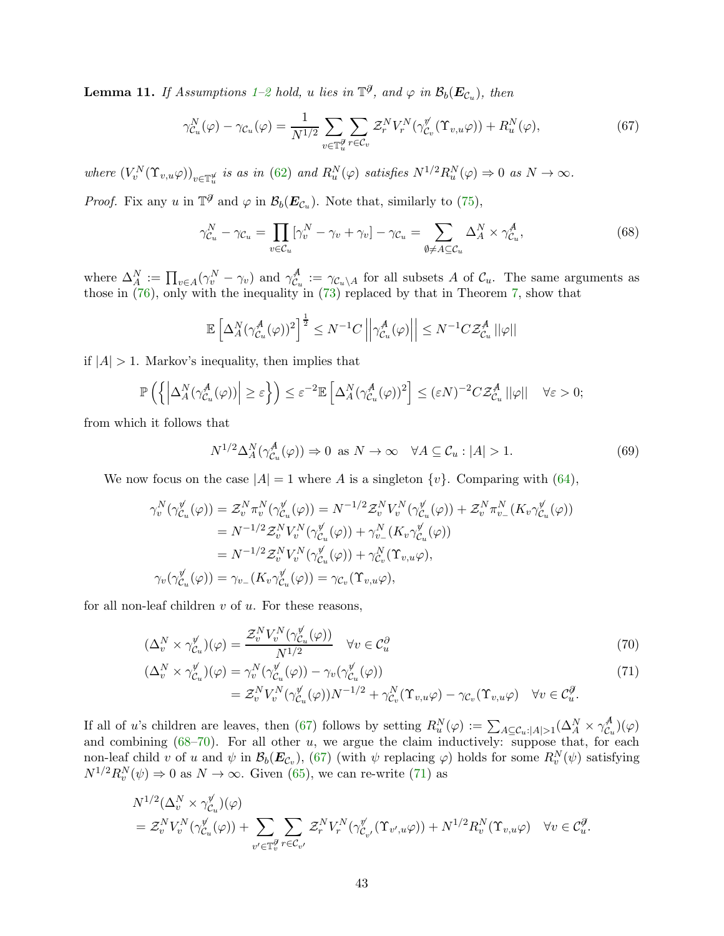<span id="page-42-0"></span>**Lemma [1](#page-11-1)1.** If Assumptions 1[–2](#page-15-3) hold, u lies in  $\mathbb{T}^{\partial}$ , and  $\varphi$  in  $\mathcal{B}_b(E_{\mathcal{C}_u})$ , then

$$
\gamma_{\mathcal{C}_u}^N(\varphi) - \gamma_{\mathcal{C}_u}(\varphi) = \frac{1}{N^{1/2}} \sum_{v \in \mathbb{T}_u^{\mathcal{G}}} \sum_{r \in \mathcal{C}_v} \mathcal{Z}_r^N V_r^N(\gamma_{\mathcal{C}_v}^{\mathcal{V}}(\Upsilon_{v,u}\varphi)) + R_u^N(\varphi), \tag{67}
$$

where  $(V_v^N(\Upsilon_{v,u}\varphi))_{v\in\mathbb{T}_u^d}$  is as in [\(62\)](#page-41-1) and  $R_u^N(\varphi)$  satisfies  $N^{1/2}R_u^N(\varphi) \Rightarrow 0$  as  $N \to \infty$ .

*Proof.* Fix any u in  $\mathbb{T}^{\mathcal{J}}$  and  $\varphi$  in  $\mathcal{B}_b(E_{\mathcal{C}_u})$ . Note that, similarly to [\(75\)](#page-44-0),

<span id="page-42-2"></span><span id="page-42-1"></span>
$$
\gamma_{\mathcal{C}_u}^N - \gamma_{\mathcal{C}_u} = \prod_{v \in \mathcal{C}_u} [\gamma_v^N - \gamma_v + \gamma_v] - \gamma_{\mathcal{C}_u} = \sum_{\emptyset \neq A \subseteq \mathcal{C}_u} \Delta_A^N \times \gamma_{\mathcal{C}_u}^A,\tag{68}
$$

where  $\Delta_A^N := \prod_{v \in A} (\gamma_v^N - \gamma_v)$  and  $\gamma_{\mathcal{C}_v}^A$  $\mathcal{C}_u^{\mathcal{A}} := \gamma_{\mathcal{C}_u \setminus A}$  for all subsets A of  $\mathcal{C}_u$ . The same arguments as those in  $(76)$ , only with the inequality in  $(73)$  replaced by that in Theorem [7,](#page-18-0) show that

$$
\mathbb{E}\left[\Delta_A^N(\gamma_{\mathcal{C}_u}^A(\varphi))^2\right]^{\frac{1}{2}} \leq N^{-1}C\left|\left|\gamma_{\mathcal{C}_u}^A(\varphi)\right|\right| \leq N^{-1}C\mathcal{Z}_{\mathcal{C}_u}^A\left|\left|\varphi\right|\right|
$$

if  $|A| > 1$ . Markov's inequality, then implies that

$$
\mathbb{P}\left(\left\{\left|\Delta_A^N(\gamma_{\mathcal{C}_u}^{\mathcal{A}}(\varphi))\right| \geq \varepsilon\right\}\right) \leq \varepsilon^{-2} \mathbb{E}\left[\Delta_A^N(\gamma_{\mathcal{C}_u}^{\mathcal{A}}(\varphi))^2\right] \leq (\varepsilon N)^{-2} C \mathcal{Z}_{\mathcal{C}_u}^{\mathcal{A}}\left|\left|\varphi\right|\right| \quad \forall \varepsilon > 0;
$$

from which it follows that

<span id="page-42-4"></span><span id="page-42-3"></span>
$$
N^{1/2} \Delta_A^N(\gamma_{\mathcal{C}_u}^A(\varphi)) \Rightarrow 0 \text{ as } N \to \infty \quad \forall A \subseteq \mathcal{C}_u : |A| > 1. \tag{69}
$$

We now focus on the case  $|A|=1$  where A is a singleton  $\{v\}$ . Comparing with [\(64\)](#page-41-2),

$$
\gamma_v^N(\gamma_{\mathcal{C}_u}^{\mathcal{Y}}(\varphi)) = \mathcal{Z}_v^N \pi_v^N(\gamma_{\mathcal{C}_u}^{\mathcal{Y}}(\varphi)) = N^{-1/2} \mathcal{Z}_v^N V_v^N(\gamma_{\mathcal{C}_u}^{\mathcal{Y}}(\varphi)) + \mathcal{Z}_v^N \pi_{v_-}^N (K_v \gamma_{\mathcal{C}_u}^{\mathcal{Y}}(\varphi))
$$
  
\n
$$
= N^{-1/2} \mathcal{Z}_v^N V_v^N(\gamma_{\mathcal{C}_u}^{\mathcal{Y}}(\varphi)) + \gamma_{v_-}^N (K_v \gamma_{\mathcal{C}_u}^{\mathcal{Y}}(\varphi))
$$
  
\n
$$
= N^{-1/2} \mathcal{Z}_v^N V_v^N(\gamma_{\mathcal{C}_u}^{\mathcal{Y}}(\varphi)) + \gamma_{\mathcal{C}_v}^N (\Upsilon_{v,u} \varphi),
$$
  
\n
$$
\gamma_v(\gamma_{\mathcal{C}_u}^{\mathcal{Y}}(\varphi)) = \gamma_{v_-} (K_v \gamma_{\mathcal{C}_u}^{\mathcal{Y}}(\varphi)) = \gamma_{\mathcal{C}_v} (\Upsilon_{v,u} \varphi),
$$

for all non-leaf children  $v$  of  $u$ . For these reasons,

$$
(\Delta_v^N \times \gamma_{\mathcal{C}_u}^{\mathcal{V}})(\varphi) = \frac{\mathcal{Z}_v^N V_v^N(\gamma_{\mathcal{C}_u}^{\mathcal{V}}(\varphi))}{N^{1/2}} \quad \forall v \in \mathcal{C}_u^{\partial} \tag{70}
$$

$$
\begin{split} (\Delta_v^N \times \gamma_{\mathcal{C}_u}^{\psi})(\varphi) &= \gamma_v^N(\gamma_{\mathcal{C}_u}^{\psi}(\varphi)) - \gamma_v(\gamma_{\mathcal{C}_u}^{\psi}(\varphi)) \\ &= \mathcal{Z}_v^N V_v^N(\gamma_{\mathcal{C}_u}^{\psi}(\varphi))N^{-1/2} + \gamma_{\mathcal{C}_v}^N(\Upsilon_{v,u}\varphi) - \gamma_{\mathcal{C}_v}(\Upsilon_{v,u}\varphi) \quad \forall v \in \mathcal{C}_u^{\mathcal{J}}. \end{split} \tag{71}
$$

If all of u's children are leaves, then [\(67\)](#page-42-1) follows by setting  $R_u^N(\varphi) := \sum_{A \subseteq \mathcal{C}_u : |A| > 1} (\Delta_A^N \times \gamma_{\mathcal{C}_u}^A)$  $\binom{A}{\mathcal{C}_u}(\varphi)$ and combining  $(68-70)$  $(68-70)$ . For all other u, we argue the claim inductively: suppose that, for each non-leaf child v of u and  $\psi$  in  $\mathcal{B}_b(\mathbf{E}_{\mathcal{C}_v})$ , [\(67\)](#page-42-1) (with  $\psi$  replacing  $\varphi$ ) holds for some  $R_v^N(\psi)$  satisfying  $N^{1/2}R_v^N(\psi) \Rightarrow 0$  as  $N \to \infty$ . Given [\(65\)](#page-41-3), we can re-write [\(71\)](#page-42-4) as

$$
N^{1/2}(\Delta_v^N \times \gamma_{\mathcal{C}_u}^{\mathcal{V}})(\varphi)
$$
  
=  $\mathcal{Z}_v^N V_v^N(\gamma_{\mathcal{C}_u}^{\mathcal{V}}(\varphi)) + \sum_{v' \in \mathbb{T}_v^{\mathcal{V}}} \sum_{r \in \mathcal{C}_{v'}} \mathcal{Z}_r^N V_r^N(\gamma_{\mathcal{C}_{v'}}^{\mathcal{V}}(\Upsilon_{v',u}\varphi)) + N^{1/2} R_v^N(\Upsilon_{v,u}\varphi) \quad \forall v \in \mathcal{C}_u^{\mathcal{Y}}.$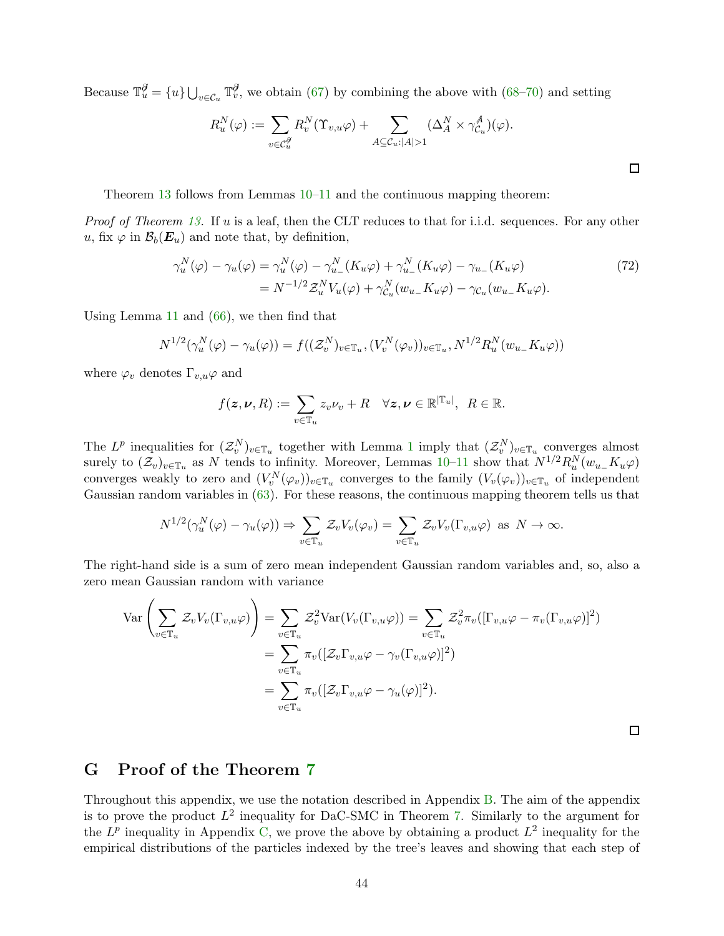Because  $\mathbb{T}_u^{\mathcal{J}} = \{u\} \bigcup_{v \in \mathcal{C}_u} \mathbb{T}_v^{\mathcal{J}}$ , we obtain [\(67\)](#page-42-1) by combining the above with [\(68](#page-42-2)[–70\)](#page-42-3) and setting

$$
R_u^N(\varphi) := \sum_{v \in \mathcal{C}_u^{\mathcal{G}}} R_v^N(\Upsilon_{v,u}\varphi) + \sum_{A \subseteq \mathcal{C}_u : |A| > 1} (\Delta_A^N \times \gamma_{\mathcal{C}_u}^A)(\varphi).
$$

Theorem [13](#page-40-1) follows from Lemmas  $10-11$  $10-11$  and the continuous mapping theorem:

Proof of Theorem [13.](#page-40-1) If u is a leaf, then the CLT reduces to that for i.i.d. sequences. For any other u, fix  $\varphi$  in  $\mathcal{B}_b(E_u)$  and note that, by definition,

$$
\gamma_u^N(\varphi) - \gamma_u(\varphi) = \gamma_u^N(\varphi) - \gamma_{u_-}^N(K_u\varphi) + \gamma_{u_-}^N(K_u\varphi) - \gamma_{u_-}(K_u\varphi)
$$
  
=  $N^{-1/2}\mathcal{Z}_u^N V_u(\varphi) + \gamma_{\mathcal{C}_u}^N(w_{u_-}K_u\varphi) - \gamma_{\mathcal{C}_u}(w_{u_-}K_u\varphi).$  (72)

Using Lemma [11](#page-42-0) and [\(66\)](#page-41-4), we then find that

$$
N^{1/2}(\gamma_u^N(\varphi) - \gamma_u(\varphi)) = f((\mathcal{Z}_v^N)_{v \in \mathbb{T}_u}, (V_v^N(\varphi_v))_{v \in \mathbb{T}_u}, N^{1/2} R_u^N(w_{u-}K_u\varphi))
$$

where  $\varphi_v$  denotes  $\Gamma_{v,u}\varphi$  and

$$
f(\mathbf{z}, \boldsymbol{\nu}, R) := \sum_{v \in \mathbb{T}_u} z_v \nu_v + R \quad \forall \mathbf{z}, \boldsymbol{\nu} \in \mathbb{R}^{|\mathbb{T}_u|}, \ R \in \mathbb{R}.
$$

The  $L^p$  inequalities for  $(\mathcal{Z}_{v}^N)_{v \in \mathbb{T}_u}$  together with Lemma [1](#page-30-1) imply that  $(\mathcal{Z}_{v}^N)_{v \in \mathbb{T}_u}$  converges almost surely to  $(\mathcal{Z}_v)_{v \in \mathbb{T}_u}$  as N tends to infinity. Moreover, Lemmas [10](#page-41-0)[–11](#page-42-0) show that  $N^{1/2}R_u^N(w_{u-}K_u\varphi)$ converges weakly to zero and  $(V_v^N(\varphi_v))_{v \in \mathbb{T}_u}$  converges to the family  $(V_v(\varphi_v))_{v \in \mathbb{T}_u}$  of independent Gaussian random variables in [\(63\)](#page-41-5). For these reasons, the continuous mapping theorem tells us that

$$
N^{1/2}(\gamma_u^N(\varphi) - \gamma_u(\varphi)) \Rightarrow \sum_{v \in \mathbb{T}_u} \mathcal{Z}_v V_v(\varphi_v) = \sum_{v \in \mathbb{T}_u} \mathcal{Z}_v V_v(\Gamma_{v,u}\varphi) \text{ as } N \to \infty.
$$

The right-hand side is a sum of zero mean independent Gaussian random variables and, so, also a zero mean Gaussian random with variance

$$
\operatorname{Var}\left(\sum_{v\in\mathbb{T}_u} \mathcal{Z}_v V_v(\Gamma_{v,u}\varphi)\right) = \sum_{v\in\mathbb{T}_u} \mathcal{Z}_v^2 \operatorname{Var}(V_v(\Gamma_{v,u}\varphi)) = \sum_{v\in\mathbb{T}_u} \mathcal{Z}_v^2 \pi_v([\Gamma_{v,u}\varphi - \pi_v(\Gamma_{v,u}\varphi)]^2)
$$
  
= 
$$
\sum_{v\in\mathbb{T}_u} \pi_v([\mathcal{Z}_v\Gamma_{v,u}\varphi - \gamma_v(\Gamma_{v,u}\varphi)]^2)
$$
  
= 
$$
\sum_{v\in\mathbb{T}_u} \pi_v([\mathcal{Z}_v\Gamma_{v,u}\varphi - \gamma_u(\varphi)]^2).
$$

 $\Box$ 

### <span id="page-43-0"></span>G Proof of the Theorem [7](#page-18-0)

Throughout this appendix, we use the notation described in Appendix [B.](#page-29-0) The aim of the appendix is to prove the product  $L^2$  inequality for DaC-SMC in Theorem [7.](#page-18-0) Similarly to the argument for the  $L^p$  inequality in Appendix [C,](#page-30-0) we prove the above by obtaining a product  $L^2$  inequality for the empirical distributions of the particles indexed by the tree's leaves and showing that each step of

<span id="page-43-1"></span>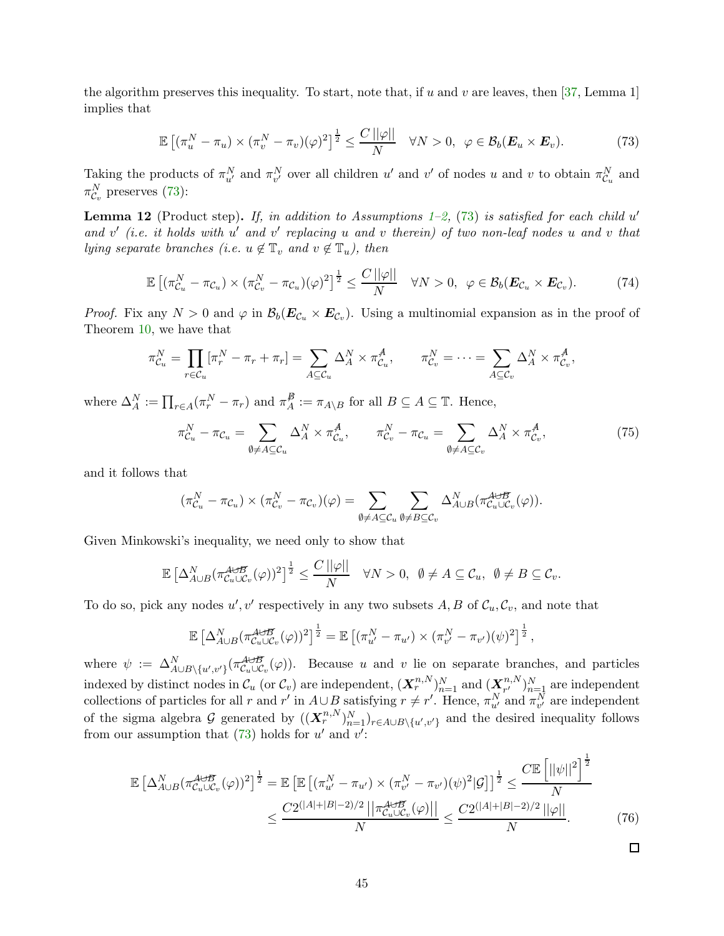the algorithm preserves this inequality. To start, note that, if u and v are leaves, then  $[37, \text{Lemma } 1]$ implies that

<span id="page-44-2"></span>
$$
\mathbb{E}\left[ (\pi_u^N - \pi_u) \times (\pi_v^N - \pi_v)(\varphi)^2 \right]^{\frac{1}{2}} \le \frac{C\left\| \varphi \right\|}{N} \quad \forall N > 0, \ \varphi \in \mathcal{B}_b(\boldsymbol{E}_u \times \boldsymbol{E}_v). \tag{73}
$$

Taking the products of  $\pi_{u'}^N$  and  $\pi_{v'}^N$  over all children u' and v' of nodes u and v to obtain  $\pi_{\mathcal{C}_u}^N$  and  $\pi_{\mathcal{C}_v}^N$  preserves [\(73\)](#page-44-2):

**Lemma 12** (Product step). If, in addition to Assumptions 1-[2,](#page-15-3) [\(73\)](#page-44-2) is satisfied for each child  $u'$ and  $v'$  (i.e. it holds with  $u'$  and  $v'$  replacing u and v therein) of two non-leaf nodes u and v that lying separate branches (i.e.  $u \notin \mathbb{T}_v$  and  $v \notin \mathbb{T}_u$ ), then

<span id="page-44-3"></span>
$$
\mathbb{E}\left[ (\pi_{\mathcal{C}_u}^N - \pi_{\mathcal{C}_u}) \times (\pi_{\mathcal{C}_v}^N - \pi_{\mathcal{C}_u})(\varphi)^2 \right]^{\frac{1}{2}} \le \frac{C\left\| \varphi \right\|}{N} \quad \forall N > 0, \ \varphi \in \mathcal{B}_b(\boldsymbol{E}_{\mathcal{C}_u} \times \boldsymbol{E}_{\mathcal{C}_v}). \tag{74}
$$

*Proof.* Fix any  $N > 0$  and  $\varphi$  in  $\mathcal{B}_b(E_{\mathcal{C}_u} \times E_{\mathcal{C}_v})$ . Using a multinomial expansion as in the proof of Theorem [10,](#page-30-3) we have that

$$
\pi_{\mathcal{C}_u}^N = \prod_{r \in \mathcal{C}_u} [\pi_r^N - \pi_r + \pi_r] = \sum_{A \subseteq \mathcal{C}_u} \Delta_A^N \times \pi_{\mathcal{C}_u}^A, \qquad \pi_{\mathcal{C}_v}^N = \dots = \sum_{A \subseteq \mathcal{C}_v} \Delta_A^N \times \pi_{\mathcal{C}_v}^A,
$$

where  $\Delta_A^N := \prod_{r \in A} (\pi_r^N - \pi_r)$  and  $\pi_A^B$  $A^{\mathcal{B}}:=\pi_{A\setminus B}$  for all  $B\subseteq A\subseteq \mathbb{T}$ . Hence,

<span id="page-44-0"></span>
$$
\pi_{\mathcal{C}_u}^N - \pi_{\mathcal{C}_u} = \sum_{\emptyset \neq A \subseteq \mathcal{C}_u} \Delta_A^N \times \pi_{\mathcal{C}_u}^A, \qquad \pi_{\mathcal{C}_v}^N - \pi_{\mathcal{C}_u} = \sum_{\emptyset \neq A \subseteq \mathcal{C}_v} \Delta_A^N \times \pi_{\mathcal{C}_v}^A,
$$
(75)

and it follows that

$$
(\pi_{\mathcal{C}_u}^N - \pi_{\mathcal{C}_u}) \times (\pi_{\mathcal{C}_v}^N - \pi_{\mathcal{C}_v})(\varphi) = \sum_{\emptyset \neq A \subseteq \mathcal{C}_u} \sum_{\emptyset \neq B \subseteq \mathcal{C}_v} \Delta_{A \cup B}^N(\pi_{\mathcal{C}_u \cup \mathcal{C}_v}^{A \cup B}(\varphi)).
$$

Given Minkowski's inequality, we need only to show that

$$
\mathbb{E}\left[\Delta_{A\cup B}^N(\pi_{C_u\cup C_v}^{A\cup B}(\varphi))^2\right]^{\frac{1}{2}}\leq \frac{C\left|\left|\varphi\right|\right|}{N} \quad \forall N>0, \ \ \emptyset\neq A\subseteq C_u, \ \ \emptyset\neq B\subseteq C_v.
$$

To do so, pick any nodes  $u', v'$  respectively in any two subsets  $A, B$  of  $\mathcal{C}_u, \mathcal{C}_v$ , and note that

<span id="page-44-1"></span>
$$
\mathbb{E}\left[\Delta_{A\cup B}^N(\pi_{C_u\cup C_v}^{A\cup B}(\varphi))^2\right]^{\frac{1}{2}} = \mathbb{E}\left[(\pi_{u'}^N-\pi_{u'})\times(\pi_{v'}^N-\pi_{v'})(\psi)^2\right]^{\frac{1}{2}},
$$

where  $\psi := \Delta_{A\cup B\setminus\{u',v'\}}^N(\pi_{\mathcal{C}_u\cup\mathcal{C}_v}^{A\cup B}(\varphi)).$  Because u and v lie on separate branches, and particles indexed by distinct nodes in  $\mathcal{C}_u$  (or  $\mathcal{C}_v$ ) are independent,  $(\mathbf{X}_r^{n,N})_{n=1}^N$  and  $(\mathbf{X}_{r'}^{n,N})_{r'=1}^N$  $\binom{n,N}{r'}_{n=1}^N$  are independent collections of particles for all r and r' in  $A \cup B$  satisfying  $r \neq r'$ . Hence,  $\pi_{u'}^N$  and  $\pi_{v'}^N$  are independent of the sigma algebra G generated by  $((\mathbf{X}_r^{n,N})_{n=1}^N)_{r \in A \cup B \setminus \{u',v'\}}$  and the desired inequality follows from our assumption that  $(73)$  holds for u' and v':

$$
\mathbb{E}\left[\Delta_{A\cup B}^{N}(\pi_{C_{u}\cup C_{v}}^{A\cup B}(\varphi))^{2}\right]^{\frac{1}{2}} = \mathbb{E}\left[\mathbb{E}\left[(\pi_{u'}^{N}-\pi_{u'})\times(\pi_{v'}^{N}-\pi_{v'})(\psi)^{2}|\mathcal{G}|\right]^{\frac{1}{2}}\leq \frac{C\mathbb{E}\left[||\psi||^{2}\right]^{\frac{1}{2}}}{N} \leq \frac{C2^{(|A|+|B|-2)/2}\left|\left|\pi_{C_{u}\cup C_{v}}^{A\cup B}(\varphi)\right|\right|}{N} \leq \frac{C2^{(|A|+|B|-2)/2}\left|\left|\varphi\right|\right|}{N}.
$$
\n(76)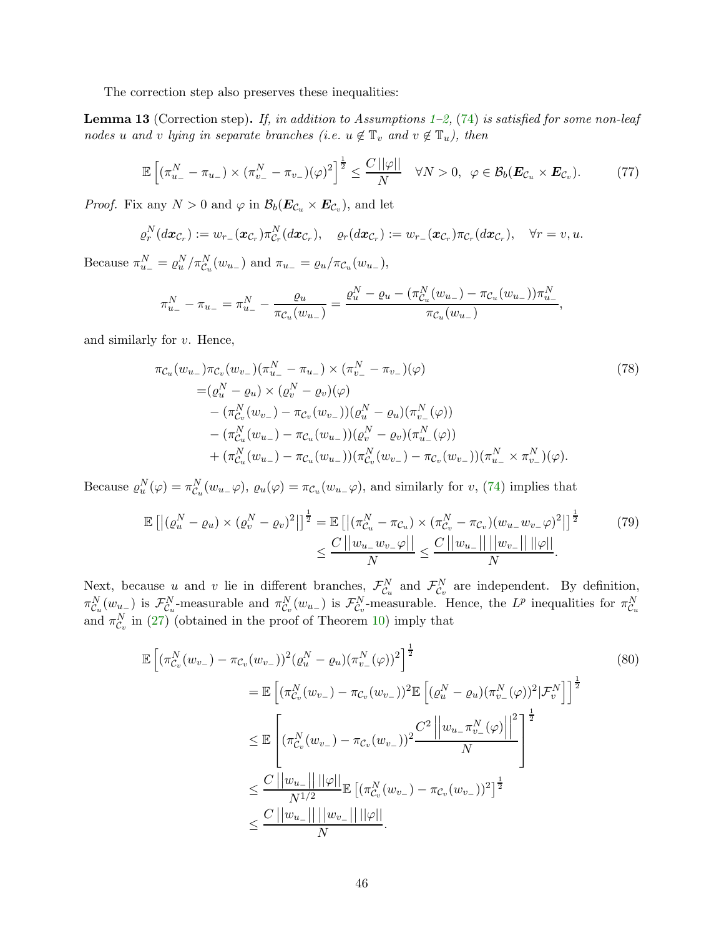The correction step also preserves these inequalities:

<span id="page-45-2"></span>**Lemma [1](#page-11-1)3** (Correction step). If, in addition to Assumptions 1[–2,](#page-15-3) [\(74\)](#page-44-3) is satisfied for some non-leaf nodes u and v lying in separate branches (i.e.  $u \notin \mathbb{T}_v$  and  $v \notin \mathbb{T}_u$ ), then

<span id="page-45-1"></span>
$$
\mathbb{E}\left[\left(\pi_{u_-}^N-\pi_{u_-}\right)\times\left(\pi_{v_-}^N-\pi_{v_-}\right)(\varphi)^2\right]^{\frac{1}{2}}\leq\frac{C\left|\varphi\right|!}{N}\quad\forall N>0,\ \varphi\in\mathcal{B}_b(\boldsymbol{E}_{\mathcal{C}_u}\times\boldsymbol{E}_{\mathcal{C}_v}).\tag{77}
$$

*Proof.* Fix any  $N > 0$  and  $\varphi$  in  $\mathcal{B}_b(\mathbf{E}_{\mathcal{C}_u} \times \mathbf{E}_{\mathcal{C}_v})$ , and let

$$
\varrho_r^N(dx_{\mathcal{C}_r}) := w_{r_-}(\boldsymbol{x}_{\mathcal{C}_r}) \pi_{\mathcal{C}_r}^N(dx_{\mathcal{C}_r}), \quad \varrho_r(dx_{\mathcal{C}_r}) := w_{r_-}(\boldsymbol{x}_{\mathcal{C}_r}) \pi_{\mathcal{C}_r}(dx_{\mathcal{C}_r}), \quad \forall r = v, u.
$$

Because  $\pi_{u_-}^N = \varrho_u^N / \pi_{\mathcal{C}_u}^N(w_{u_-})$  and  $\pi_{u_-} = \varrho_u / \pi_{\mathcal{C}_u}(w_{u_-}),$ 

<span id="page-45-0"></span>
$$
\pi_{u_-}^N - \pi_{u_-} = \pi_{u_-}^N - \frac{\varrho_u}{\pi_{\mathcal{C}_u}(w_{u_-})} = \frac{\varrho_u^N - \varrho_u - (\pi_{\mathcal{C}_u}^N(w_{u_-}) - \pi_{\mathcal{C}_u}(w_{u_-}))\pi_{u_-}^N}{\pi_{\mathcal{C}_u}(w_{u_-})},
$$

and similarly for v. Hence,

$$
\pi_{\mathcal{C}_u}(w_{u_-})\pi_{\mathcal{C}_v}(w_{v_-})(\pi_{u_-}^N - \pi_{u_-}) \times (\pi_{v_-}^N - \pi_{v_-})(\varphi)
$$
\n
$$
= (\varrho_u^N - \varrho_u) \times (\varrho_v^N - \varrho_v)(\varphi)
$$
\n
$$
- (\pi_{\mathcal{C}_v}^N(w_{v_-}) - \pi_{\mathcal{C}_v}(w_{v_-}))(\varrho_u^N - \varrho_u)(\pi_{v_-}^N(\varphi))
$$
\n
$$
- (\pi_{\mathcal{C}_u}^N(w_{u_-}) - \pi_{\mathcal{C}_u}(w_{u_-}))(\varrho_v^N - \varrho_v)(\pi_{u_-}^N(\varphi))
$$
\n
$$
+ (\pi_{\mathcal{C}_u}^N(w_{u_-}) - \pi_{\mathcal{C}_u}(w_{u_-}))(\pi_{\mathcal{C}_v}^N(w_{v_-}) - \pi_{\mathcal{C}_v}(w_{v_-}))(\pi_{u_-}^N \times \pi_{v_-}^N)(\varphi).
$$
\n(78)

Because  $\varrho_u^N(\varphi) = \pi_{\mathcal{C}_u}^N(w_{u-}\varphi), \varrho_u(\varphi) = \pi_{\mathcal{C}_u}(w_{u-}\varphi)$ , and similarly for  $v$ , [\(74\)](#page-44-3) implies that

$$
\mathbb{E}\left[\left|(\varrho_{u}^{N}-\varrho_{u})\times(\varrho_{v}^{N}-\varrho_{v})^{2}\right|\right]^{\frac{1}{2}}=\mathbb{E}\left[\left|(\pi_{C_{u}}^{N}-\pi_{C_{u}})\times(\pi_{C_{v}}^{N}-\pi_{C_{v}})(w_{u_{-}}w_{v_{-}}\varphi)^{2}\right|\right]^{\frac{1}{2}}\qquad(79)
$$
\n
$$
\leq \frac{C\left|\left|w_{u_{-}}w_{v_{-}}\varphi\right|\right|}{N} \leq \frac{C\left|\left|w_{u_{-}}\right|\right|\left|\left|w_{v_{-}}\right|\right|\left|\left|\varphi\right|\right|}{N}.
$$

Next, because u and v lie in different branches,  $\mathcal{F}_{\mathcal{C}_u}^N$  and  $\mathcal{F}_{\mathcal{C}_v}^N$  are independent. By definition,  $\pi_{\mathcal{C}_u}^N(w_{u_{-}})$  is  $\mathcal{F}_{\mathcal{C}_u}^N$ -measurable and  $\pi_{\mathcal{C}_v}^N(w_{u_{-}})$  is  $\mathcal{F}_{\mathcal{C}_v}^N$ -measurable. Hence, the  $L^p$  inequalities for  $\pi_{\mathcal{C}_u}^N$ and  $\pi_{\mathcal{C}_v}^N$  in [\(27\)](#page-31-5) (obtained in the proof of Theorem [10\)](#page-30-3) imply that

$$
\mathbb{E}\left[ (\pi_{C_v}^N(w_{v-}) - \pi_{C_v}(w_{v-}))^2 (\varrho_u^N - \varrho_u) (\pi_{v-}^N(\varphi))^2 \right]^{\frac{1}{2}} \n= \mathbb{E}\left[ (\pi_{C_v}^N(w_{v-}) - \pi_{C_v}(w_{v-}))^2 \mathbb{E}\left[ (\varrho_u^N - \varrho_u) (\pi_{v-}^N(\varphi))^2 | \mathcal{F}_v^N \right] \right]^{\frac{1}{2}} \n\leq \mathbb{E}\left[ (\pi_{C_v}^N(w_{v-}) - \pi_{C_v}(w_{v-}))^2 \frac{C^2}{N} \left| \left| w_{u-} \pi_{v-}^N(\varphi) \right| \right|^2 \right]^{\frac{1}{2}} \n\leq \frac{C \left| \left| w_{u-} \right| \right| ||\varphi||}{N^{1/2}} \mathbb{E}\left[ (\pi_{C_v}^N(w_{v-}) - \pi_{C_v}(w_{v-}))^2 \right]^{\frac{1}{2}} \n\leq \frac{C \left| \left| w_{u-} \right| \right| ||w_{v-}|| ||\varphi||}{N}.
$$
\n(80)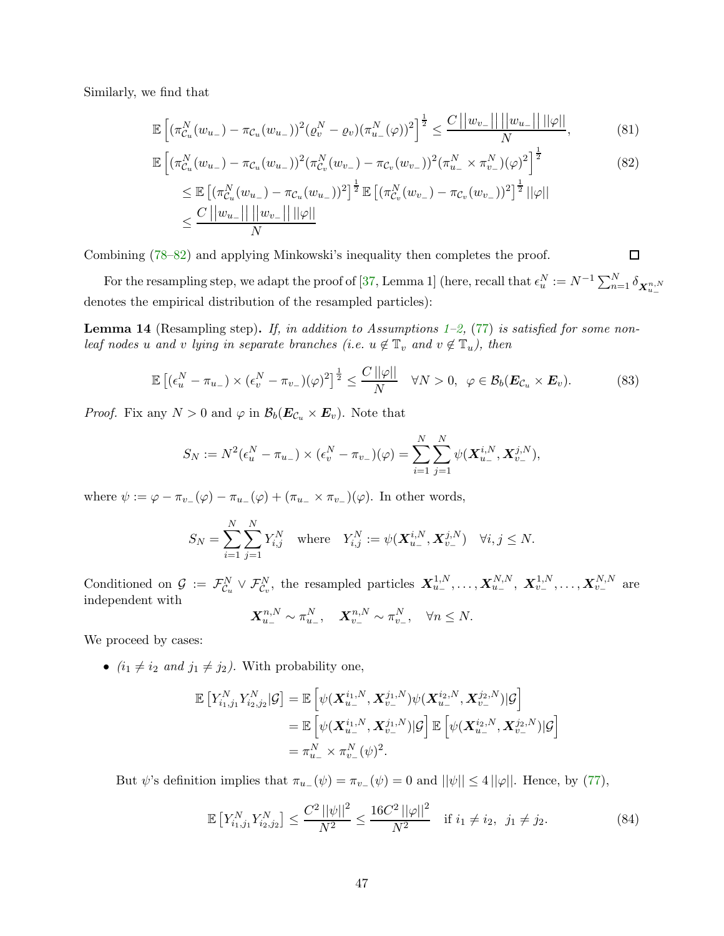Similarly, we find that

$$
\mathbb{E}\left[ (\pi_{\mathcal{C}_u}^N(w_{u-}) - \pi_{\mathcal{C}_u}(w_{u-}))^2 (\varrho_v^N - \varrho_v) (\pi_{u-}^N(\varphi))^2 \right]^{\frac{1}{2}} \le \frac{C||w_{v-}|| \, ||w_{u-}|| \, ||\varphi||}{N},\tag{81}
$$

$$
\mathbb{E}\left[\left(\pi_{\mathcal{C}_u}^N(w_{u_-}) - \pi_{\mathcal{C}_u}(w_{u_-})\right)^2 \left(\pi_{\mathcal{C}_v}^N(w_{v_-}) - \pi_{\mathcal{C}_v}(w_{v_-})\right)^2 \left(\pi_{u_-}^N \times \pi_{v_-}^N\right) (\varphi)^2\right]^{\frac{1}{2}}\n\n\leq \mathbb{E}\left[\left(\pi_{\mathcal{C}_u}^N(w_{u_-}) - \pi_{\mathcal{C}_u}(w_{u_-})\right)^2\right]^{\frac{1}{2}} \mathbb{E}\left[\left(\pi_{\mathcal{C}_v}^N(w_{v_-}) - \pi_{\mathcal{C}_v}(w_{v_-})\right)^2\right]^{\frac{1}{2}} ||\varphi||\n\n\leq \frac{C||w_{u_-}|| ||w_{v_-}|| ||\varphi||}{N}
$$
\n(82)

<span id="page-46-0"></span>口

Combining [\(78](#page-45-0)[–82\)](#page-46-0) and applying Minkowski's inequality then completes the proof.

For the resampling step, we adapt the proof of [\[37,](#page-25-3) Lemma 1] (here, recall that  $\epsilon_u^N := N^{-1} \sum_{n=1}^N \delta_{\mathbf{X}_{u_-}^{n,N}}$ denotes the empirical distribution of the resampled particles):

<span id="page-46-3"></span>**Lemma 14** (Resampling step). If, in addition to Assumptions [1–](#page-11-1)[2,](#page-15-3) [\(77\)](#page-45-1) is satisfied for some nonleaf nodes u and v lying in separate branches (i.e.  $u \notin \mathbb{T}_v$  and  $v \notin \mathbb{T}_u$ ), then

<span id="page-46-2"></span>
$$
\mathbb{E}\left[ \left( \epsilon_u^N - \pi_{u_{-}} \right) \times \left( \epsilon_v^N - \pi_{v_{-}} \right) (\varphi)^2 \right]^{\frac{1}{2}} \le \frac{C \left| \varphi \right|}{N} \quad \forall N > 0, \ \varphi \in \mathcal{B}_b(\boldsymbol{E}_{\mathcal{C}_u} \times \boldsymbol{E}_v). \tag{83}
$$

*Proof.* Fix any  $N > 0$  and  $\varphi$  in  $\mathcal{B}_b(E_{\mathcal{C}_u} \times E_v)$ . Note that

$$
S_N := N^2(\epsilon_u^N - \pi_{u_-}) \times (\epsilon_v^N - \pi_{v_-})(\varphi) = \sum_{i=1}^N \sum_{j=1}^N \psi(\mathbf{X}_{u_-}^{i,N}, \mathbf{X}_{v_-}^{j,N}),
$$

where  $\psi := \varphi - \pi_{v-}(\varphi) - \pi_{u-}(\varphi) + (\pi_{u-} \times \pi_{v-})(\varphi)$ . In other words,

$$
S_N = \sum_{i=1}^N \sum_{j=1}^N Y_{i,j}^N \quad \text{where} \quad Y_{i,j}^N := \psi(\mathbf{X}_{u_-}^{i,N}, \mathbf{X}_{v_-}^{j,N}) \quad \forall i, j \le N.
$$

Conditioned on  $\mathcal{G} := \mathcal{F}_{\mathcal{C}_u}^N \vee \mathcal{F}_{\mathcal{C}_v}^N$ , the resampled particles  $\mathbf{X}_{u_-}^{1,N}, \ldots, \mathbf{X}_{u_-}^{N,N}, \ \mathbf{X}_{v_-}^{1,N}, \ldots, \mathbf{X}_{v_-}^{N,N}$  are independent with

$$
\mathbf{X}_{u_-}^{n,N} \sim \pi_{u_-}^N, \quad \mathbf{X}_{v_-}^{n,N} \sim \pi_{v_-}^N, \quad \forall n \le N.
$$

We proceed by cases:

•  $(i_1 \neq i_2 \text{ and } j_1 \neq j_2)$ . With probability one,

$$
\mathbb{E}\left[Y_{i_1,j_1}^N Y_{i_2,j_2}^N|\mathcal{G}\right] = \mathbb{E}\left[\psi(\mathbf{X}_{u_-}^{i_1,N}, \mathbf{X}_{v_-}^{j_1,N})\psi(\mathbf{X}_{u_-}^{i_2,N}, \mathbf{X}_{v_-}^{j_2,N})|\mathcal{G}\right]
$$
  
\n
$$
= \mathbb{E}\left[\psi(\mathbf{X}_{u_-}^{i_1,N}, \mathbf{X}_{v_-}^{j_1,N})|\mathcal{G}\right] \mathbb{E}\left[\psi(\mathbf{X}_{u_-}^{i_2,N}, \mathbf{X}_{v_-}^{j_2,N})|\mathcal{G}\right]
$$
  
\n
$$
= \pi_{u_-}^N \times \pi_{v_-}^N(\psi)^2.
$$

But  $\psi$ 's definition implies that  $\pi_{u-}(\psi) = \pi_{v-}(\psi) = 0$  and  $||\psi|| \leq 4||\varphi||$ . Hence, by [\(77\)](#page-45-1),

<span id="page-46-1"></span>
$$
\mathbb{E}\left[Y_{i_1,j_1}^N Y_{i_2,j_2}^N\right] \le \frac{C^2 \, ||\psi||^2}{N^2} \le \frac{16C^2 \, ||\varphi||^2}{N^2} \quad \text{if } i_1 \ne i_2, \ \ j_1 \ne j_2. \tag{84}
$$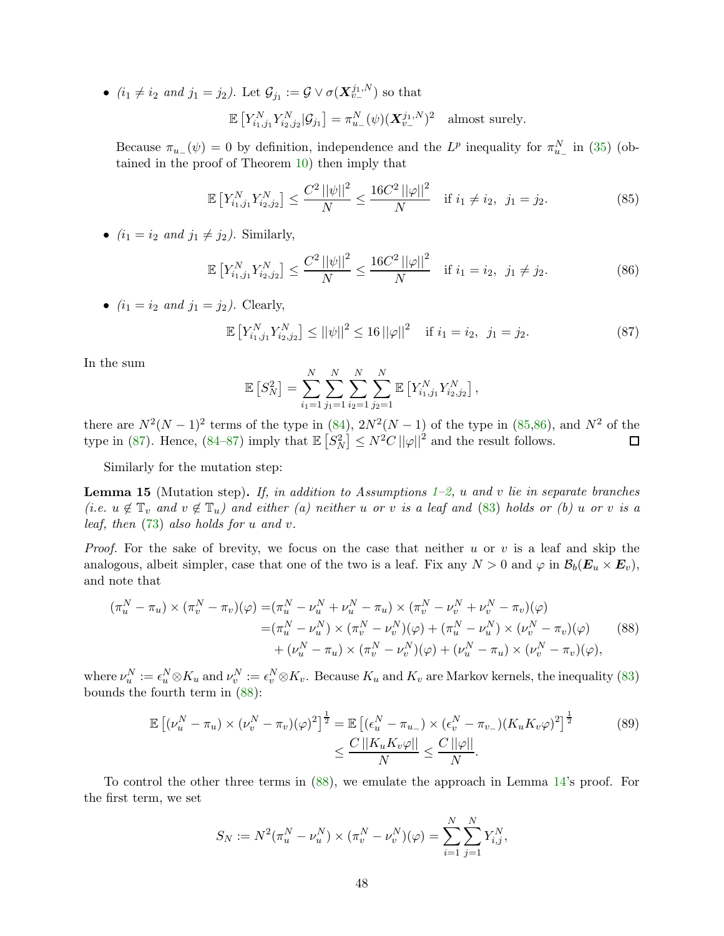•  $(i_1 \neq i_2 \text{ and } j_1 = j_2)$ . Let  $\mathcal{G}_{j_1} := \mathcal{G} \vee \sigma(\mathbf{X}_{v_-}^{j_1, N})$  so that

$$
\mathbb{E}\left[Y_{i_1,j_1}^N Y_{i_2,j_2}^N|\mathcal{G}_{j_1}\right] = \pi_{u_-}^N(\psi)(\mathbf{X}_{v_-}^{j_1,N})^2 \text{ almost surely.}
$$

Because  $\pi_{u-1}(\psi) = 0$  by definition, independence and the  $L^p$  inequality for  $\pi_{u-}^N$  in [\(35\)](#page-32-1) (obtained in the proof of Theorem [10\)](#page-30-3) then imply that

<span id="page-47-0"></span>
$$
\mathbb{E}\left[Y_{i_1,j_1}^N Y_{i_2,j_2}^N\right] \le \frac{C^2 \, ||\psi||^2}{N} \le \frac{16C^2 \, ||\varphi||^2}{N} \quad \text{if } i_1 \ne i_2, \ \ j_1 = j_2. \tag{85}
$$

•  $(i_1 = i_2 \text{ and } j_1 \neq j_2)$ . Similarly,

<span id="page-47-1"></span>
$$
\mathbb{E}\left[Y_{i_1,j_1}^N Y_{i_2,j_2}^N\right] \le \frac{C^2 \left|\left|\psi\right|\right|^2}{N} \le \frac{16C^2 \left|\left|\varphi\right|\right|^2}{N} \quad \text{if } i_1 = i_2, \ \ j_1 \ne j_2. \tag{86}
$$

•  $(i_1 = i_2 \text{ and } j_1 = j_2)$ . Clearly,

<span id="page-47-2"></span>
$$
\mathbb{E}\left[Y_{i_1,j_1}^N Y_{i_2,j_2}^N\right] \le ||\psi||^2 \le 16||\varphi||^2 \quad \text{if } i_1 = i_2, \ \ j_1 = j_2. \tag{87}
$$

In the sum

<span id="page-47-3"></span>
$$
\mathbb{E}\left[S_N^2\right] = \sum_{i_1=1}^N \sum_{j_1=1}^N \sum_{i_2=1}^N \sum_{j_2=1}^N \mathbb{E}\left[Y_{i_1,j_1}^N Y_{i_2,j_2}^N\right],
$$

there are  $N^2(N-1)^2$  terms of the type in  $(84)$ ,  $2N^2(N-1)$  of the type in  $(85,86)$  $(85,86)$ , and  $N^2$  of the type in [\(87\)](#page-47-2). Hence, [\(84](#page-46-1)[–87\)](#page-47-2) imply that  $\mathbb{E}\left[S_N^2\right] \leq N^2 C ||\varphi||^2$  and the result follows.

Similarly for the mutation step:

<span id="page-47-4"></span>**Lemma [1](#page-11-1)5** (Mutation step). If, in addition to Assumptions 1[–2,](#page-15-3) u and v lie in separate branches (i.e.  $u \notin \mathbb{T}_v$  and  $v \notin \mathbb{T}_u$ ) and either (a) neither u or v is a leaf and [\(83\)](#page-46-2) holds or (b) u or v is a leaf, then [\(73\)](#page-44-2) also holds for u and v.

*Proof.* For the sake of brevity, we focus on the case that neither u or v is a leaf and skip the analogous, albeit simpler, case that one of the two is a leaf. Fix any  $N > 0$  and  $\varphi$  in  $\mathcal{B}_b(E_u \times E_v)$ , and note that

$$
(\pi_u^N - \pi_u) \times (\pi_v^N - \pi_v)(\varphi) = (\pi_u^N - \nu_u^N + \nu_u^N - \pi_u) \times (\pi_v^N - \nu_v^N + \nu_v^N - \pi_v)(\varphi)
$$
  

$$
= (\pi_u^N - \nu_u^N) \times (\pi_v^N - \nu_v^N)(\varphi) + (\pi_u^N - \nu_u^N) \times (\nu_v^N - \pi_v)(\varphi)
$$
  

$$
+ (\nu_u^N - \pi_u) \times (\pi_v^N - \nu_v^N)(\varphi) + (\nu_u^N - \pi_u) \times (\nu_v^N - \pi_v)(\varphi),
$$
 (88)

where  $\nu_u^N := \epsilon_u^N \otimes K_u$  and  $\nu_v^N := \epsilon_v^N \otimes K_v$ . Because  $K_u$  and  $K_v$  are Markov kernels, the inequality [\(83\)](#page-46-2) bounds the fourth term in [\(88\)](#page-47-3):

$$
\mathbb{E}\left[ (\nu_u^N - \pi_u) \times (\nu_v^N - \pi_v)(\varphi)^2 \right]^{\frac{1}{2}} = \mathbb{E}\left[ (\epsilon_u^N - \pi_{u_{-}}) \times (\epsilon_v^N - \pi_{v_{-}}) (K_u K_v \varphi)^2 \right]^{\frac{1}{2}} \qquad (89)
$$

$$
\leq \frac{C \left| |K_u K_v \varphi| \right|}{N} \leq \frac{C \left| |\varphi| \right|}{N}.
$$

To control the other three terms in [\(88\)](#page-47-3), we emulate the approach in Lemma [14'](#page-46-3)s proof. For the first term, we set

$$
S_N := N^2(\pi_u^N - \nu_u^N) \times (\pi_v^N - \nu_v^N)(\varphi) = \sum_{i=1}^N \sum_{j=1}^N Y_{i,j}^N,
$$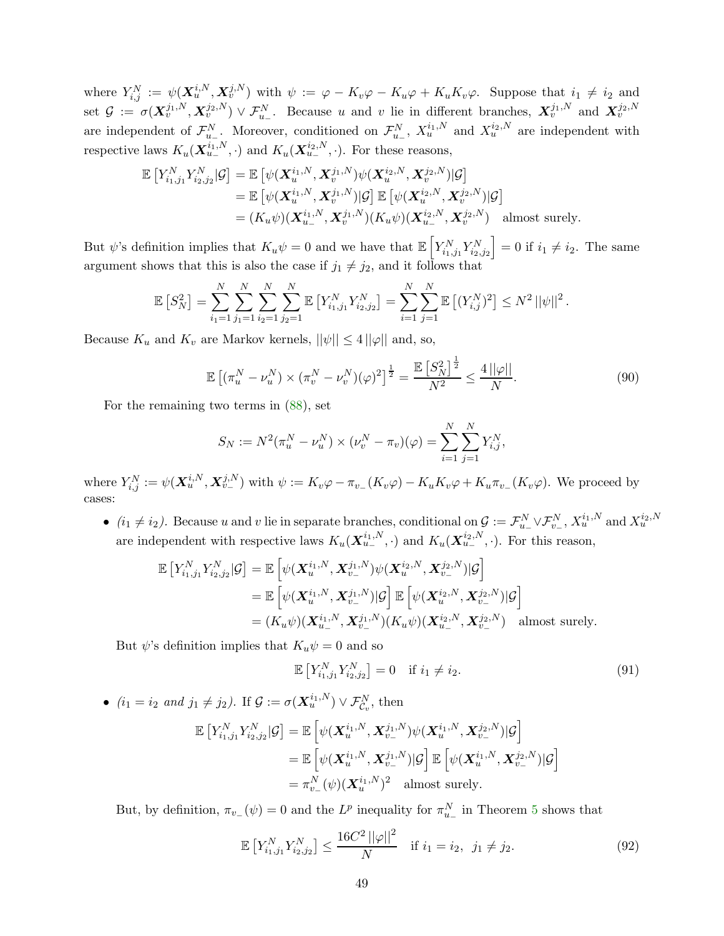where  $Y_{i,j}^N := \psi(\mathbf{X}_u^{i,N}, \mathbf{X}_v^{j,N})$  with  $\psi := \varphi - K_v\varphi - K_u\varphi + K_uK_v\varphi$ . Suppose that  $i_1 \neq i_2$  and set  $\mathcal{G} := \sigma(\mathbf{X}_{v}^{j_1,N}, \mathbf{X}_{v}^{j_2,N}) \vee \mathcal{F}_{u}^{N}$ . Because u and v lie in different branches,  $\mathbf{X}_{v}^{j_1,N}$  and  $\mathbf{X}_{v}^{j_2,N}$ are independent of  $\mathcal{F}_{u_-}^N$ . Moreover, conditioned on  $\mathcal{F}_{u_-}^N$ ,  $X_u^{i_1,N}$  and  $X_u^{i_2,N}$  are independent with respective laws  $K_u(\mathbf{X}_{u-}^{i_1,N},\cdot)$  and  $K_u(\mathbf{X}_{u-}^{i_2,N},\cdot)$ . For these reasons,

$$
\mathbb{E}\left[Y_{i_1,j_1}^N Y_{i_2,j_2}^N|\mathcal{G}\right] = \mathbb{E}\left[\psi(\boldsymbol{X}_u^{i_1,N}, \boldsymbol{X}_v^{j_1,N})\psi(\boldsymbol{X}_u^{i_2,N}, \boldsymbol{X}_v^{j_2,N})|\mathcal{G}\right]
$$
  
\n
$$
= \mathbb{E}\left[\psi(\boldsymbol{X}_u^{i_1,N}, \boldsymbol{X}_v^{j_1,N})|\mathcal{G}\right] \mathbb{E}\left[\psi(\boldsymbol{X}_u^{i_2,N}, \boldsymbol{X}_v^{j_2,N})|\mathcal{G}\right]
$$
  
\n
$$
= (K_u\psi)(\boldsymbol{X}_{u-}^{i_1,N}, \boldsymbol{X}_v^{j_1,N})(K_u\psi)(\boldsymbol{X}_{u-}^{i_2,N}, \boldsymbol{X}_v^{j_2,N}) \text{ almost surely.}
$$

But  $\psi$ 's definition implies that  $K_u \psi = 0$  and we have that  $\mathbb{E}\left[Y_{i_1,j_1}^N Y_{i_2,j_2}^N\right] = 0$  if  $i_1 \neq i_2$ . The same argument shows that this is also the case if  $j_1 \neq j_2$ , and it follows that

$$
\mathbb{E}\left[S_N^2\right] = \sum_{i_1=1}^N \sum_{j_1=1}^N \sum_{i_2=1}^N \sum_{j_2=1}^N \mathbb{E}\left[Y_{i_1,j_1}^N Y_{i_2,j_2}^N\right] = \sum_{i=1}^N \sum_{j=1}^N \mathbb{E}\left[(Y_{i,j}^N)^2\right] \le N^2 \|\psi\|^2.
$$

Because  $K_u$  and  $K_v$  are Markov kernels,  $||\psi|| \leq 4 ||\varphi||$  and, so,

<span id="page-48-2"></span>
$$
\mathbb{E}\left[ (\pi_u^N - \nu_u^N) \times (\pi_v^N - \nu_v^N) (\varphi)^2 \right]^{\frac{1}{2}} = \frac{\mathbb{E}\left[ S_N^2 \right]^{\frac{1}{2}}}{N^2} \le \frac{4 \, ||\varphi||}{N}.
$$
\n(90)

For the remaining two terms in [\(88\)](#page-47-3), set

$$
S_N := N^2(\pi_u^N - \nu_u^N) \times (\nu_v^N - \pi_v)(\varphi) = \sum_{i=1}^N \sum_{j=1}^N Y_{i,j}^N,
$$

where  $Y_{i,j}^N := \psi(\mathbf{X}_u^{i,N}, \mathbf{X}_{v-}^{j,N})$  with  $\psi := K_v\varphi - \pi_{v-}(K_v\varphi) - K_uK_v\varphi + K_u\pi_{v-}(K_v\varphi)$ . We proceed by cases:

•  $(i_1 \neq i_2)$ . Because u and v lie in separate branches, conditional on  $\mathcal{G} := \mathcal{F}_{u_-}^N \vee \mathcal{F}_{v_-}^N$ ,  $X_u^{i_1,N}$  and  $X_u^{i_2,N}$ are independent with respective laws  $K_u(\mathbf{X}_{u-}^{i_1,N},\cdot)$  and  $K_u(\mathbf{X}_{u-}^{i_2,N},\cdot)$ . For this reason,

$$
\mathbb{E}\left[Y_{i_1,j_1}^N Y_{i_2,j_2}^N|\mathcal{G}\right] = \mathbb{E}\left[\psi(\boldsymbol{X}_u^{i_1,N}, \boldsymbol{X}_{v_-}^{j_1,N})\psi(\boldsymbol{X}_u^{i_2,N}, \boldsymbol{X}_{v_-}^{j_2,N})|\mathcal{G}\right]
$$
  
\n
$$
= \mathbb{E}\left[\psi(\boldsymbol{X}_u^{i_1,N}, \boldsymbol{X}_{v_-}^{j_1,N})|\mathcal{G}\right] \mathbb{E}\left[\psi(\boldsymbol{X}_u^{i_2,N}, \boldsymbol{X}_{v_-}^{j_2,N})|\mathcal{G}\right]
$$
  
\n
$$
= (K_u\psi)(\boldsymbol{X}_{u_-}^{i_1,N}, \boldsymbol{X}_{v_-}^{j_1,N})(K_u\psi)(\boldsymbol{X}_{u_-}^{i_2,N}, \boldsymbol{X}_{v_-}^{j_2,N}) \text{ almost surely.}
$$

But  $\psi$ 's definition implies that  $K_u \psi = 0$  and so

<span id="page-48-1"></span><span id="page-48-0"></span>
$$
\mathbb{E}\left[Y_{i_1,j_1}^N Y_{i_2,j_2}^N\right] = 0 \quad \text{if } i_1 \neq i_2. \tag{91}
$$

•  $(i_1 = i_2 \text{ and } j_1 \neq j_2)$ . If  $\mathcal{G} := \sigma(\mathbf{X}_u^{i_1,N}) \vee \mathcal{F}_{\mathcal{C}_v}^N$ , then

$$
\mathbb{E}\left[Y_{i_1,j_1}^N Y_{i_2,j_2}^N | \mathcal{G}\right] = \mathbb{E}\left[\psi(\boldsymbol{X}_u^{i_1,N},\boldsymbol{X}_{v_-}^{j_1,N})\psi(\boldsymbol{X}_u^{i_1,N},\boldsymbol{X}_{v_-}^{j_2,N}) | \mathcal{G}\right] \n= \mathbb{E}\left[\psi(\boldsymbol{X}_u^{i_1,N},\boldsymbol{X}_{v_-}^{j_1,N}) | \mathcal{G}\right] \mathbb{E}\left[\psi(\boldsymbol{X}_u^{i_1,N},\boldsymbol{X}_{v_-}^{j_2,N}) | \mathcal{G}\right] \n= \pi_{v_-}^N(\psi)(\boldsymbol{X}_u^{i_1,N})^2 \quad \text{almost surely.}
$$

But, by definition,  $\pi_{v-}(\psi) = 0$  and the  $L^p$  inequality for  $\pi_{u-}^N$  in Theorem [5](#page-16-0) shows that

$$
\mathbb{E}\left[Y_{i_1,j_1}^N Y_{i_2,j_2}^N\right] \le \frac{16C^2 \left|\left|\varphi\right|\right|^2}{N} \quad \text{if } i_1 = i_2, \ \ j_1 \ne j_2. \tag{92}
$$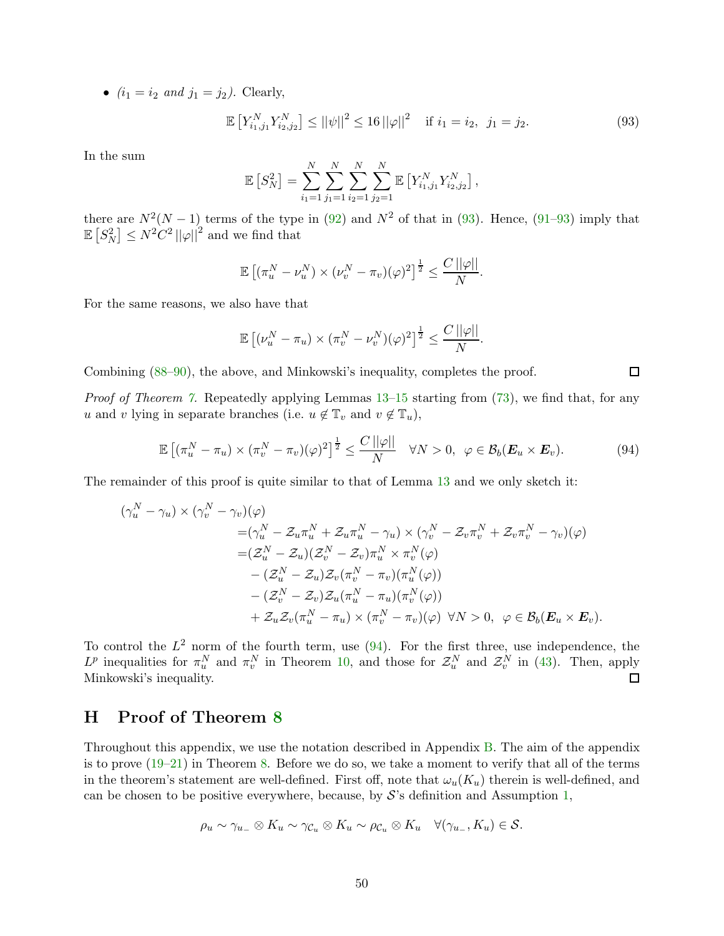•  $(i_1 = i_2 \text{ and } j_1 = j_2)$ . Clearly,

<span id="page-49-1"></span>
$$
\mathbb{E}\left[Y_{i_1,j_1}^N Y_{i_2,j_2}^N\right] \le ||\psi||^2 \le 16\,||\varphi||^2 \quad \text{if } i_1 = i_2, \ \ j_1 = j_2. \tag{93}
$$

In the sum

$$
\mathbb{E}\left[S_N^2\right] = \sum_{i_1=1}^N \sum_{j_1=1}^N \sum_{i_2=1}^N \sum_{j_2=1}^N \mathbb{E}\left[Y_{i_1,j_1}^N Y_{i_2,j_2}^N\right],
$$

there are  $N^2(N-1)$  terms of the type in [\(92\)](#page-48-0) and  $N^2$  of that in [\(93\)](#page-49-1). Hence, [\(91–](#page-48-1)[93\)](#page-49-1) imply that  $\mathbb{E}\left[S_N^2\right] \leq N^2C^2 ||\varphi||^2$  and we find that

$$
\mathbb{E}\left[ (\pi_u^N - \nu_u^N) \times (\nu_v^N - \pi_v)(\varphi)^2 \right]^{\frac{1}{2}} \leq \frac{C\left\| \varphi \right\|}{N}.
$$

For the same reasons, we also have that

$$
\mathbb{E}\left[ (\nu_u^N - \pi_u) \times (\pi_v^N - \nu_v^N)(\varphi)^2 \right]^{\frac{1}{2}} \le \frac{C\left| |\varphi| \right|}{N}.
$$

Combining [\(88](#page-47-3)[–90\)](#page-48-2), the above, and Minkowski's inequality, completes the proof.

Proof of Theorem [7.](#page-18-0) Repeatedly applying Lemmas [13](#page-45-2)[–15](#page-47-4) starting from [\(73\)](#page-44-2), we find that, for any u and v lying in separate branches (i.e.  $u \notin \mathbb{T}_v$  and  $v \notin \mathbb{T}_u$ ),

<span id="page-49-2"></span>
$$
\mathbb{E}\left[ (\pi_u^N - \pi_u) \times (\pi_v^N - \pi_v)(\varphi)^2 \right]^{\frac{1}{2}} \le \frac{C\left\| \varphi \right\|}{N} \quad \forall N > 0, \ \varphi \in \mathcal{B}_b(\boldsymbol{E}_u \times \boldsymbol{E}_v).
$$
 (94)

The remainder of this proof is quite similar to that of Lemma [13](#page-45-2) and we only sketch it:

$$
(\gamma_u^N - \gamma_u) \times (\gamma_v^N - \gamma_v)(\varphi)
$$
  
\n
$$
= (\gamma_u^N - \mathcal{Z}_u \pi_u^N + \mathcal{Z}_u \pi_u^N - \gamma_u) \times (\gamma_v^N - \mathcal{Z}_v \pi_v^N + \mathcal{Z}_v \pi_v^N - \gamma_v)(\varphi)
$$
  
\n
$$
= (\mathcal{Z}_u^N - \mathcal{Z}_u)(\mathcal{Z}_v^N - \mathcal{Z}_v) \pi_u^N \times \pi_v^N(\varphi)
$$
  
\n
$$
- (\mathcal{Z}_u^N - \mathcal{Z}_u) \mathcal{Z}_v(\pi_v^N - \pi_v)(\pi_u^N(\varphi))
$$
  
\n
$$
- (\mathcal{Z}_v^N - \mathcal{Z}_v) \mathcal{Z}_u(\pi_u^N - \pi_u)(\pi_v^N(\varphi))
$$
  
\n
$$
+ \mathcal{Z}_u \mathcal{Z}_v(\pi_u^N - \pi_u) \times (\pi_v^N - \pi_v)(\varphi) \quad \forall N > 0, \quad \varphi \in \mathcal{B}_b(\mathbf{E}_u \times \mathbf{E}_v).
$$

To control the  $L^2$  norm of the fourth term, use  $(94)$ . For the first three, use independence, the  $L^p$  inequalities for  $\pi_u^N$  and  $\pi_v^N$  in Theorem [10,](#page-30-3) and those for  $\mathcal{Z}_u^N$  and  $\mathcal{Z}_v^N$  in [\(43\)](#page-34-3). Then, apply Minkowski's inequality.  $\Box$ 

# <span id="page-49-0"></span>H Proof of Theorem [8](#page-20-1)

Throughout this appendix, we use the notation described in Appendix [B.](#page-29-0) The aim of the appendix is to prove [\(19](#page-20-3)[–21\)](#page-20-4) in Theorem [8.](#page-20-1) Before we do so, we take a moment to verify that all of the terms in the theorem's statement are well-defined. First off, note that  $\omega_u(K_u)$  therein is well-defined, and can be chosen to be positive everywhere, because, by  $\mathcal{S}'$ 's definition and Assumption [1,](#page-11-1)

$$
\rho_u \sim \gamma_{u_-} \otimes K_u \sim \gamma_{\mathcal{C}_u} \otimes K_u \sim \rho_{\mathcal{C}_u} \otimes K_u \quad \forall (\gamma_{u_-}, K_u) \in \mathcal{S}.
$$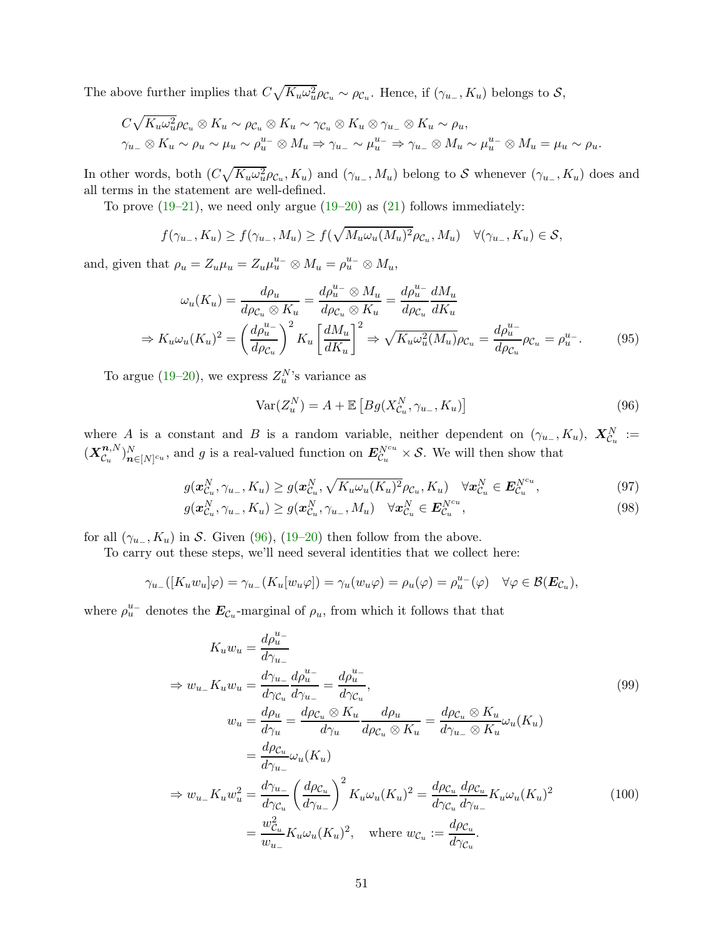The above further implies that  $C\sqrt{K_u\omega_u^2}\rho_{\mathcal{C}_u} \sim \rho_{\mathcal{C}_u}$ . Hence, if  $(\gamma_{u_-}, K_u)$  belongs to  $\mathcal{S},$ 

$$
C\sqrt{K_u\omega_u^2}\rho_{\mathcal{C}_u}\otimes K_u \sim \rho_{\mathcal{C}_u}\otimes K_u \sim \gamma_{\mathcal{C}_u}\otimes K_u \otimes \gamma_{u_-}\otimes K_u \sim \rho_u,
$$
  

$$
\gamma_{u_-}\otimes K_u \sim \rho_u \sim \mu_u \sim \rho_u^{u_-}\otimes M_u \Rightarrow \gamma_{u_-} \sim \mu_u^{u_-} \Rightarrow \gamma_{u_-}\otimes M_u \sim \mu_u^{u_-}\otimes M_u = \mu_u \sim \rho_u.
$$

In other words, both  $(C\sqrt{K_u\omega_u^2}\rho_{\mathcal{C}_u}, K_u)$  and  $(\gamma_{u_-}, M_u)$  belong to S whenever  $(\gamma_{u_-}, K_u)$  does and all terms in the statement are well-defined.

To prove  $(19-21)$ , we need only argue  $(19-20)$  as  $(21)$  follows immediately:

$$
f(\gamma_{u_-}, K_u) \ge f(\gamma_{u_-}, M_u) \ge f(\sqrt{M_u \omega_u (M_u)^2} \rho_{\mathcal{C}_u}, M_u) \quad \forall (\gamma_{u_-}, K_u) \in \mathcal{S},
$$

and, given that  $\rho_u = Z_u \mu_u = Z_u \mu_u^{u^-} \otimes M_u = \rho_u^{u^-} \otimes M_u$ ,

$$
\omega_u(K_u) = \frac{d\rho_u}{d\rho_{\mathcal{C}_u} \otimes K_u} = \frac{d\rho_u^{u-} \otimes M_u}{d\rho_{\mathcal{C}_u} \otimes K_u} = \frac{d\rho_u^{u-} dM_u}{d\rho_{\mathcal{C}_u} dK_u}
$$

$$
\Rightarrow K_u \omega_u(K_u)^2 = \left(\frac{d\rho_u^{u-}}{d\rho_{\mathcal{C}_u}}\right)^2 K_u \left[\frac{dM_u}{dK_u}\right]^2 \Rightarrow \sqrt{K_u \omega_u^2(M_u)} \rho_{\mathcal{C}_u} = \frac{d\rho_u^{u-}}{d\rho_{\mathcal{C}_u}} \rho_{\mathcal{C}_u} = \rho_u^{u-}.\tag{95}
$$

To argue [\(19](#page-20-3)[–20\)](#page-20-5), we express  $Z_u^{N}$ 's variance as

<span id="page-50-4"></span><span id="page-50-3"></span><span id="page-50-0"></span>
$$
\text{Var}(Z_u^N) = A + \mathbb{E}\left[Bg(X_{\mathcal{C}_u}^N, \gamma_{u_-}, K_u)\right]
$$
\n(96)

where A is a constant and B is a random variable, neither dependent on  $(\gamma_{u-}, K_u)$ ,  $\mathbf{X}_{\mathcal{C}_u}^N :=$  $(X_{\mathcal{C}_{\cdot\cdot}}^{\boldsymbol{n},N}% (\mathcal{C}_{\cdot\cdot})\cap P_{\mathcal{C}_{\cdot\cdot}}^{\mathcal{C}_{\cdot\cdot}}(\mathcal{C}_{\cdot\cdot})\cap P_{\mathcal{C}_{\cdot\cdot}}^{\mathcal{C}_{\cdot\cdot}}).$  $\mathcal{L}_{\mathcal{C}_u}^{(n,N)}\big|_{n\in[N]^{cu}}$ , and g is a real-valued function on  $\mathbf{E}_{\mathcal{C}_u}^{N^{cu}} \times \mathcal{S}$ . We will then show that

$$
g(\boldsymbol{x}_{\mathcal{C}_u}^N, \gamma_{u_-}, K_u) \ge g(\boldsymbol{x}_{\mathcal{C}_u}^N, \sqrt{K_u \omega_u (K_u)^2} \rho_{\mathcal{C}_u}, K_u) \quad \forall \boldsymbol{x}_{\mathcal{C}_u}^N \in \boldsymbol{E}_{\mathcal{C}_u}^{N^{cu}},\tag{97}
$$

$$
g(\boldsymbol{x}_{\mathcal{C}_u}^N, \gamma_{u_-}, K_u) \ge g(\boldsymbol{x}_{\mathcal{C}_u}^N, \gamma_{u_-}, M_u) \quad \forall \boldsymbol{x}_{\mathcal{C}_u}^N \in \boldsymbol{E}_{\mathcal{C}_u}^{N^{c_u}},
$$
\n(98)

for all  $(\gamma_{u-}, K_u)$  in S. Given [\(96\)](#page-50-0), [\(19](#page-20-3)[–20\)](#page-20-5) then follow from the above.

To carry out these steps, we'll need several identities that we collect here:

$$
\gamma_{u_-}([K_u w_u]\varphi) = \gamma_{u_-}(K_u[w_u\varphi]) = \gamma_u(w_u\varphi) = \rho_u(\varphi) = \rho_u^u(\varphi) \quad \forall \varphi \in \mathcal{B}(\mathbf{E}_{\mathcal{C}_u}),
$$

where  $\rho_u^{u-}$  denotes the  $E_{\mathcal{C}_u}$ -marginal of  $\rho_u$ , from which it follows that that

<span id="page-50-2"></span><span id="page-50-1"></span>
$$
K_u w_u = \frac{d\rho_u^{u-}}{d\gamma_{u-}}
$$
  
\n
$$
\Rightarrow w_{u-} K_u w_u = \frac{d\gamma_{u-}}{d\gamma_{u}} \frac{d\rho_u^{u-}}{d\gamma_{u-}} = \frac{d\rho_u^{u-}}{d\gamma_{u}}
$$
  
\n
$$
w_u = \frac{d\rho_u}{d\gamma_u} = \frac{d\rho_{c_u} \otimes K_u}{d\gamma_u} \frac{d\rho_u}{d\rho_{c_u} \otimes K_u} = \frac{d\rho_{c_u} \otimes K_u}{d\gamma_{u-} \otimes K_u} \omega_u(K_u)
$$
  
\n
$$
= \frac{d\rho_{c_u}}{d\gamma_{u-}} \omega_u(K_u)
$$
  
\n
$$
\Rightarrow w_{u-} K_u w_u^2 = \frac{d\gamma_{u-}}{d\gamma_{c_u}} \left(\frac{d\rho_{c_u}}{d\gamma_{u-}}\right)^2 K_u \omega_u(K_u)^2 = \frac{d\rho_{c_u}}{d\gamma_{c_u}} \frac{d\rho_{c_u}}{d\gamma_{u-}} K_u \omega_u(K_u)^2
$$
  
\n
$$
= \frac{w_{c_u}^2}{w_{u-}} K_u \omega_u(K_u)^2, \text{ where } w_{c_u} := \frac{d\rho_{c_u}}{d\gamma_{c_u}}.
$$
\n(100)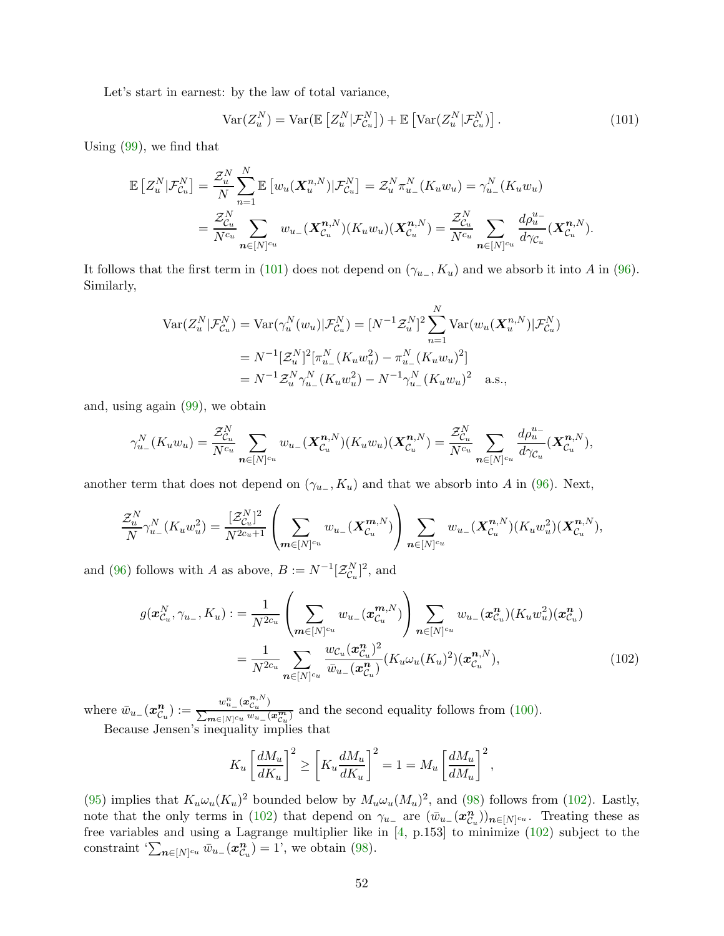Let's start in earnest: by the law of total variance,

<span id="page-51-0"></span>
$$
\text{Var}(Z_u^N) = \text{Var}(\mathbb{E}\left[Z_u^N|\mathcal{F}_{\mathcal{C}_u}^N\right]) + \mathbb{E}\left[\text{Var}(Z_u^N|\mathcal{F}_{\mathcal{C}_u}^N)\right].\tag{101}
$$

Using [\(99\)](#page-50-1), we find that

$$
\mathbb{E}\left[Z_u^N|\mathcal{F}_{\mathcal{C}_u}^N\right] = \frac{\mathcal{Z}_u^N}{N} \sum_{n=1}^N \mathbb{E}\left[w_u(\boldsymbol{X}_u^{n,N})|\mathcal{F}_{\mathcal{C}_u}^N\right] = \mathcal{Z}_u^N \pi_{u_-}^N(K_u w_u) = \gamma_{u_-}^N(K_u w_u) \n= \frac{\mathcal{Z}_{\mathcal{C}_u}^N}{N^{c_u}} \sum_{n \in [N]^{c_u}} w_{u_-}(\boldsymbol{X}_{\mathcal{C}_u}^{n,N})(K_u w_u)(\boldsymbol{X}_{\mathcal{C}_u}^{n,N}) = \frac{\mathcal{Z}_{\mathcal{C}_u}^N}{N^{c_u}} \sum_{n \in [N]^{c_u}} \frac{d\rho_u^{u_-}}{d\gamma_{\mathcal{C}_u}}(\boldsymbol{X}_{\mathcal{C}_u}^{n,N}).
$$

It follows that the first term in [\(101\)](#page-51-0) does not depend on  $(\gamma_{u-}, K_u)$  and we absorb it into A in [\(96\)](#page-50-0). Similarly,

$$
\begin{split} \text{Var}(Z_u^N | \mathcal{F}_{\mathcal{C}_u}^N) &= \text{Var}(\gamma_u^N(w_u) | \mathcal{F}_{\mathcal{C}_u}^N) = [N^{-1} \mathcal{Z}_u^N]^2 \sum_{n=1}^N \text{Var}(w_u(\boldsymbol{X}_u^{n,N}) | \mathcal{F}_{\mathcal{C}_u}^N) \\ &= N^{-1} [\mathcal{Z}_u^N]^2 [\pi_{u_-}^N(K_u w_u^2) - \pi_{u_-}^N (K_u w_u)^2] \\ &= N^{-1} \mathcal{Z}_u^N \gamma_{u_-}^N(K_u w_u^2) - N^{-1} \gamma_{u_-}^N (K_u w_u)^2 \quad \text{a.s.}, \end{split}
$$

and, using again [\(99\)](#page-50-1), we obtain

$$
\gamma_{u_{-}}^{N}(K_{u}w_{u})=\frac{\mathcal{Z}_{\mathcal{C}_{u}}^{N}}{N^{c_{u}}}\sum_{n\in[N]^{c_{u}}}w_{u_{-}}(\mathbf{X}_{\mathcal{C}_{u}}^{n,N})(K_{u}w_{u})(\mathbf{X}_{\mathcal{C}_{u}}^{n,N})=\frac{\mathcal{Z}_{\mathcal{C}_{u}}^{N}}{N^{c_{u}}}\sum_{n\in[N]^{c_{u}}} \frac{d\rho_{u}^{u_{-}}}{d\gamma_{\mathcal{C}_{u}}}(\mathbf{X}_{\mathcal{C}_{u}}^{n,N}),
$$

another term that does not depend on  $(\gamma_{u_{-}}, K_u)$  and that we absorb into A in [\(96\)](#page-50-0). Next,

$$
\frac{\mathcal{Z}_{u}^{N}}{N} \gamma_{u_{-}}^{N}(K_{u} w_{u}^{2}) = \frac{[\mathcal{Z}_{\mathcal{C}_{u}}^{N}]^{2}}{N^{2c_{u}+1}} \left( \sum_{m \in [N]^{c_{u}}} w_{u_{-}}(\mathbf{X}_{\mathcal{C}_{u}}^{m,N}) \right) \sum_{n \in [N]^{c_{u}}} w_{u_{-}}(\mathbf{X}_{\mathcal{C}_{u}}^{n,N})(K_{u} w_{u}^{2})(\mathbf{X}_{\mathcal{C}_{u}}^{n,N}),
$$

and [\(96\)](#page-50-0) follows with A as above,  $B := N^{-1}[\mathcal{Z}_{\mathcal{C}_u}^N]^2$ , and

$$
g(\mathbf{x}_{\mathcal{C}_u}^N, \gamma_{u_-}, K_u) := \frac{1}{N^{2c_u}} \left( \sum_{\mathbf{m} \in [N]^{c_u}} w_{u_-}(\mathbf{x}_{\mathcal{C}_u}^{\mathbf{m}, N}) \right) \sum_{\mathbf{n} \in [N]^{c_u}} w_{u_-}(\mathbf{x}_{\mathcal{C}_u}^{\mathbf{n}}) (K_u w_u^2) (\mathbf{x}_{\mathcal{C}_u}^{\mathbf{n}})
$$
  

$$
= \frac{1}{N^{2c_u}} \sum_{\mathbf{n} \in [N]^{c_u}} \frac{w_{\mathcal{C}_u}(\mathbf{x}_{\mathcal{C}_u}^{\mathbf{n}})^2}{\bar{w}_{u_-}(\mathbf{x}_{\mathcal{C}_u}^{\mathbf{n}})} (K_u \omega_u (K_u)^2) (\mathbf{x}_{\mathcal{C}_u}^{\mathbf{n}, N}), \qquad (102)
$$

where  $\bar{w}_{u_-}(\mathbf{\mathbf{x}}_{\mathcal{C}_1}^n)$  $\binom{n}{u}_u := \frac{w^n_{u_-}(x_{\mathcal{C}_u}^{n,N})}{\sum_{\boldsymbol{m}\in[N]\in u}w_{u_-}(n)}$  $\frac{p_{u_-}\left(r_{-u}\right)}{\sum_{m\in[N]^cu}w_{u_-}(x_{\mathcal{C}_u}^m)}$  and the second equality follows from [\(100\)](#page-50-2). Because Jensen's inequality implies that

<span id="page-51-1"></span>
$$
K_u \left[ \frac{dM_u}{dK_u} \right]^2 \ge \left[ K_u \frac{dM_u}{dK_u} \right]^2 = 1 = M_u \left[ \frac{dM_u}{dM_u} \right]^2,
$$

[\(95\)](#page-50-3) implies that  $K_u \omega_u (K_u)^2$  bounded below by  $M_u \omega_u (M_u)^2$ , and [\(98\)](#page-50-4) follows from [\(102\)](#page-51-1). Lastly, note that the only terms in [\(102\)](#page-51-1) that depend on  $\gamma_{u-}$  are  $(\bar{w}_{u-})\alpha_{\mathcal{C}_i}^n$  $\binom{n}{\mathcal{C}_u}\substack{n\in[N]^{c_u}}$ . Treating these as free variables and using a Lagrange multiplier like in [\[4,](#page-23-5) p.153] to minimize [\(102\)](#page-51-1) subject to the  $\text{constraint}\; \sum_{\bm{n}\in [N]^{c_u}} \bar{w}_{u_-}(\bm{x}^{\bm{n}}_{\mathcal{C}_i})$  $\binom{n}{c_u} = 1$ ', we obtain [\(98\)](#page-50-4).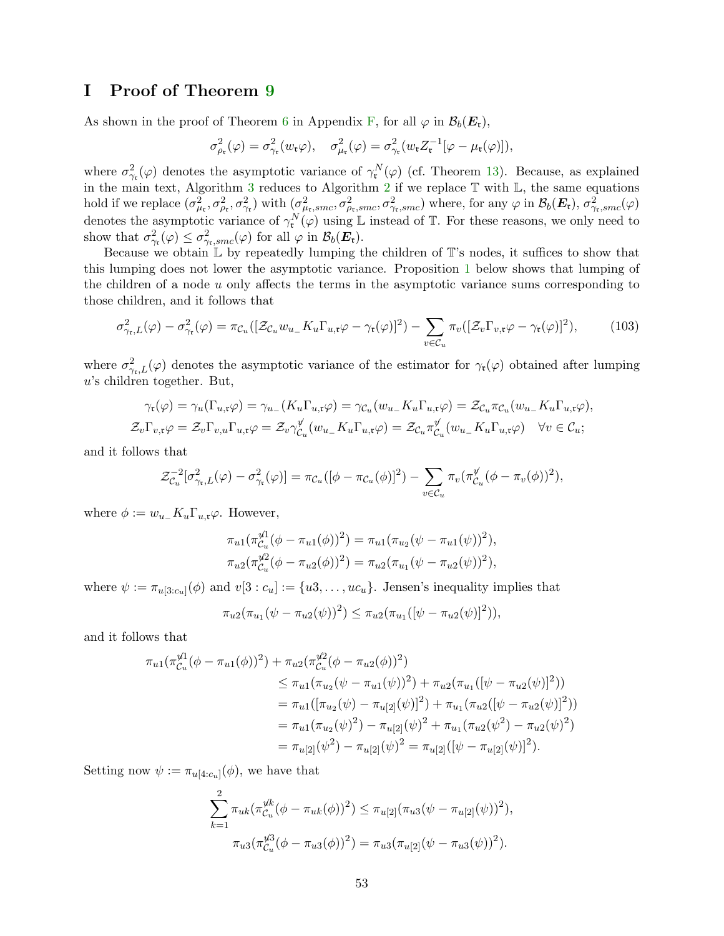### <span id="page-52-0"></span>I Proof of Theorem [9](#page-21-0)

As shown in the proof of Theorem [6](#page-17-0) in Appendix [F,](#page-40-0) for all  $\varphi$  in  $\mathcal{B}_b(E_r)$ ,

$$
\sigma_{\rho_{\mathfrak{r}}}^2(\varphi) = \sigma_{\gamma_{\mathfrak{r}}}^2(w_{\mathfrak{r}}\varphi), \quad \sigma_{\mu_{\mathfrak{r}}}^2(\varphi) = \sigma_{\gamma_{\mathfrak{r}}}^2(w_{\mathfrak{r}}Z_{\mathfrak{r}}^{-1}[\varphi - \mu_{\mathfrak{r}}(\varphi)]),
$$

where  $\sigma_{\gamma_{\mathfrak{r}}}^2(\varphi)$  denotes the asymptotic variance of  $\gamma_{\mathfrak{r}}^N(\varphi)$  (cf. Theorem [13\)](#page-40-1). Because, as explained in the main text, Algorithm [3](#page-10-0) reduces to Algorithm [2](#page-6-0) if we replace  $\mathbb T$  with  $\mathbb L$ , the same equations hold if we replace  $(\sigma_{\mu_{\mathfrak{r}}}^2, \sigma_{\rho_{\mathfrak{r}}}^2, \sigma_{\gamma_{\mathfrak{r}}}^2)$  with  $(\sigma_{\mu_{\mathfrak{r}}}^2, smc, \sigma_{\rho_{\mathfrak{r}},smc}^2, \sigma_{\gamma_{\mathfrak{r}},smc}^2)$  where, for any  $\varphi$  in  $\mathcal{B}_b(\mathbf{E}_{\mathfrak{r}})$ ,  $\sigma_{\gamma_{\mathfrak{r}},smc}^2(\varphi)$ denotes the asymptotic variance of  $\gamma_{\mathfrak{r}}^N(\varphi)$  using L instead of T. For these reasons, we only need to show that  $\sigma_{\gamma_{\mathfrak{r}}}^2(\varphi) \leq \sigma_{\gamma_{\mathfrak{r}},smc}^2(\varphi)$  for all  $\varphi$  in  $\mathcal{B}_b(\mathbf{E}_{\mathfrak{r}})$ .

Because we obtain  $\mathbb L$  by repeatedly lumping the children of  $\mathbb T$ 's nodes, it suffices to show that this lumping does not lower the asymptotic variance. Proposition [1](#page-53-0) below shows that lumping of the children of a node u only affects the terms in the asymptotic variance sums corresponding to those children, and it follows that

<span id="page-52-1"></span>
$$
\sigma_{\gamma_{\mathsf{t}},L}^2(\varphi) - \sigma_{\gamma_{\mathsf{t}}}^2(\varphi) = \pi_{\mathcal{C}_u}([\mathcal{Z}_{\mathcal{C}_u} w_{u_-} K_u \Gamma_{u,\mathsf{t}} \varphi - \gamma_{\mathsf{t}}(\varphi)]^2) - \sum_{v \in \mathcal{C}_u} \pi_v([\mathcal{Z}_v \Gamma_{v,\mathsf{t}} \varphi - \gamma_{\mathsf{t}}(\varphi)]^2),\tag{103}
$$

where  $\sigma_{\gamma_{\mathfrak{r}},L}^2(\varphi)$  denotes the asymptotic variance of the estimator for  $\gamma_{\mathfrak{r}}(\varphi)$  obtained after lumping u's children together. But,

$$
\gamma_{\mathfrak{r}}(\varphi) = \gamma_u(\Gamma_{u,\mathfrak{r}}\varphi) = \gamma_{u_-}(K_u\Gamma_{u,\mathfrak{r}}\varphi) = \gamma_{\mathcal{C}_u}(w_{u_-}K_u\Gamma_{u,\mathfrak{r}}\varphi) = \mathcal{Z}_{\mathcal{C}_u}\pi_{\mathcal{C}_u}(w_{u_-}K_u\Gamma_{u,\mathfrak{r}}\varphi),
$$
  

$$
\mathcal{Z}_v\Gamma_{v,\mathfrak{r}}\varphi = \mathcal{Z}_v\Gamma_{v,u}\Gamma_{u,\mathfrak{r}}\varphi = \mathcal{Z}_v\gamma_{\mathcal{C}_u}^{\psi}(w_{u_-}K_u\Gamma_{u,\mathfrak{r}}\varphi) = \mathcal{Z}_{\mathcal{C}_u}\pi_{\mathcal{C}_u}^{\psi}(w_{u_-}K_u\Gamma_{u,\mathfrak{r}}\varphi) \quad \forall v \in \mathcal{C}_u;
$$

and it follows that

$$
\mathcal{Z}_{\mathcal{C}_u}^{-2}[\sigma_{\gamma_{\mathfrak{r}},L}^2(\varphi)-\sigma_{\gamma_{\mathfrak{r}}}^2(\varphi)] = \pi_{\mathcal{C}_u}([\phi-\pi_{\mathcal{C}_u}(\phi)]^2) - \sum_{v \in \mathcal{C}_u} \pi_v(\pi_{\mathcal{C}_u}^{\psi}(\phi-\pi_v(\phi))^2),
$$

where  $\phi := w_{u-} K_u \Gamma_{u,\mathfrak{r}} \varphi$ . However,

$$
\pi_{u1}(\pi_{\mathcal{C}_u}^{\mathcal{U}1}(\phi - \pi_{u1}(\phi))^2) = \pi_{u1}(\pi_{u2}(\psi - \pi_{u1}(\psi))^2),
$$
  

$$
\pi_{u2}(\pi_{\mathcal{C}_u}^{\mathcal{U}2}(\phi - \pi_{u2}(\phi))^2) = \pi_{u2}(\pi_{u1}(\psi - \pi_{u2}(\psi))^2),
$$

where  $\psi := \pi_{u[3:c_u]}(\phi)$  and  $v[3:c_u] := \{u3, \ldots, uc_u\}$ . Jensen's inequality implies that

$$
\pi_{u2}(\pi_{u1}(\psi - \pi_{u2}(\psi))^2) \leq \pi_{u2}(\pi_{u1}([\psi - \pi_{u2}(\psi)]^2)),
$$

and it follows that

$$
\pi_{u1}(\pi_{\mathcal{C}_u}^{\psi1}(\phi - \pi_{u1}(\phi))^2) + \pi_{u2}(\pi_{\mathcal{C}_u}^{\psi2}(\phi - \pi_{u2}(\phi))^2)
$$
  
\n
$$
\leq \pi_{u1}(\pi_{u2}(\psi - \pi_{u1}(\psi))^2) + \pi_{u2}(\pi_{u1}([\psi - \pi_{u2}(\psi)]^2))
$$
  
\n
$$
= \pi_{u1}([\pi_{u2}(\psi) - \pi_{u[2]}(\psi)]^2) + \pi_{u1}(\pi_{u2}([\psi - \pi_{u2}(\psi)]^2))
$$
  
\n
$$
= \pi_{u1}(\pi_{u2}(\psi)^2) - \pi_{u[2]}(\psi)^2 + \pi_{u1}(\pi_{u2}(\psi^2) - \pi_{u2}(\psi)^2)
$$
  
\n
$$
= \pi_{u[2]}(\psi^2) - \pi_{u[2]}(\psi)^2 = \pi_{u[2]}([\psi - \pi_{u[2]}(\psi)]^2).
$$

Setting now  $\psi := \pi_{u[4:c_u]}(\phi)$ , we have that

$$
\sum_{k=1}^{2} \pi_{uk} (\pi_{\mathcal{C}_u}^{\mathcal{U}k} (\phi - \pi_{uk}(\phi))^2) \leq \pi_{u[2]} (\pi_{u3}(\psi - \pi_{u[2]}(\psi))^2),
$$
  

$$
\pi_{u3} (\pi_{\mathcal{C}_u}^{\mathcal{U}3} (\phi - \pi_{u3}(\phi))^2) = \pi_{u3} (\pi_{u[2]}(\psi - \pi_{u3}(\psi))^2).
$$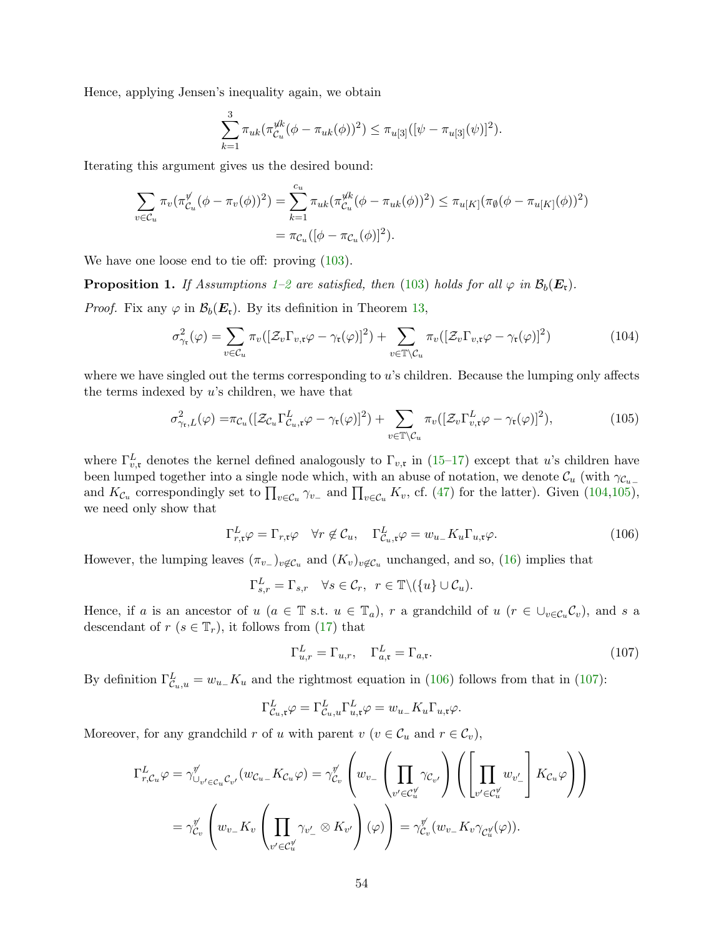Hence, applying Jensen's inequality again, we obtain

$$
\sum_{k=1}^{3} \pi_{uk} (\pi_{\mathcal{C}_u}^{\mathcal{U}_k} (\phi - \pi_{uk}(\phi))^2) \leq \pi_{u[3]}([\psi - \pi_{u[3]}(\psi)]^2).
$$

Iterating this argument gives us the desired bound:

$$
\sum_{v \in \mathcal{C}_u} \pi_v(\pi_{\mathcal{C}_u}^{\psi}(\phi - \pi_v(\phi))^2) = \sum_{k=1}^{c_u} \pi_{uk}(\pi_{\mathcal{C}_u}^{\psi(k}(\phi - \pi_{uk}(\phi))^2) \le \pi_{u[K]}(\pi_{\emptyset}(\phi - \pi_{u[K]}(\phi))^2)
$$
  
=  $\pi_{\mathcal{C}_u}([\phi - \pi_{\mathcal{C}_u}(\phi)]^2).$ 

We have one loose end to tie off: proving [\(103\)](#page-52-1).

<span id="page-53-0"></span>**Proposition [1](#page-11-1).** If Assumptions 1[–2](#page-15-3) are satisfied, then [\(103\)](#page-52-1) holds for all  $\varphi$  in  $\mathcal{B}_b(\mathbf{E}_\mathfrak{r})$ .

*Proof.* Fix any  $\varphi$  in  $\mathcal{B}_b(E_r)$ . By its definition in Theorem [13,](#page-40-1)

$$
\sigma_{\gamma_{\mathfrak{r}}}^{2}(\varphi) = \sum_{v \in \mathcal{C}_{u}} \pi_{v}([\mathcal{Z}_{v} \Gamma_{v, \mathfrak{r}} \varphi - \gamma_{\mathfrak{r}}(\varphi)]^{2}) + \sum_{v \in \mathbb{T} \setminus \mathcal{C}_{u}} \pi_{v}([\mathcal{Z}_{v} \Gamma_{v, \mathfrak{r}} \varphi - \gamma_{\mathfrak{r}}(\varphi)]^{2})
$$
(104)

where we have singled out the terms corresponding to  $u$ 's children. Because the lumping only affects the terms indexed by  $u$ 's children, we have that

$$
\sigma_{\gamma_{\mathfrak{r}},L}^{2}(\varphi) = \pi_{\mathcal{C}_{u}}([\mathcal{Z}_{\mathcal{C}_{u}}\Gamma_{\mathcal{C}_{u},\mathfrak{r}}^{L}\varphi - \gamma_{\mathfrak{r}}(\varphi)]^{2}) + \sum_{v \in \mathbb{T} \setminus \mathcal{C}_{u}} \pi_{v}([\mathcal{Z}_{v}\Gamma_{v,\mathfrak{r}}^{L}\varphi - \gamma_{\mathfrak{r}}(\varphi)]^{2}), \tag{105}
$$

where  $\Gamma_{v,\mathfrak{r}}^L$  denotes the kernel defined analogously to  $\Gamma_{v,\mathfrak{r}}$  in [\(15–](#page-16-3)[17\)](#page-16-4) except that u's children have been lumped together into a single node which, with an abuse of notation, we denote  $\mathcal{C}_u$  (with  $\gamma_{\mathcal{C}_{u-}}$ and  $K_{\mathcal{C}_u}$  correspondingly set to  $\prod_{v \in \mathcal{C}_u} \gamma_{v_-}$  and  $\prod_{v \in \mathcal{C}_u} K_v$ , cf. [\(47\)](#page-36-2) for the latter). Given [\(104](#page-53-1)[,105\)](#page-53-2), we need only show that

<span id="page-53-1"></span>
$$
\Gamma_{r,\mathfrak{x}}^{L} \varphi = \Gamma_{r,\mathfrak{x}} \varphi \quad \forall r \notin \mathcal{C}_{u}, \quad \Gamma_{\mathcal{C}_{u},\mathfrak{x}}^{L} \varphi = w_{u} K_{u} \Gamma_{u,\mathfrak{x}} \varphi.
$$
\n(106)

However, the lumping leaves  $(\pi_{v-})_{v \notin \mathcal{C}_u}$  and  $(K_v)_{v \notin \mathcal{C}_u}$  unchanged, and so, [\(16\)](#page-16-5) implies that

<span id="page-53-2"></span>
$$
\Gamma_{s,r}^L = \Gamma_{s,r} \quad \forall s \in \mathcal{C}_r, \ \ r \in \mathbb{T} \setminus (\{u\} \cup \mathcal{C}_u).
$$

Hence, if a is an ancestor of u ( $a \in \mathbb{T}$  s.t.  $u \in \mathbb{T}_a$ ), r a grandchild of  $u$  ( $r \in \cup_{v \in C_u} C_v$ ), and s a descendant of  $r$  ( $s \in \mathbb{T}_r$ ), it follows from [\(17\)](#page-16-4) that

<span id="page-53-4"></span><span id="page-53-3"></span>
$$
\Gamma_{u,r}^L = \Gamma_{u,r}, \quad \Gamma_{a,\mathfrak{r}}^L = \Gamma_{a,\mathfrak{r}}.\tag{107}
$$

By definition  $\Gamma_{\mathcal{C}_u, u}^L = w_{u_-} K_u$  and the rightmost equation in [\(106\)](#page-53-3) follows from that in [\(107\)](#page-53-4):

$$
\Gamma^L_{\mathcal{C}_u,\mathfrak{r}}\varphi = \Gamma^L_{\mathcal{C}_u,u}\Gamma^L_{u,\mathfrak{r}}\varphi = w_{u_-}K_u\Gamma_{u,\mathfrak{r}}\varphi.
$$

Moreover, for any grandchild r of u with parent  $v$   $(v \in C_u$  and  $r \in C_v$ ,

$$
\Gamma_{r,C_u}^L \varphi = \gamma_{\cup_{v' \in C_u} C_{v'}}^{\psi'} (w_{C_{u-}} K_{C_{u}} \varphi) = \gamma_{C_v}^{\psi'} \left( w_{v_-} \left( \prod_{v' \in C_u^{\psi}} \gamma_{C_{v'}} \right) \left( \left[ \prod_{v' \in C_u^{\psi}} w_{v'_-} \right] K_{C_u} \varphi \right) \right)
$$
  

$$
= \gamma_{C_v}^{\psi'} \left( w_{v_-} K_v \left( \prod_{v' \in C_u^{\psi}} \gamma_{v'_-} \otimes K_{v'} \right) (\varphi) \right) = \gamma_{C_v}^{\psi'} (w_{v_-} K_v \gamma_{C_u^{\psi}} (\varphi)).
$$